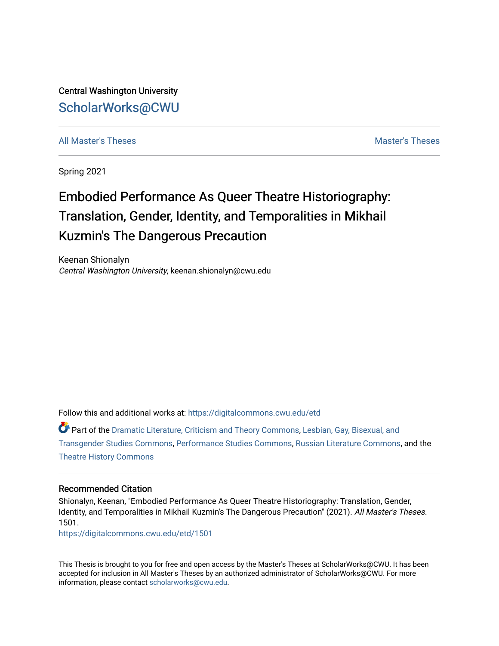Central Washington University [ScholarWorks@CWU](https://digitalcommons.cwu.edu/) 

[All Master's Theses](https://digitalcommons.cwu.edu/etd) and the set of the set of the set of the set of the set of the set of the set of the set of the set of the set of the set of the set of the set of the set of the set of the set of the set of the set of

Spring 2021

# Embodied Performance As Queer Theatre Historiography: Translation, Gender, Identity, and Temporalities in Mikhail Kuzmin's The Dangerous Precaution

Keenan Shionalyn Central Washington University, keenan.shionalyn@cwu.edu

Follow this and additional works at: [https://digitalcommons.cwu.edu/etd](https://digitalcommons.cwu.edu/etd?utm_source=digitalcommons.cwu.edu%2Fetd%2F1501&utm_medium=PDF&utm_campaign=PDFCoverPages) 

Part of the [Dramatic Literature, Criticism and Theory Commons](http://network.bepress.com/hgg/discipline/555?utm_source=digitalcommons.cwu.edu%2Fetd%2F1501&utm_medium=PDF&utm_campaign=PDFCoverPages), [Lesbian, Gay, Bisexual, and](http://network.bepress.com/hgg/discipline/560?utm_source=digitalcommons.cwu.edu%2Fetd%2F1501&utm_medium=PDF&utm_campaign=PDFCoverPages) [Transgender Studies Commons,](http://network.bepress.com/hgg/discipline/560?utm_source=digitalcommons.cwu.edu%2Fetd%2F1501&utm_medium=PDF&utm_campaign=PDFCoverPages) [Performance Studies Commons,](http://network.bepress.com/hgg/discipline/556?utm_source=digitalcommons.cwu.edu%2Fetd%2F1501&utm_medium=PDF&utm_campaign=PDFCoverPages) [Russian Literature Commons,](http://network.bepress.com/hgg/discipline/1317?utm_source=digitalcommons.cwu.edu%2Fetd%2F1501&utm_medium=PDF&utm_campaign=PDFCoverPages) and the [Theatre History Commons](http://network.bepress.com/hgg/discipline/553?utm_source=digitalcommons.cwu.edu%2Fetd%2F1501&utm_medium=PDF&utm_campaign=PDFCoverPages) 

#### Recommended Citation

Shionalyn, Keenan, "Embodied Performance As Queer Theatre Historiography: Translation, Gender, Identity, and Temporalities in Mikhail Kuzmin's The Dangerous Precaution" (2021). All Master's Theses. 1501.

[https://digitalcommons.cwu.edu/etd/1501](https://digitalcommons.cwu.edu/etd/1501?utm_source=digitalcommons.cwu.edu%2Fetd%2F1501&utm_medium=PDF&utm_campaign=PDFCoverPages)

This Thesis is brought to you for free and open access by the Master's Theses at ScholarWorks@CWU. It has been accepted for inclusion in All Master's Theses by an authorized administrator of ScholarWorks@CWU. For more information, please contact [scholarworks@cwu.edu.](mailto:scholarworks@cwu.edu)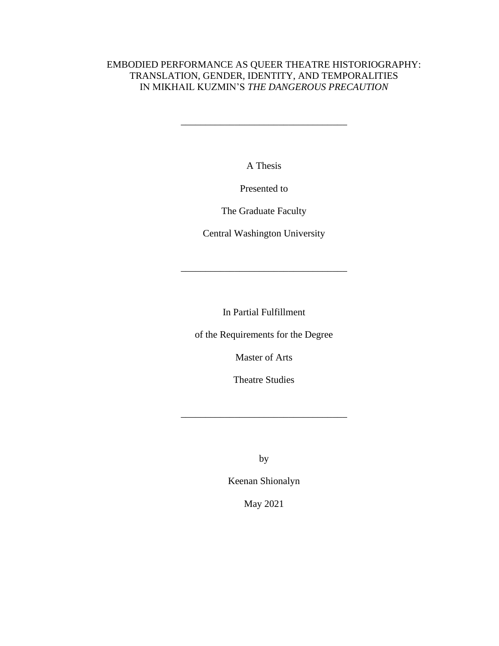## EMBODIED PERFORMANCE AS QUEER THEATRE HISTORIOGRAPHY: TRANSLATION, GENDER, IDENTITY, AND TEMPORALITIES IN MIKHAIL KUZMIN'S *THE DANGEROUS PRECAUTION*

\_\_\_\_\_\_\_\_\_\_\_\_\_\_\_\_\_\_\_\_\_\_\_\_\_\_\_\_\_\_\_\_\_\_

A Thesis

Presented to

The Graduate Faculty

Central Washington University

\_\_\_\_\_\_\_\_\_\_\_\_\_\_\_\_\_\_\_\_\_\_\_\_\_\_\_\_\_\_\_\_\_\_

In Partial Fulfillment

of the Requirements for the Degree

Master of Arts

Theatre Studies

\_\_\_\_\_\_\_\_\_\_\_\_\_\_\_\_\_\_\_\_\_\_\_\_\_\_\_\_\_\_\_\_\_\_

by

Keenan Shionalyn

May 2021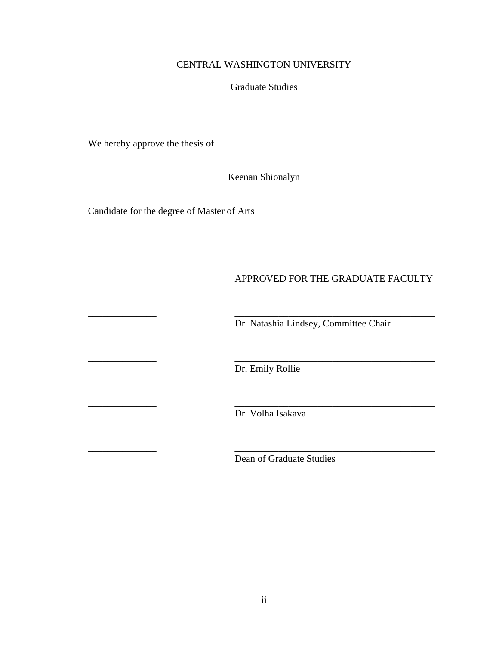## CENTRAL WASHINGTON UNIVERSITY

#### Graduate Studies

We hereby approve the thesis of

Keenan Shionalyn

Candidate for the degree of Master of Arts

## APPROVED FOR THE GRADUATE FACULTY

Dr. Natashia Lindsey, Committee Chair

Dr. Emily Rollie

\_\_\_\_\_\_\_\_\_\_\_\_\_\_ \_\_\_\_\_\_\_\_\_\_\_\_\_\_\_\_\_\_\_\_\_\_\_\_\_\_\_\_\_\_\_\_\_\_\_\_\_\_\_\_\_

\_\_\_\_\_\_\_\_\_\_\_\_\_\_ \_\_\_\_\_\_\_\_\_\_\_\_\_\_\_\_\_\_\_\_\_\_\_\_\_\_\_\_\_\_\_\_\_\_\_\_\_\_\_\_\_

\_\_\_\_\_\_\_\_\_\_\_\_\_\_ \_\_\_\_\_\_\_\_\_\_\_\_\_\_\_\_\_\_\_\_\_\_\_\_\_\_\_\_\_\_\_\_\_\_\_\_\_\_\_\_\_

\_\_\_\_\_\_\_\_\_\_\_\_\_\_ \_\_\_\_\_\_\_\_\_\_\_\_\_\_\_\_\_\_\_\_\_\_\_\_\_\_\_\_\_\_\_\_\_\_\_\_\_\_\_\_\_

Dr. Volha Isakava

Dean of Graduate Studies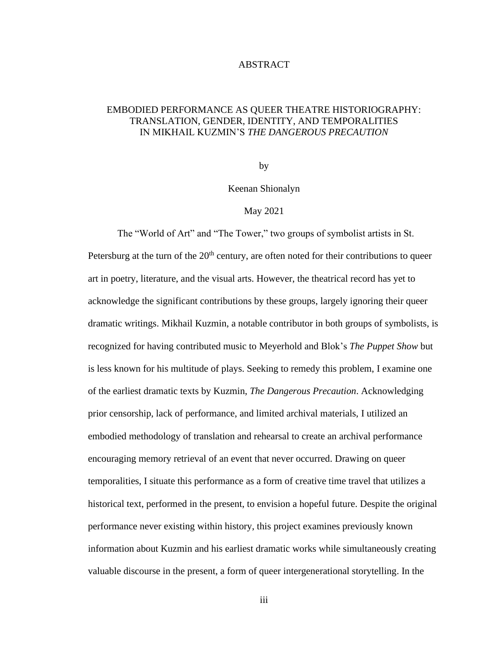#### ABSTRACT

### EMBODIED PERFORMANCE AS QUEER THEATRE HISTORIOGRAPHY: TRANSLATION, GENDER, IDENTITY, AND TEMPORALITIES IN MIKHAIL KUZMIN'S *THE DANGEROUS PRECAUTION*

by

Keenan Shionalyn

#### May 2021

The "World of Art" and "The Tower," two groups of symbolist artists in St. Petersburg at the turn of the  $20<sup>th</sup>$  century, are often noted for their contributions to queer art in poetry, literature, and the visual arts. However, the theatrical record has yet to acknowledge the significant contributions by these groups, largely ignoring their queer dramatic writings. Mikhail Kuzmin, a notable contributor in both groups of symbolists, is recognized for having contributed music to Meyerhold and Blok's *The Puppet Show* but is less known for his multitude of plays. Seeking to remedy this problem, I examine one of the earliest dramatic texts by Kuzmin, *The Dangerous Precaution*. Acknowledging prior censorship, lack of performance, and limited archival materials, I utilized an embodied methodology of translation and rehearsal to create an archival performance encouraging memory retrieval of an event that never occurred. Drawing on queer temporalities, I situate this performance as a form of creative time travel that utilizes a historical text, performed in the present, to envision a hopeful future. Despite the original performance never existing within history, this project examines previously known information about Kuzmin and his earliest dramatic works while simultaneously creating valuable discourse in the present, a form of queer intergenerational storytelling. In the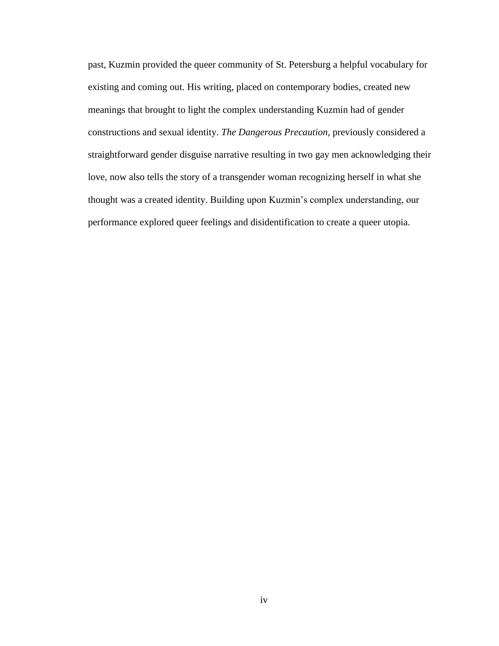past, Kuzmin provided the queer community of St. Petersburg a helpful vocabulary for existing and coming out. His writing, placed on contemporary bodies, created new meanings that brought to light the complex understanding Kuzmin had of gender constructions and sexual identity. *The Dangerous Precaution,* previously considered a straightforward gender disguise narrative resulting in two gay men acknowledging their love, now also tells the story of a transgender woman recognizing herself in what she thought was a created identity. Building upon Kuzmin's complex understanding, our performance explored queer feelings and disidentification to create a queer utopia.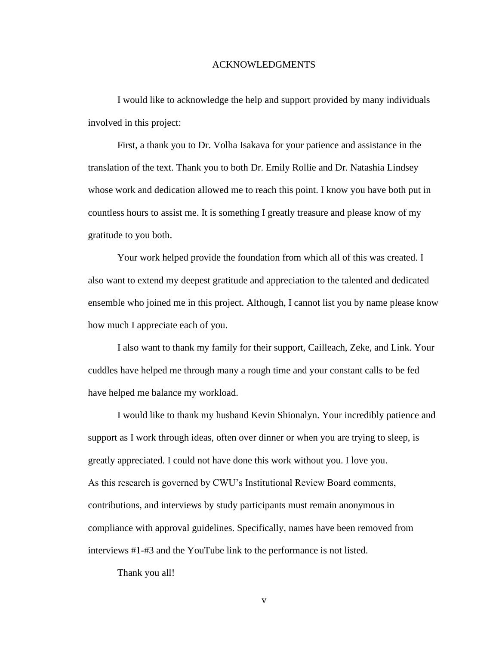#### ACKNOWLEDGMENTS

I would like to acknowledge the help and support provided by many individuals involved in this project:

First, a thank you to Dr. Volha Isakava for your patience and assistance in the translation of the text. Thank you to both Dr. Emily Rollie and Dr. Natashia Lindsey whose work and dedication allowed me to reach this point. I know you have both put in countless hours to assist me. It is something I greatly treasure and please know of my gratitude to you both.

Your work helped provide the foundation from which all of this was created. I also want to extend my deepest gratitude and appreciation to the talented and dedicated ensemble who joined me in this project. Although, I cannot list you by name please know how much I appreciate each of you.

I also want to thank my family for their support, Cailleach, Zeke, and Link. Your cuddles have helped me through many a rough time and your constant calls to be fed have helped me balance my workload.

I would like to thank my husband Kevin Shionalyn. Your incredibly patience and support as I work through ideas, often over dinner or when you are trying to sleep, is greatly appreciated. I could not have done this work without you. I love you. As this research is governed by CWU's Institutional Review Board comments, contributions, and interviews by study participants must remain anonymous in compliance with approval guidelines. Specifically, names have been removed from interviews #1-#3 and the YouTube link to the performance is not listed.

Thank you all!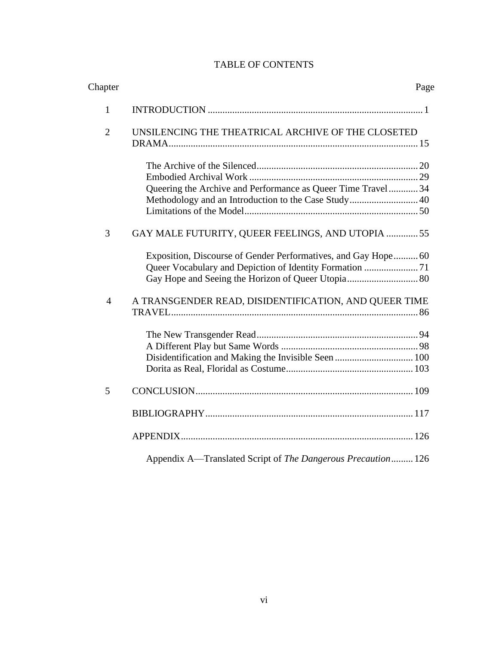## TABLE OF CONTENTS

| Chapter        |                                                                | Page |
|----------------|----------------------------------------------------------------|------|
| $\mathbf{1}$   |                                                                |      |
| $\overline{2}$ | UNSILENCING THE THEATRICAL ARCHIVE OF THE CLOSETED             |      |
|                |                                                                |      |
|                |                                                                |      |
|                |                                                                |      |
|                | Queering the Archive and Performance as Queer Time Travel 34   |      |
|                | Methodology and an Introduction to the Case Study 40           |      |
|                |                                                                |      |
| 3              | GAY MALE FUTURITY, QUEER FEELINGS, AND UTOPIA  55              |      |
|                | Exposition, Discourse of Gender Performatives, and Gay Hope 60 |      |
|                |                                                                |      |
| $\overline{4}$ | A TRANSGENDER READ, DISIDENTIFICATION, AND QUEER TIME          |      |
|                |                                                                |      |
|                |                                                                |      |
|                |                                                                |      |
|                |                                                                |      |
|                |                                                                |      |
| 5              |                                                                |      |
|                |                                                                |      |
|                |                                                                |      |
|                | Appendix A—Translated Script of The Dangerous Precaution 126   |      |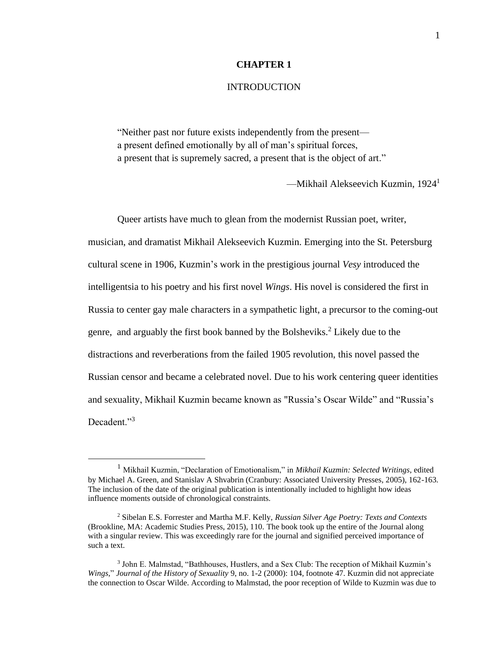#### **CHAPTER 1**

#### INTRODUCTION

"Neither past nor future exists independently from the present a present defined emotionally by all of man's spiritual forces, a present that is supremely sacred, a present that is the object of art."

—Mikhail Alekseevich Kuzmin, 1924<sup>1</sup>

Queer artists have much to glean from the modernist Russian poet, writer, musician, and dramatist Mikhail Alekseevich Kuzmin. Emerging into the St. Petersburg cultural scene in 1906, Kuzmin's work in the prestigious journal *Vesy* introduced the intelligentsia to his poetry and his first novel *Wings*. His novel is considered the first in Russia to center gay male characters in a sympathetic light, a precursor to the coming-out genre, and arguably the first book banned by the Bolsheviks.<sup>2</sup> Likely due to the distractions and reverberations from the failed 1905 revolution, this novel passed the Russian censor and became a celebrated novel. Due to his work centering queer identities and sexuality, Mikhail Kuzmin became known as "Russia's Oscar Wilde" and "Russia's Decadent."<sup>3</sup>

<sup>1</sup> Mikhail Kuzmin, "Declaration of Emotionalism," in *Mikhail Kuzmin: Selected Writings*, edited by Michael A. Green, and Stanislav A Shvabrin (Cranbury: Associated University Presses, 2005), 162-163. The inclusion of the date of the original publication is intentionally included to highlight how ideas influence moments outside of chronological constraints.

<sup>2</sup> Sibelan E.S. Forrester and Martha M.F. Kelly, *Russian Silver Age Poetry: Texts and Contexts*  (Brookline, MA: Academic Studies Press, 2015), 110. The book took up the entire of the Journal along with a singular review. This was exceedingly rare for the journal and signified perceived importance of such a text.

<sup>&</sup>lt;sup>3</sup> John E. Malmstad, "Bathhouses, Hustlers, and a Sex Club: The reception of Mikhail Kuzmin's *Wings,*" *Journal of the History of Sexuality* 9, no. 1-2 (2000): 104, footnote 47. Kuzmin did not appreciate the connection to Oscar Wilde. According to Malmstad, the poor reception of Wilde to Kuzmin was due to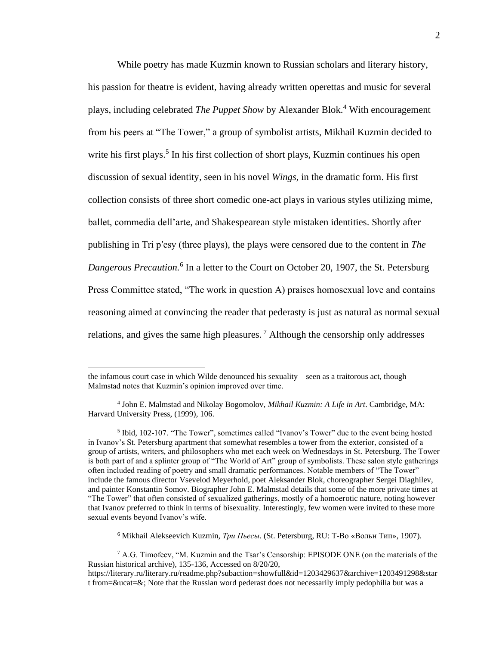While poetry has made Kuzmin known to Russian scholars and literary history, his passion for theatre is evident, having already written operettas and music for several plays, including celebrated *The Puppet Show* by Alexander Blok.<sup>4</sup> With encouragement from his peers at "The Tower," a group of symbolist artists, Mikhail Kuzmin decided to write his first plays.<sup>5</sup> In his first collection of short plays, Kuzmin continues his open discussion of sexual identity, seen in his novel *Wings,* in the dramatic form. His first collection consists of three short comedic one-act plays in various styles utilizing mime, ballet, commedia dell'arte, and Shakespearean style mistaken identities. Shortly after publishing in Tri pʹesy (three plays), the plays were censored due to the content in *The*  Dangerous Precaution.<sup>6</sup> In a letter to the Court on October 20, 1907, the St. Petersburg Press Committee stated, "The work in question A) praises homosexual love and contains reasoning aimed at convincing the reader that pederasty is just as natural as normal sexual relations, and gives the same high pleasures.<sup>7</sup> Although the censorship only addresses

<sup>6</sup> Mikhail Alekseevich Kuzmin, *Три Пьесы.* (St. Petersburg, RU: Т-Во «Вольн Тип», 1907).

the infamous court case in which Wilde denounced his sexuality—seen as a traitorous act, though Malmstad notes that Kuzmin's opinion improved over time.

<sup>4</sup> John E. Malmstad and Nikolay Bogomolov, *Mikhail Kuzmin: A Life in Art*. Cambridge, MA: Harvard University Press, (1999), 106.

<sup>&</sup>lt;sup>5</sup> Ibid, 102-107. "The Tower", sometimes called "Ivanov's Tower" due to the event being hosted in Ivanov's St. Petersburg apartment that somewhat resembles a tower from the exterior, consisted of a group of artists, writers, and philosophers who met each week on Wednesdays in St. Petersburg. The Tower is both part of and a splinter group of "The World of Art" group of symbolists. These salon style gatherings often included reading of poetry and small dramatic performances. Notable members of "The Tower" include the famous director Vsevelod Meyerhold, poet Aleksander Blok, choreographer Sergei Diaghilev, and painter Konstantin Somov. Biographer John E. Malmstad details that some of the more private times at "The Tower" that often consisted of sexualized gatherings, mostly of a homoerotic nature, noting however that Ivanov preferred to think in terms of bisexuality. Interestingly, few women were invited to these more sexual events beyond Ivanov's wife.

<sup>7</sup> A.G. Timofeev, "M. Kuzmin and the Tsar's Censorship: EPISODE ONE (on the materials of the Russian historical archive), 135-136, Accessed on 8/20/20, https://literary.ru/literary.ru/readme.php?subaction=showfull&id=1203429637&archive=1203491298&star t from=&ucat=&; Note that the Russian word pederast does not necessarily imply pedophilia but was a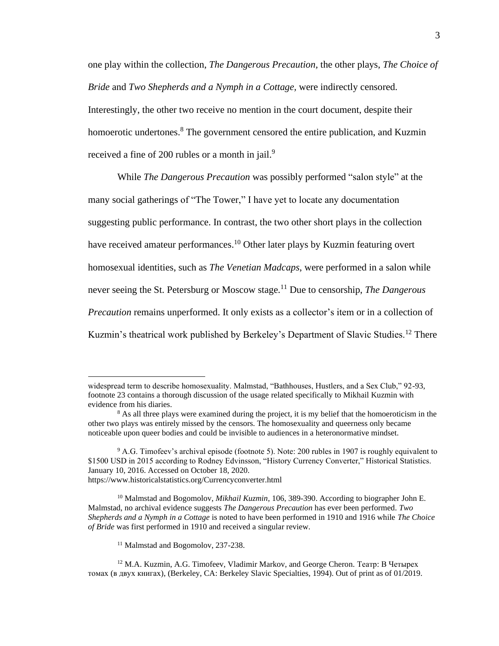one play within the collection, *The Dangerous Precaution,* the other plays, *The Choice of Bride* and *Two Shepherds and a Nymph in a Cottage,* were indirectly censored. Interestingly, the other two receive no mention in the court document, despite their homoerotic undertones.<sup>8</sup> The government censored the entire publication, and Kuzmin received a fine of 200 rubles or a month in jail.<sup>9</sup>

While *The Dangerous Precaution* was possibly performed "salon style" at the many social gatherings of "The Tower," I have yet to locate any documentation suggesting public performance. In contrast, the two other short plays in the collection have received amateur performances.<sup>10</sup> Other later plays by Kuzmin featuring overt homosexual identities, such as *The Venetian Madcaps*, were performed in a salon while never seeing the St. Petersburg or Moscow stage.<sup>11</sup> Due to censorship, *The Dangerous Precaution* remains unperformed. It only exists as a collector's item or in a collection of Kuzmin's theatrical work published by Berkeley's Department of Slavic Studies.<sup>12</sup> There

widespread term to describe homosexuality. Malmstad, "Bathhouses, Hustlers, and a Sex Club," 92-93, footnote 23 contains a thorough discussion of the usage related specifically to Mikhail Kuzmin with evidence from his diaries.

<sup>&</sup>lt;sup>8</sup> As all three plays were examined during the project, it is my belief that the homoeroticism in the other two plays was entirely missed by the censors. The homosexuality and queerness only became noticeable upon queer bodies and could be invisible to audiences in a heteronormative mindset.

<sup>&</sup>lt;sup>9</sup> A.G. Timofeev's archival episode (footnote 5). Note: 200 rubles in 1907 is roughly equivalent to \$1500 USD in 2015 according to Rodney Edvinsson, "History Currency Converter," Historical Statistics. January 10, 2016. Accessed on October 18, 2020. https://www.historicalstatistics.org/Currencyconverter.html

<sup>&</sup>lt;sup>10</sup> Malmstad and Bogomolov, *Mikhail Kuzmin*, 106, 389-390. According to biographer John E. Malmstad, no archival evidence suggests *The Dangerous Precaution* has ever been performed. *Two Shepherds and a Nymph in a Cottage* is noted to have been performed in 1910 and 1916 while *The Choice of Bride* was first performed in 1910 and received a singular review.

<sup>&</sup>lt;sup>11</sup> Malmstad and Bogomolov, 237-238.

<sup>12</sup> M.A. Kuzmin, A.G. Timofeev, Vladimir Markov, and George Cheron. Театр: В Четырех томах (в двух книгах), (Berkeley, CA: Berkeley Slavic Specialties, 1994). Out of print as of 01/2019.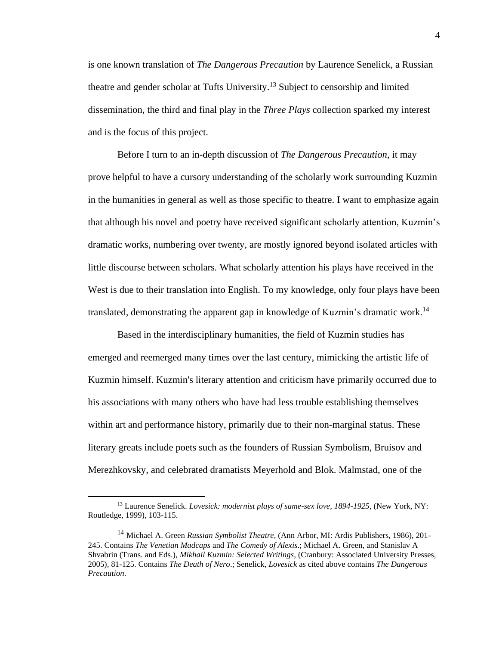is one known translation of *The Dangerous Precaution* by Laurence Senelick, a Russian theatre and gender scholar at Tufts University.<sup>13</sup> Subject to censorship and limited dissemination, the third and final play in the *Three Plays* collection sparked my interest and is the focus of this project.

Before I turn to an in-depth discussion of *The Dangerous Precaution*, it may prove helpful to have a cursory understanding of the scholarly work surrounding Kuzmin in the humanities in general as well as those specific to theatre. I want to emphasize again that although his novel and poetry have received significant scholarly attention, Kuzmin's dramatic works, numbering over twenty, are mostly ignored beyond isolated articles with little discourse between scholars*.* What scholarly attention his plays have received in the West is due to their translation into English. To my knowledge, only four plays have been translated, demonstrating the apparent gap in knowledge of Kuzmin's dramatic work.<sup>14</sup>

Based in the interdisciplinary humanities, the field of Kuzmin studies has emerged and reemerged many times over the last century, mimicking the artistic life of Kuzmin himself. Kuzmin's literary attention and criticism have primarily occurred due to his associations with many others who have had less trouble establishing themselves within art and performance history, primarily due to their non-marginal status. These literary greats include poets such as the founders of Russian Symbolism, Bruisov and Merezhkovsky, and celebrated dramatists Meyerhold and Blok. Malmstad, one of the

<sup>13</sup> Laurence Senelick. *Lovesick: modernist plays of same-sex love, 1894-1925,* (New York, NY: Routledge, 1999), 103-115.

<sup>14</sup> Michael A. Green *Russian Symbolist Theatre*, (Ann Arbor, MI: Ardis Publishers, 1986), 201- 245. Contains *The Venetian Madcaps* and *The Comedy of Alexis*.; Michael A. Green, and Stanislav A Shvabrin (Trans. and Eds.), *Mikhail Kuzmin: Selected Writings,* (Cranbury: Associated University Presses, 2005), 81-125. Contains *The Death of Nero*.; Senelick, *Lovesick* as cited above contains *The Dangerous Precaution*.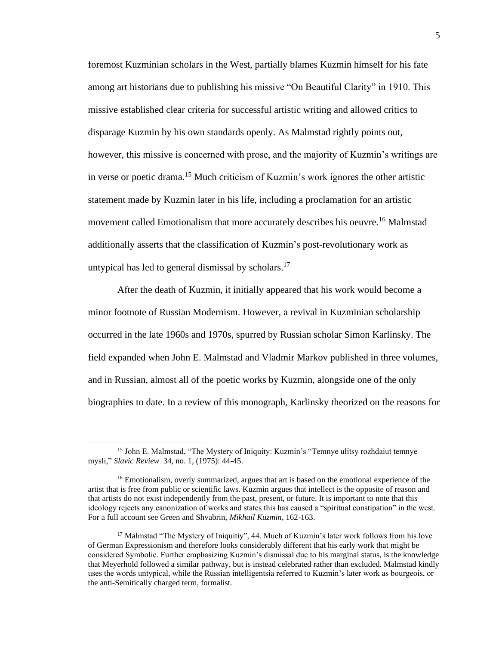foremost Kuzminian scholars in the West, partially blames Kuzmin himself for his fate among art historians due to publishing his missive "On Beautiful Clarity" in 1910. This missive established clear criteria for successful artistic writing and allowed critics to disparage Kuzmin by his own standards openly. As Malmstad rightly points out, however, this missive is concerned with prose, and the majority of Kuzmin's writings are in verse or poetic drama.<sup>15</sup> Much criticism of Kuzmin's work ignores the other artistic statement made by Kuzmin later in his life, including a proclamation for an artistic movement called Emotionalism that more accurately describes his oeuvre.<sup>16</sup> Malmstad additionally asserts that the classification of Kuzmin's post-revolutionary work as untypical has led to general dismissal by scholars.<sup>17</sup>

After the death of Kuzmin, it initially appeared that his work would become a minor footnote of Russian Modernism. However, a revival in Kuzminian scholarship occurred in the late 1960s and 1970s, spurred by Russian scholar Simon Karlinsky. The field expanded when John E. Malmstad and Vladmir Markov published in three volumes, and in Russian, almost all of the poetic works by Kuzmin, alongside one of the only biographies to date. In a review of this monograph, Karlinsky theorized on the reasons for

<sup>&</sup>lt;sup>15</sup> John E. Malmstad, "The Mystery of Iniquity: Kuzmin's "Temnye ulitsy rozhdaiut temnye mysli," *Slavic Review* 34, no. 1, (1975): 44-45.

<sup>&</sup>lt;sup>16</sup> Emotionalism, overly summarized, argues that art is based on the emotional experience of the artist that is free from public or scientific laws. Kuzmin argues that intellect is the opposite of reason and that artists do not exist independently from the past, present, or future. It is important to note that this ideology rejects any canonization of works and states this has caused a "spiritual constipation" in the west. For a full account see Green and Shvabrin, *Mikhail Kuzmin*, 162-163.

<sup>&</sup>lt;sup>17</sup> Malmstad "The Mystery of Iniquitiy", 44. Much of Kuzmin's later work follows from his love of German Expressionism and therefore looks considerably different that his early work that might be considered Symbolic. Further emphasizing Kuzmin's dismissal due to his marginal status, is the knowledge that Meyerhold followed a similar pathway, but is instead celebrated rather than excluded. Malmstad kindly uses the words untypical, while the Russian intelligentsia referred to Kuzmin's later work as bourgeois, or the anti-Semitically charged term, formalist.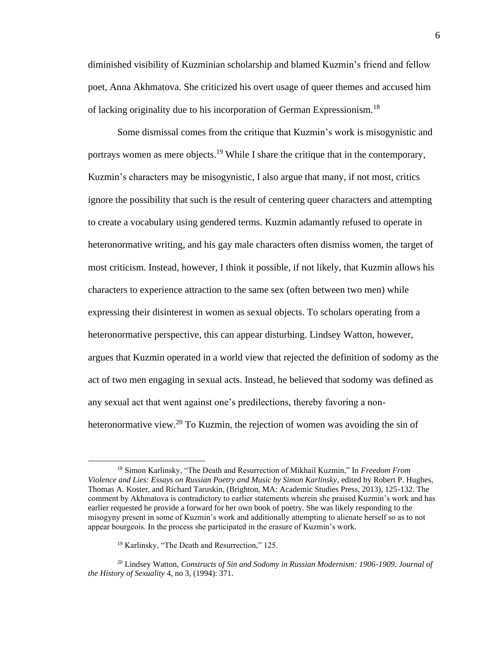diminished visibility of Kuzminian scholarship and blamed Kuzmin's friend and fellow poet, Anna Akhmatova. She criticized his overt usage of queer themes and accused him of lacking originality due to his incorporation of German Expressionism.<sup>18</sup>

Some dismissal comes from the critique that Kuzmin's work is misogynistic and portrays women as mere objects.<sup>19</sup> While I share the critique that in the contemporary, Kuzmin's characters may be misogynistic, I also argue that many, if not most, critics ignore the possibility that such is the result of centering queer characters and attempting to create a vocabulary using gendered terms. Kuzmin adamantly refused to operate in heteronormative writing, and his gay male characters often dismiss women, the target of most criticism. Instead, however, I think it possible, if not likely, that Kuzmin allows his characters to experience attraction to the same sex (often between two men) while expressing their disinterest in women as sexual objects. To scholars operating from a heteronormative perspective, this can appear disturbing. Lindsey Watton, however, argues that Kuzmin operated in a world view that rejected the definition of sodomy as the act of two men engaging in sexual acts. Instead, he believed that sodomy was defined as any sexual act that went against one's predilections, thereby favoring a nonheteronormative view.<sup>20</sup> To Kuzmin, the rejection of women was avoiding the sin of

<sup>18</sup> Simon Karlinsky, "The Death and Resurrection of Mikhail Kuzmin," In *Freedom From Violence and Lies: Essays on Russian Poetry and Music by Simon Karlinsky*, edited by Robert P. Hughes, Thomas A. Koster, and Richard Taruskin, (Brighton, MA: Academic Studies Press, 2013), 125-132. The comment by Akhmatova is contradictory to earlier statements wherein she praised Kuzmin's work and has earlier requested he provide a forward for her own book of poetry. She was likely responding to the misogyny present in some of Kuzmin's work and additionally attempting to alienate herself so as to not appear bourgeois. In the process she participated in the erasure of Kuzmin's work.

<sup>19</sup> Karlinsky, "The Death and Resurrection," 125.

<sup>20</sup> Lindsey Watton, *Constructs of Sin and Sodomy in Russian Modernism: 1906-1909*. *Journal of the History of Sexuality* 4, no 3, (1994): 371.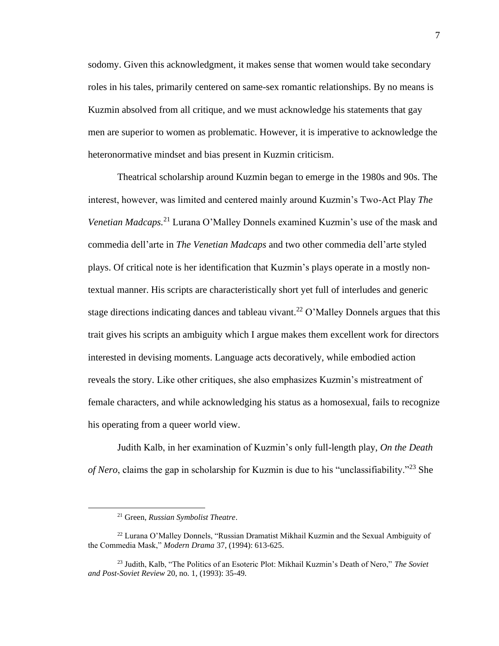sodomy. Given this acknowledgment, it makes sense that women would take secondary roles in his tales, primarily centered on same-sex romantic relationships. By no means is Kuzmin absolved from all critique, and we must acknowledge his statements that gay men are superior to women as problematic. However, it is imperative to acknowledge the heteronormative mindset and bias present in Kuzmin criticism.

Theatrical scholarship around Kuzmin began to emerge in the 1980s and 90s. The interest, however, was limited and centered mainly around Kuzmin's Two-Act Play *The Venetian Madcaps.*<sup>21</sup> Lurana O'Malley Donnels examined Kuzmin's use of the mask and commedia dell'arte in *The Venetian Madcaps* and two other commedia dell'arte styled plays. Of critical note is her identification that Kuzmin's plays operate in a mostly nontextual manner. His scripts are characteristically short yet full of interludes and generic stage directions indicating dances and tableau vivant.<sup>22</sup> O'Malley Donnels argues that this trait gives his scripts an ambiguity which I argue makes them excellent work for directors interested in devising moments. Language acts decoratively, while embodied action reveals the story. Like other critiques, she also emphasizes Kuzmin's mistreatment of female characters, and while acknowledging his status as a homosexual, fails to recognize his operating from a queer world view.

Judith Kalb, in her examination of Kuzmin's only full-length play, *On the Death of Nero*, claims the gap in scholarship for Kuzmin is due to his "unclassifiability."<sup>23</sup> She

<sup>21</sup> Green, *Russian Symbolist Theatre*.

<sup>22</sup> Lurana O'Malley Donnels, "Russian Dramatist Mikhail Kuzmin and the Sexual Ambiguity of the Commedia Mask," *Modern Drama* 37, (1994): 613-625.

<sup>23</sup> Judith, Kalb, "The Politics of an Esoteric Plot: Mikhail Kuzmin's Death of Nero," *The Soviet and Post-Soviet Review* 20, no. 1, (1993): 35-49.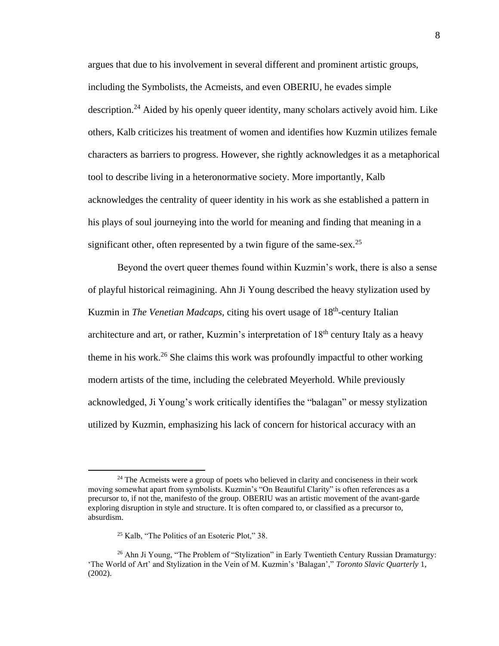argues that due to his involvement in several different and prominent artistic groups, including the Symbolists, the Acmeists, and even OBERIU, he evades simple description.<sup>24</sup> Aided by his openly queer identity, many scholars actively avoid him. Like others, Kalb criticizes his treatment of women and identifies how Kuzmin utilizes female characters as barriers to progress. However, she rightly acknowledges it as a metaphorical tool to describe living in a heteronormative society. More importantly, Kalb acknowledges the centrality of queer identity in his work as she established a pattern in his plays of soul journeying into the world for meaning and finding that meaning in a significant other, often represented by a twin figure of the same-sex.<sup>25</sup>

Beyond the overt queer themes found within Kuzmin's work, there is also a sense of playful historical reimagining. Ahn Ji Young described the heavy stylization used by Kuzmin in *The Venetian Madcaps*, citing his overt usage of 18<sup>th</sup>-century Italian architecture and art, or rather, Kuzmin's interpretation of  $18<sup>th</sup>$  century Italy as a heavy theme in his work.<sup>26</sup> She claims this work was profoundly impactful to other working modern artists of the time, including the celebrated Meyerhold. While previously acknowledged, Ji Young's work critically identifies the "balagan" or messy stylization utilized by Kuzmin, emphasizing his lack of concern for historical accuracy with an

<sup>&</sup>lt;sup>24</sup> The Acmeists were a group of poets who believed in clarity and conciseness in their work moving somewhat apart from symbolists. Kuzmin's "On Beautiful Clarity" is often references as a precursor to, if not the, manifesto of the group. OBERIU was an artistic movement of the avant-garde exploring disruption in style and structure. It is often compared to, or classified as a precursor to, absurdism.

<sup>25</sup> Kalb, "The Politics of an Esoteric Plot," 38.

 $26$  Ahn Ji Young, "The Problem of "Stylization" in Early Twentieth Century Russian Dramaturgy: 'The World of Art' and Stylization in the Vein of M. Kuzmin's 'Balagan'," *Toronto Slavic Quarterly* 1, (2002).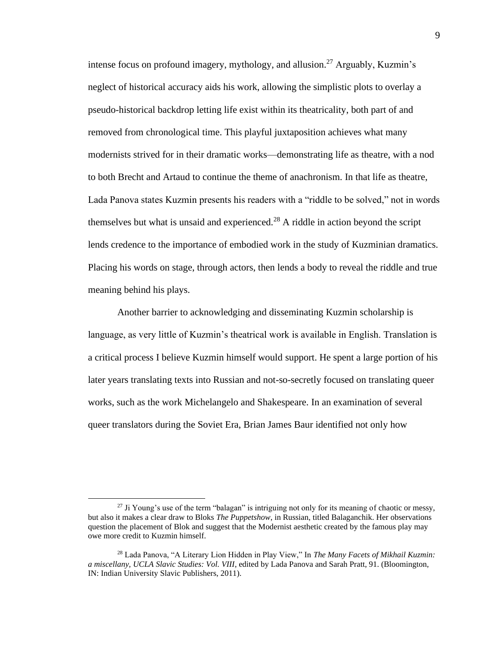intense focus on profound imagery, mythology, and allusion.<sup>27</sup> Arguably, Kuzmin's neglect of historical accuracy aids his work, allowing the simplistic plots to overlay a pseudo-historical backdrop letting life exist within its theatricality, both part of and removed from chronological time. This playful juxtaposition achieves what many modernists strived for in their dramatic works—demonstrating life as theatre, with a nod to both Brecht and Artaud to continue the theme of anachronism. In that life as theatre, Lada Panova states Kuzmin presents his readers with a "riddle to be solved," not in words themselves but what is unsaid and experienced.<sup>28</sup> A riddle in action beyond the script lends credence to the importance of embodied work in the study of Kuzminian dramatics. Placing his words on stage, through actors, then lends a body to reveal the riddle and true meaning behind his plays.

Another barrier to acknowledging and disseminating Kuzmin scholarship is language, as very little of Kuzmin's theatrical work is available in English. Translation is a critical process I believe Kuzmin himself would support. He spent a large portion of his later years translating texts into Russian and not-so-secretly focused on translating queer works, such as the work Michelangelo and Shakespeare. In an examination of several queer translators during the Soviet Era, Brian James Baur identified not only how

 $27$  Ji Young's use of the term "balagan" is intriguing not only for its meaning of chaotic or messy, but also it makes a clear draw to Bloks *The Puppetshow*, in Russian, titled Balaganchik. Her observations question the placement of Blok and suggest that the Modernist aesthetic created by the famous play may owe more credit to Kuzmin himself.

<sup>28</sup> Lada Panova, "A Literary Lion Hidden in Play View," In *The Many Facets of Mikhail Kuzmin: a miscellany, UCLA Slavic Studies: Vol. VIII*, edited by Lada Panova and Sarah Pratt, 91. (Bloomington, IN: Indian University Slavic Publishers, 2011).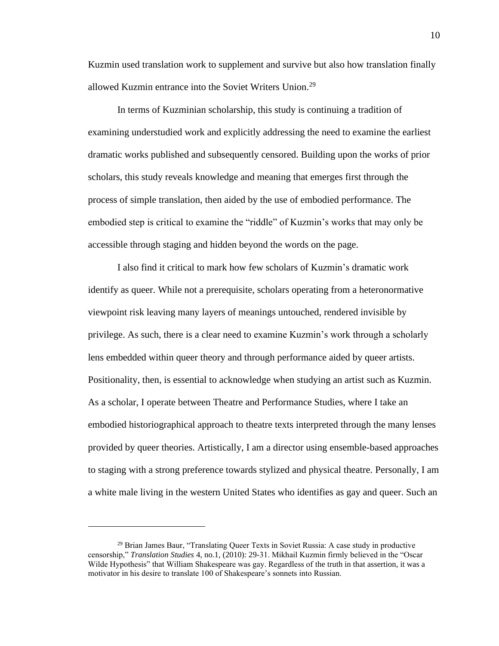Kuzmin used translation work to supplement and survive but also how translation finally allowed Kuzmin entrance into the Soviet Writers Union.<sup>29</sup>

In terms of Kuzminian scholarship, this study is continuing a tradition of examining understudied work and explicitly addressing the need to examine the earliest dramatic works published and subsequently censored. Building upon the works of prior scholars, this study reveals knowledge and meaning that emerges first through the process of simple translation, then aided by the use of embodied performance. The embodied step is critical to examine the "riddle" of Kuzmin's works that may only be accessible through staging and hidden beyond the words on the page.

I also find it critical to mark how few scholars of Kuzmin's dramatic work identify as queer. While not a prerequisite, scholars operating from a heteronormative viewpoint risk leaving many layers of meanings untouched, rendered invisible by privilege. As such, there is a clear need to examine Kuzmin's work through a scholarly lens embedded within queer theory and through performance aided by queer artists. Positionality, then, is essential to acknowledge when studying an artist such as Kuzmin. As a scholar, I operate between Theatre and Performance Studies, where I take an embodied historiographical approach to theatre texts interpreted through the many lenses provided by queer theories. Artistically, I am a director using ensemble-based approaches to staging with a strong preference towards stylized and physical theatre. Personally, I am a white male living in the western United States who identifies as gay and queer. Such an

<sup>29</sup> Brian James Baur, "Translating Queer Texts in Soviet Russia: A case study in productive censorship," *Translation Studies* 4, no.1, (2010): 29-31. Mikhail Kuzmin firmly believed in the "Oscar Wilde Hypothesis" that William Shakespeare was gay. Regardless of the truth in that assertion, it was a motivator in his desire to translate 100 of Shakespeare's sonnets into Russian.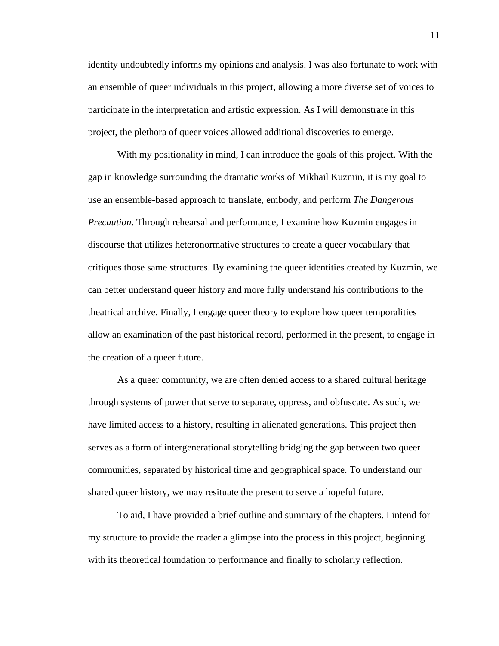identity undoubtedly informs my opinions and analysis. I was also fortunate to work with an ensemble of queer individuals in this project, allowing a more diverse set of voices to participate in the interpretation and artistic expression. As I will demonstrate in this project, the plethora of queer voices allowed additional discoveries to emerge.

With my positionality in mind, I can introduce the goals of this project. With the gap in knowledge surrounding the dramatic works of Mikhail Kuzmin, it is my goal to use an ensemble-based approach to translate, embody, and perform *The Dangerous Precaution*. Through rehearsal and performance, I examine how Kuzmin engages in discourse that utilizes heteronormative structures to create a queer vocabulary that critiques those same structures. By examining the queer identities created by Kuzmin, we can better understand queer history and more fully understand his contributions to the theatrical archive. Finally, I engage queer theory to explore how queer temporalities allow an examination of the past historical record, performed in the present, to engage in the creation of a queer future.

As a queer community, we are often denied access to a shared cultural heritage through systems of power that serve to separate, oppress, and obfuscate. As such, we have limited access to a history, resulting in alienated generations. This project then serves as a form of intergenerational storytelling bridging the gap between two queer communities, separated by historical time and geographical space. To understand our shared queer history, we may resituate the present to serve a hopeful future.

To aid, I have provided a brief outline and summary of the chapters. I intend for my structure to provide the reader a glimpse into the process in this project, beginning with its theoretical foundation to performance and finally to scholarly reflection.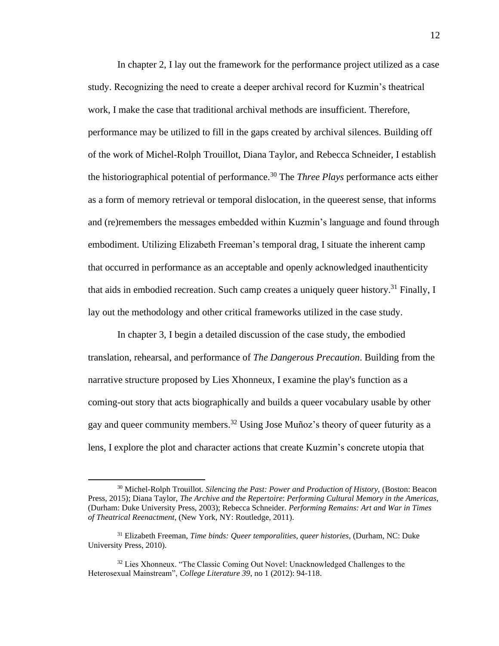In chapter 2, I lay out the framework for the performance project utilized as a case study. Recognizing the need to create a deeper archival record for Kuzmin's theatrical work, I make the case that traditional archival methods are insufficient. Therefore, performance may be utilized to fill in the gaps created by archival silences. Building off of the work of Michel-Rolph Trouillot, Diana Taylor, and Rebecca Schneider, I establish the historiographical potential of performance.<sup>30</sup> The *Three Plays* performance acts either as a form of memory retrieval or temporal dislocation, in the queerest sense, that informs and (re)remembers the messages embedded within Kuzmin's language and found through embodiment. Utilizing Elizabeth Freeman's temporal drag, I situate the inherent camp that occurred in performance as an acceptable and openly acknowledged inauthenticity that aids in embodied recreation. Such camp creates a uniquely queer history.<sup>31</sup> Finally, I lay out the methodology and other critical frameworks utilized in the case study.

In chapter 3, I begin a detailed discussion of the case study, the embodied translation, rehearsal, and performance of *The Dangerous Precaution*. Building from the narrative structure proposed by Lies Xhonneux, I examine the play's function as a coming-out story that acts biographically and builds a queer vocabulary usable by other gay and queer community members.<sup>32</sup> Using Jose Muñoz's theory of queer futurity as a lens, I explore the plot and character actions that create Kuzmin's concrete utopia that

<sup>30</sup> Michel-Rolph Trouillot. *Silencing the Past: Power and Production of History,* (Boston: Beacon Press, 2015); Diana Taylor, *The Archive and the Repertoire*: *Performing Cultural Memory in the Americas*, (Durham: Duke University Press, 2003); Rebecca Schneider. *Performing Remains: Art and War in Times of Theatrical Reenactment*, (New York, NY: Routledge, 2011).

<sup>&</sup>lt;sup>31</sup> Elizabeth Freeman, *Time binds: Queer temporalities, queer histories, (Durham, NC: Duke* University Press, 2010).

<sup>&</sup>lt;sup>32</sup> Lies Xhonneux. "The Classic Coming Out Novel: Unacknowledged Challenges to the Heterosexual Mainstream", *College Literature 39*, no 1 (2012): 94-118.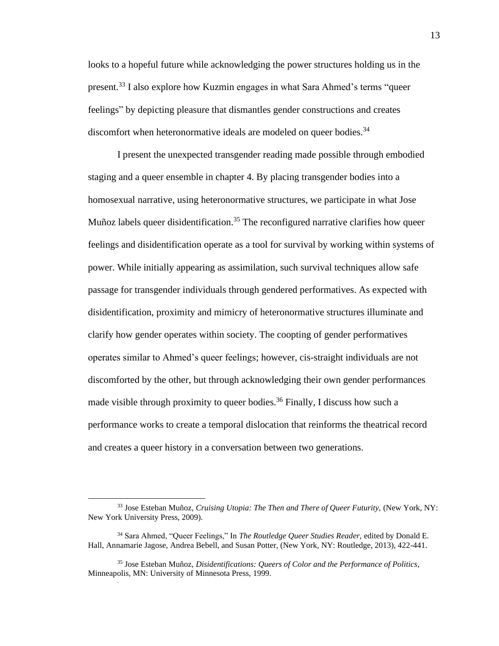looks to a hopeful future while acknowledging the power structures holding us in the present.<sup>33</sup> I also explore how Kuzmin engages in what Sara Ahmed's terms "queer feelings" by depicting pleasure that dismantles gender constructions and creates discomfort when heteronormative ideals are modeled on queer bodies.<sup>34</sup>

I present the unexpected transgender reading made possible through embodied staging and a queer ensemble in chapter 4. By placing transgender bodies into a homosexual narrative, using heteronormative structures, we participate in what Jose Muñoz labels queer disidentification.<sup>35</sup> The reconfigured narrative clarifies how queer feelings and disidentification operate as a tool for survival by working within systems of power. While initially appearing as assimilation, such survival techniques allow safe passage for transgender individuals through gendered performatives. As expected with disidentification, proximity and mimicry of heteronormative structures illuminate and clarify how gender operates within society. The coopting of gender performatives operates similar to Ahmed's queer feelings; however, cis-straight individuals are not discomforted by the other, but through acknowledging their own gender performances made visible through proximity to queer bodies.<sup>36</sup> Finally, I discuss how such a performance works to create a temporal dislocation that reinforms the theatrical record and creates a queer history in a conversation between two generations.

.

<sup>&</sup>lt;sup>33</sup> Jose Esteban Muñoz, *Cruising Utopia: The Then and There of Queer Futurity*, (New York, NY: New York University Press, 2009).

<sup>34</sup> Sara Ahmed, "Queer Feelings," In *The Routledge Queer Studies Reader,* edited by Donald E. Hall, Annamarie Jagose, Andrea Bebell, and Susan Potter, (New York, NY: Routledge, 2013), 422-441.

<sup>35</sup> Jose Esteban Muñoz, *Disidentifications: Queers of Color and the Performance of Politics*, Minneapolis, MN: University of Minnesota Press, 1999.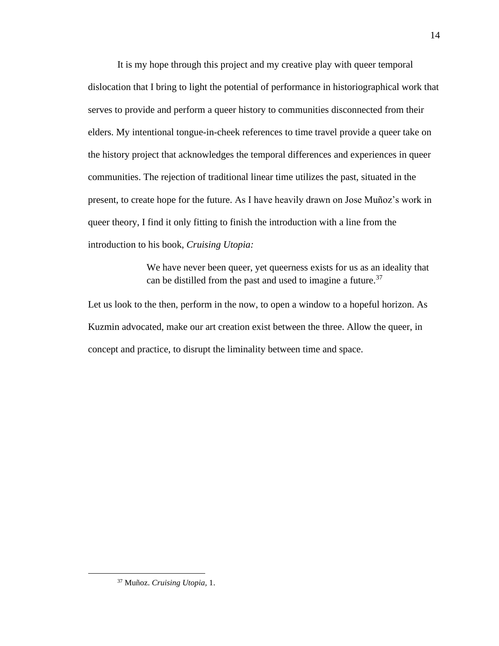It is my hope through this project and my creative play with queer temporal dislocation that I bring to light the potential of performance in historiographical work that serves to provide and perform a queer history to communities disconnected from their elders. My intentional tongue-in-cheek references to time travel provide a queer take on the history project that acknowledges the temporal differences and experiences in queer communities. The rejection of traditional linear time utilizes the past, situated in the present, to create hope for the future. As I have heavily drawn on Jose Muñoz's work in queer theory, I find it only fitting to finish the introduction with a line from the introduction to his book, *Cruising Utopia:*

> We have never been queer, yet queerness exists for us as an ideality that can be distilled from the past and used to imagine a future.<sup>37</sup>

Let us look to the then, perform in the now, to open a window to a hopeful horizon. As Kuzmin advocated, make our art creation exist between the three. Allow the queer, in concept and practice, to disrupt the liminality between time and space.

<sup>37</sup> Muñoz. *Cruising Utopia,* 1.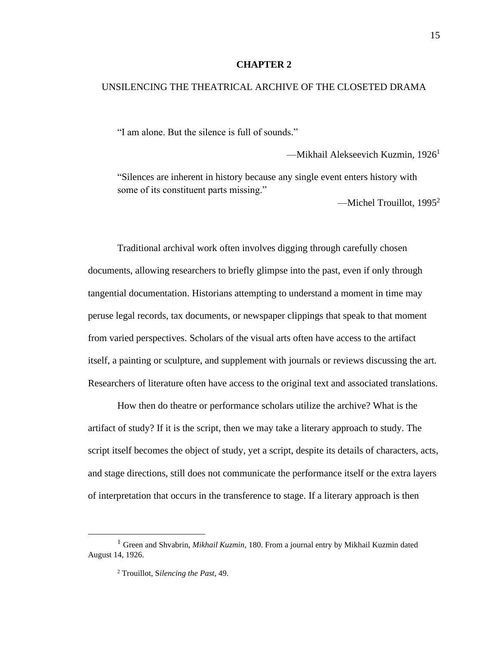#### **CHAPTER 2**

#### UNSILENCING THE THEATRICAL ARCHIVE OF THE CLOSETED DRAMA

"I am alone. But the silence is full of sounds."

—Mikhail Alekseevich Kuzmin, 1926<sup>1</sup>

"Silences are inherent in history because any single event enters history with some of its constituent parts missing."

—Michel Trouillot,  $1995^2$ 

Traditional archival work often involves digging through carefully chosen documents, allowing researchers to briefly glimpse into the past, even if only through tangential documentation. Historians attempting to understand a moment in time may peruse legal records, tax documents, or newspaper clippings that speak to that moment from varied perspectives. Scholars of the visual arts often have access to the artifact itself, a painting or sculpture, and supplement with journals or reviews discussing the art. Researchers of literature often have access to the original text and associated translations.

How then do theatre or performance scholars utilize the archive? What is the artifact of study? If it is the script, then we may take a literary approach to study. The script itself becomes the object of study, yet a script, despite its details of characters, acts, and stage directions, still does not communicate the performance itself or the extra layers of interpretation that occurs in the transference to stage. If a literary approach is then

<sup>1</sup> Green and Shvabrin, *Mikhail Kuzmin,* 180. From a journal entry by Mikhail Kuzmin dated August 14, 1926.

<sup>2</sup> Trouillot, S*ilencing the Past*, 49.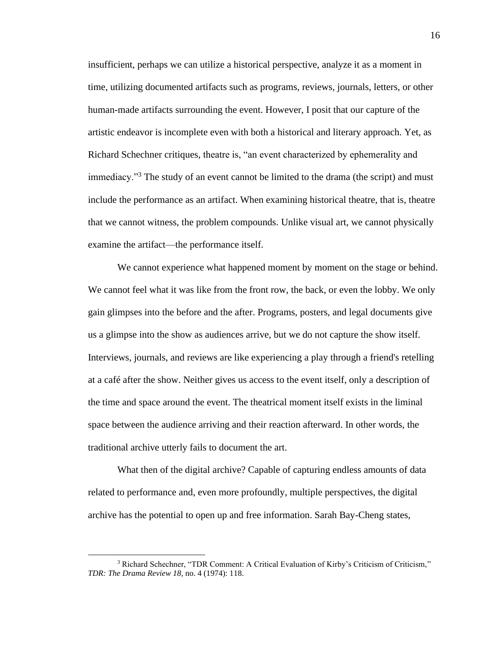insufficient, perhaps we can utilize a historical perspective, analyze it as a moment in time, utilizing documented artifacts such as programs, reviews, journals, letters, or other human-made artifacts surrounding the event. However, I posit that our capture of the artistic endeavor is incomplete even with both a historical and literary approach. Yet, as Richard Schechner critiques, theatre is, "an event characterized by ephemerality and immediacy."<sup>3</sup> The study of an event cannot be limited to the drama (the script) and must include the performance as an artifact. When examining historical theatre, that is, theatre that we cannot witness, the problem compounds. Unlike visual art, we cannot physically examine the artifact—the performance itself.

We cannot experience what happened moment by moment on the stage or behind. We cannot feel what it was like from the front row, the back, or even the lobby. We only gain glimpses into the before and the after. Programs, posters, and legal documents give us a glimpse into the show as audiences arrive, but we do not capture the show itself. Interviews, journals, and reviews are like experiencing a play through a friend's retelling at a café after the show. Neither gives us access to the event itself, only a description of the time and space around the event. The theatrical moment itself exists in the liminal space between the audience arriving and their reaction afterward. In other words, the traditional archive utterly fails to document the art.

What then of the digital archive? Capable of capturing endless amounts of data related to performance and, even more profoundly, multiple perspectives, the digital archive has the potential to open up and free information. Sarah Bay-Cheng states,

<sup>3</sup> Richard Schechner, "TDR Comment: A Critical Evaluation of Kirby's Criticism of Criticism," *TDR: The Drama Review 18*, no. 4 (1974): 118.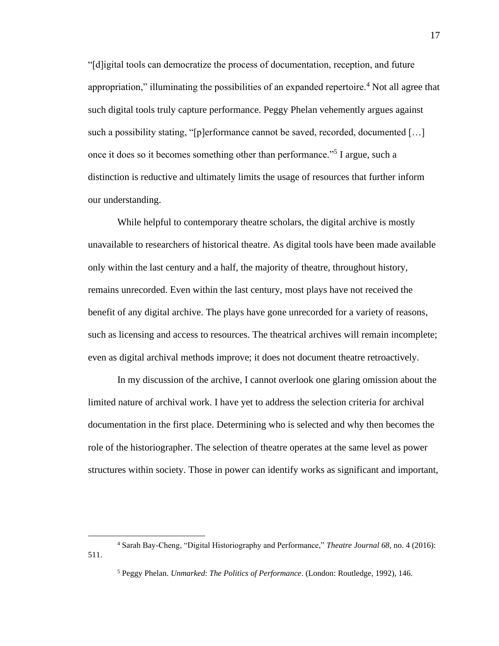"[d]igital tools can democratize the process of documentation, reception, and future appropriation," illuminating the possibilities of an expanded repertoire.<sup>4</sup> Not all agree that such digital tools truly capture performance. Peggy Phelan vehemently argues against such a possibility stating, "[p]erformance cannot be saved, recorded, documented [...] once it does so it becomes something other than performance."<sup>5</sup> I argue, such a distinction is reductive and ultimately limits the usage of resources that further inform our understanding.

While helpful to contemporary theatre scholars, the digital archive is mostly unavailable to researchers of historical theatre. As digital tools have been made available only within the last century and a half, the majority of theatre, throughout history, remains unrecorded. Even within the last century, most plays have not received the benefit of any digital archive. The plays have gone unrecorded for a variety of reasons, such as licensing and access to resources. The theatrical archives will remain incomplete; even as digital archival methods improve; it does not document theatre retroactively.

In my discussion of the archive, I cannot overlook one glaring omission about the limited nature of archival work. I have yet to address the selection criteria for archival documentation in the first place. Determining who is selected and why then becomes the role of the historiographer. The selection of theatre operates at the same level as power structures within society. Those in power can identify works as significant and important,

<sup>4</sup> Sarah Bay-Cheng, "Digital Historiography and Performance," *Theatre Journal 68,* no. 4 (2016): 511.

<sup>5</sup> Peggy Phelan. *Unmarked*: *The Politics of Performance*. (London: Routledge, 1992), 146.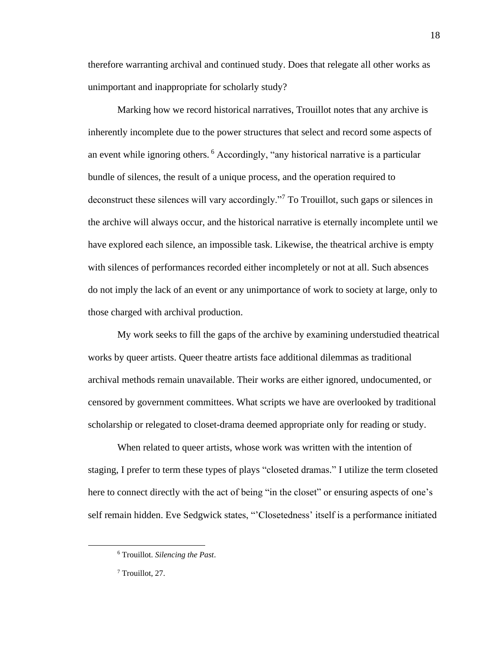therefore warranting archival and continued study. Does that relegate all other works as unimportant and inappropriate for scholarly study?

Marking how we record historical narratives, Trouillot notes that any archive is inherently incomplete due to the power structures that select and record some aspects of an event while ignoring others. <sup>6</sup> Accordingly, "any historical narrative is a particular bundle of silences, the result of a unique process, and the operation required to deconstruct these silences will vary accordingly."<sup>7</sup> To Trouillot, such gaps or silences in the archive will always occur, and the historical narrative is eternally incomplete until we have explored each silence, an impossible task. Likewise, the theatrical archive is empty with silences of performances recorded either incompletely or not at all. Such absences do not imply the lack of an event or any unimportance of work to society at large, only to those charged with archival production.

My work seeks to fill the gaps of the archive by examining understudied theatrical works by queer artists. Queer theatre artists face additional dilemmas as traditional archival methods remain unavailable. Their works are either ignored, undocumented, or censored by government committees. What scripts we have are overlooked by traditional scholarship or relegated to closet-drama deemed appropriate only for reading or study.

When related to queer artists, whose work was written with the intention of staging, I prefer to term these types of plays "closeted dramas." I utilize the term closeted here to connect directly with the act of being "in the closet" or ensuring aspects of one's self remain hidden. Eve Sedgwick states, "'Closetedness' itself is a performance initiated

<sup>6</sup> Trouillot. *Silencing the Past*.

<sup>7</sup> Trouillot, 27.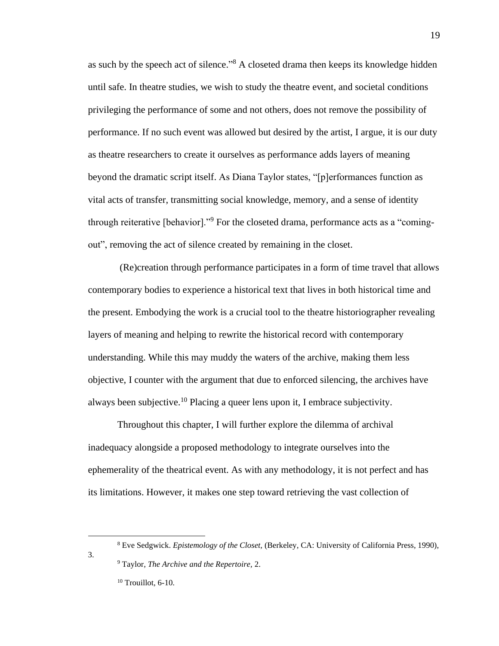as such by the speech act of silence."<sup>8</sup> A closeted drama then keeps its knowledge hidden until safe. In theatre studies, we wish to study the theatre event, and societal conditions privileging the performance of some and not others, does not remove the possibility of performance. If no such event was allowed but desired by the artist, I argue, it is our duty as theatre researchers to create it ourselves as performance adds layers of meaning beyond the dramatic script itself. As Diana Taylor states, "[p]erformances function as vital acts of transfer, transmitting social knowledge, memory, and a sense of identity through reiterative [behavior]."<sup>9</sup> For the closeted drama, performance acts as a "comingout", removing the act of silence created by remaining in the closet.

(Re)creation through performance participates in a form of time travel that allows contemporary bodies to experience a historical text that lives in both historical time and the present. Embodying the work is a crucial tool to the theatre historiographer revealing layers of meaning and helping to rewrite the historical record with contemporary understanding. While this may muddy the waters of the archive, making them less objective, I counter with the argument that due to enforced silencing, the archives have always been subjective.<sup>10</sup> Placing a queer lens upon it, I embrace subjectivity.

Throughout this chapter, I will further explore the dilemma of archival inadequacy alongside a proposed methodology to integrate ourselves into the ephemerality of the theatrical event. As with any methodology, it is not perfect and has its limitations. However, it makes one step toward retrieving the vast collection of

3.

<sup>8</sup> Eve Sedgwick. *Epistemology of the Closet,* (Berkeley, CA: University of California Press, 1990),

<sup>9</sup> Taylor, *The Archive and the Repertoire,* 2.

<sup>&</sup>lt;sup>10</sup> Trouillot, 6-10.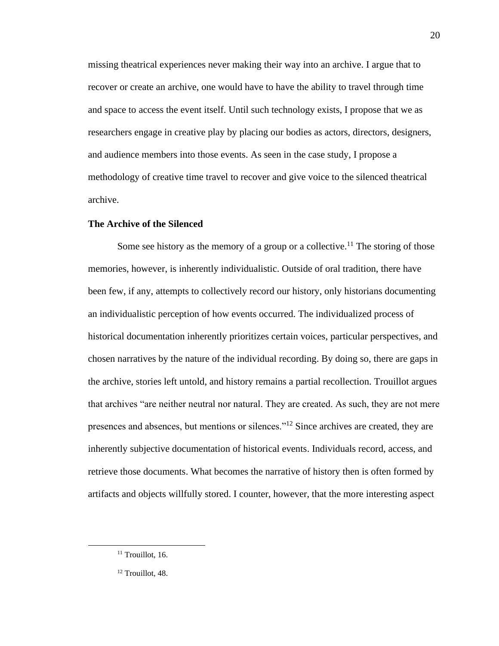missing theatrical experiences never making their way into an archive. I argue that to recover or create an archive, one would have to have the ability to travel through time and space to access the event itself. Until such technology exists, I propose that we as researchers engage in creative play by placing our bodies as actors, directors, designers, and audience members into those events. As seen in the case study, I propose a methodology of creative time travel to recover and give voice to the silenced theatrical archive.

#### **The Archive of the Silenced**

Some see history as the memory of a group or a collective.<sup>11</sup> The storing of those memories, however, is inherently individualistic. Outside of oral tradition, there have been few, if any, attempts to collectively record our history, only historians documenting an individualistic perception of how events occurred. The individualized process of historical documentation inherently prioritizes certain voices, particular perspectives, and chosen narratives by the nature of the individual recording. By doing so, there are gaps in the archive, stories left untold, and history remains a partial recollection. Trouillot argues that archives "are neither neutral nor natural. They are created. As such, they are not mere presences and absences, but mentions or silences."<sup>12</sup> Since archives are created, they are inherently subjective documentation of historical events. Individuals record, access, and retrieve those documents. What becomes the narrative of history then is often formed by artifacts and objects willfully stored. I counter, however, that the more interesting aspect

 $11$  Trouillot, 16.

<sup>&</sup>lt;sup>12</sup> Trouillot, 48.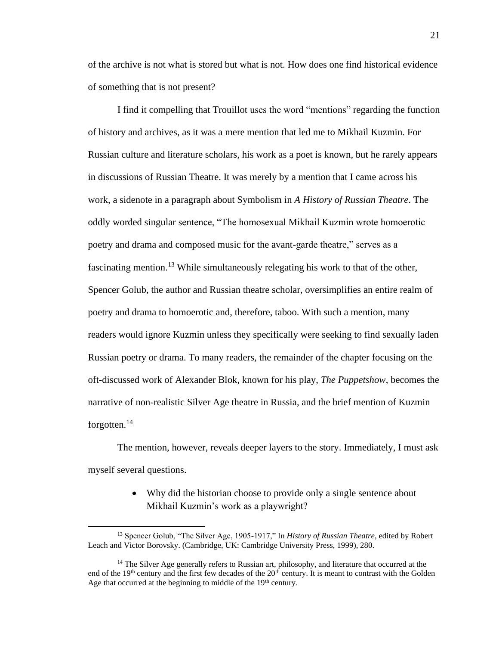of the archive is not what is stored but what is not. How does one find historical evidence of something that is not present?

I find it compelling that Trouillot uses the word "mentions" regarding the function of history and archives, as it was a mere mention that led me to Mikhail Kuzmin. For Russian culture and literature scholars, his work as a poet is known, but he rarely appears in discussions of Russian Theatre. It was merely by a mention that I came across his work, a sidenote in a paragraph about Symbolism in *A History of Russian Theatre*. The oddly worded singular sentence, "The homosexual Mikhail Kuzmin wrote homoerotic poetry and drama and composed music for the avant-garde theatre," serves as a fascinating mention.<sup>13</sup> While simultaneously relegating his work to that of the other, Spencer Golub, the author and Russian theatre scholar, oversimplifies an entire realm of poetry and drama to homoerotic and, therefore, taboo. With such a mention, many readers would ignore Kuzmin unless they specifically were seeking to find sexually laden Russian poetry or drama. To many readers, the remainder of the chapter focusing on the oft-discussed work of Alexander Blok, known for his play, *The Puppetshow*, becomes the narrative of non-realistic Silver Age theatre in Russia, and the brief mention of Kuzmin forgotten. $^{14}$ 

The mention, however, reveals deeper layers to the story. Immediately, I must ask myself several questions.

> • Why did the historian choose to provide only a single sentence about Mikhail Kuzmin's work as a playwright?

<sup>13</sup> Spencer Golub, "The Silver Age, 1905-1917," In *History of Russian Theatre*, edited by Robert Leach and Victor Borovsky. (Cambridge, UK: Cambridge University Press, 1999), 280.

<sup>&</sup>lt;sup>14</sup> The Silver Age generally refers to Russian art, philosophy, and literature that occurred at the end of the 19<sup>th</sup> century and the first few decades of the 20<sup>th</sup> century. It is meant to contrast with the Golden Age that occurred at the beginning to middle of the  $19<sup>th</sup>$  century.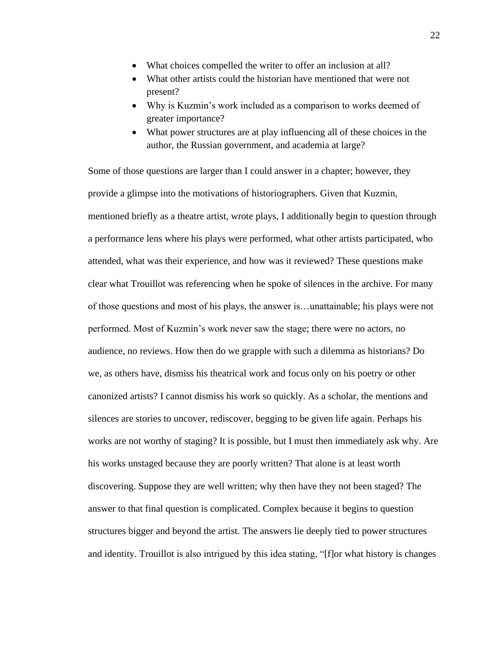- What choices compelled the writer to offer an inclusion at all?
- What other artists could the historian have mentioned that were not present?
- Why is Kuzmin's work included as a comparison to works deemed of greater importance?
- What power structures are at play influencing all of these choices in the author, the Russian government, and academia at large?

Some of those questions are larger than I could answer in a chapter; however, they provide a glimpse into the motivations of historiographers. Given that Kuzmin, mentioned briefly as a theatre artist, wrote plays, I additionally begin to question through a performance lens where his plays were performed, what other artists participated, who attended, what was their experience, and how was it reviewed? These questions make clear what Trouillot was referencing when he spoke of silences in the archive. For many of those questions and most of his plays, the answer is…unattainable; his plays were not performed. Most of Kuzmin's work never saw the stage; there were no actors, no audience, no reviews. How then do we grapple with such a dilemma as historians? Do we, as others have, dismiss his theatrical work and focus only on his poetry or other canonized artists? I cannot dismiss his work so quickly. As a scholar, the mentions and silences are stories to uncover, rediscover, begging to be given life again. Perhaps his works are not worthy of staging? It is possible, but I must then immediately ask why. Are his works unstaged because they are poorly written? That alone is at least worth discovering. Suppose they are well written; why then have they not been staged? The answer to that final question is complicated. Complex because it begins to question structures bigger and beyond the artist. The answers lie deeply tied to power structures and identity. Trouillot is also intrigued by this idea stating, "[f]or what history is changes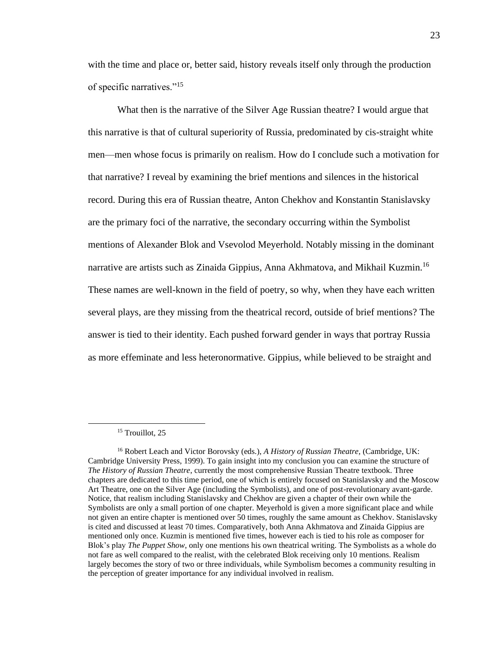with the time and place or, better said, history reveals itself only through the production of specific narratives."<sup>15</sup>

What then is the narrative of the Silver Age Russian theatre? I would argue that this narrative is that of cultural superiority of Russia, predominated by cis-straight white men—men whose focus is primarily on realism. How do I conclude such a motivation for that narrative? I reveal by examining the brief mentions and silences in the historical record. During this era of Russian theatre, Anton Chekhov and Konstantin Stanislavsky are the primary foci of the narrative, the secondary occurring within the Symbolist mentions of Alexander Blok and Vsevolod Meyerhold. Notably missing in the dominant narrative are artists such as Zinaida Gippius, Anna Akhmatova, and Mikhail Kuzmin.<sup>16</sup> These names are well-known in the field of poetry, so why, when they have each written several plays, are they missing from the theatrical record, outside of brief mentions? The answer is tied to their identity. Each pushed forward gender in ways that portray Russia as more effeminate and less heteronormative. Gippius, while believed to be straight and

<sup>&</sup>lt;sup>15</sup> Trouillot, 25

<sup>16</sup> Robert Leach and Victor Borovsky (eds.), *A History of Russian Theatre,* (Cambridge, UK: Cambridge University Press, 1999). To gain insight into my conclusion you can examine the structure of *The History of Russian Theatre*, currently the most comprehensive Russian Theatre textbook. Three chapters are dedicated to this time period, one of which is entirely focused on Stanislavsky and the Moscow Art Theatre, one on the Silver Age (including the Symbolists), and one of post-revolutionary avant-garde. Notice, that realism including Stanislavsky and Chekhov are given a chapter of their own while the Symbolists are only a small portion of one chapter. Meyerhold is given a more significant place and while not given an entire chapter is mentioned over 50 times, roughly the same amount as Chekhov. Stanislavsky is cited and discussed at least 70 times. Comparatively, both Anna Akhmatova and Zinaida Gippius are mentioned only once. Kuzmin is mentioned five times, however each is tied to his role as composer for Blok's play *The Puppet Show*, only one mentions his own theatrical writing. The Symbolists as a whole do not fare as well compared to the realist, with the celebrated Blok receiving only 10 mentions. Realism largely becomes the story of two or three individuals, while Symbolism becomes a community resulting in the perception of greater importance for any individual involved in realism.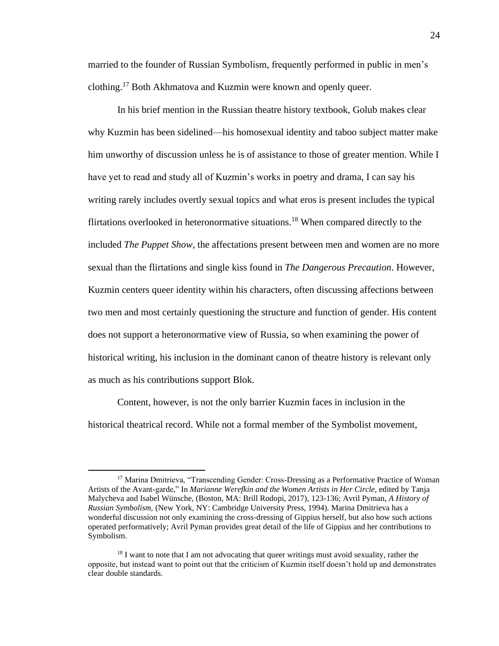married to the founder of Russian Symbolism, frequently performed in public in men's clothing.<sup>17</sup> Both Akhmatova and Kuzmin were known and openly queer.

In his brief mention in the Russian theatre history textbook, Golub makes clear why Kuzmin has been sidelined—his homosexual identity and taboo subject matter make him unworthy of discussion unless he is of assistance to those of greater mention. While I have yet to read and study all of Kuzmin's works in poetry and drama, I can say his writing rarely includes overtly sexual topics and what eros is present includes the typical flirtations overlooked in heteronormative situations.<sup>18</sup> When compared directly to the included *The Puppet Show,* the affectations present between men and women are no more sexual than the flirtations and single kiss found in *The Dangerous Precaution*. However, Kuzmin centers queer identity within his characters, often discussing affections between two men and most certainly questioning the structure and function of gender. His content does not support a heteronormative view of Russia, so when examining the power of historical writing, his inclusion in the dominant canon of theatre history is relevant only as much as his contributions support Blok.

Content, however, is not the only barrier Kuzmin faces in inclusion in the historical theatrical record. While not a formal member of the Symbolist movement,

<sup>&</sup>lt;sup>17</sup> Marina Dmitrieva, "Transcending Gender: Cross-Dressing as a Performative Practice of Woman Artists of the Avant-garde," In *Marianne Werefkin and the Women Artists in Her Circle,* edited by Tanja Malycheva and Isabel Wünsche, (Boston, MA: Brill Rodopi, 2017), 123-136; Avril Pyman, *A History of Russian Symbolism,* (New York, NY: Cambridge University Press, 1994). Marina Dmitrieva has a wonderful discussion not only examining the cross-dressing of Gippius herself, but also how such actions operated performatively; Avril Pyman provides great detail of the life of Gippius and her contributions to Symbolism.

 $18$  I want to note that I am not advocating that queer writings must avoid sexuality, rather the opposite, but instead want to point out that the criticism of Kuzmin itself doesn't hold up and demonstrates clear double standards.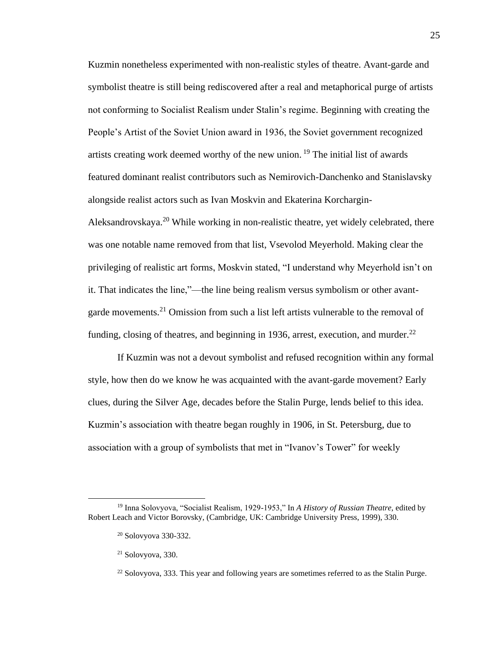Kuzmin nonetheless experimented with non-realistic styles of theatre. Avant-garde and symbolist theatre is still being rediscovered after a real and metaphorical purge of artists not conforming to Socialist Realism under Stalin's regime. Beginning with creating the People's Artist of the Soviet Union award in 1936, the Soviet government recognized artists creating work deemed worthy of the new union. <sup>19</sup> The initial list of awards featured dominant realist contributors such as Nemirovich-Danchenko and Stanislavsky alongside realist actors such as Ivan Moskvin and Ekaterina Korchargin-Aleksandrovskaya.<sup>20</sup> While working in non-realistic theatre, yet widely celebrated, there was one notable name removed from that list, Vsevolod Meyerhold. Making clear the privileging of realistic art forms, Moskvin stated, "I understand why Meyerhold isn't on it. That indicates the line,"—the line being realism versus symbolism or other avantgarde movements.<sup>21</sup> Omission from such a list left artists vulnerable to the removal of funding, closing of theatres, and beginning in 1936, arrest, execution, and murder. $^{22}$ 

If Kuzmin was not a devout symbolist and refused recognition within any formal style, how then do we know he was acquainted with the avant-garde movement? Early clues, during the Silver Age, decades before the Stalin Purge, lends belief to this idea. Kuzmin's association with theatre began roughly in 1906, in St. Petersburg, due to association with a group of symbolists that met in "Ivanov's Tower" for weekly

<sup>19</sup> Inna Solovyova, "Socialist Realism, 1929-1953," In *A History of Russian Theatre,* edited by Robert Leach and Victor Borovsky, (Cambridge, UK: Cambridge University Press, 1999), 330.

<sup>20</sup> Solovyova 330-332.

 $21$  Solovyova, 330.

 $22$  Solovyova, 333. This year and following years are sometimes referred to as the Stalin Purge.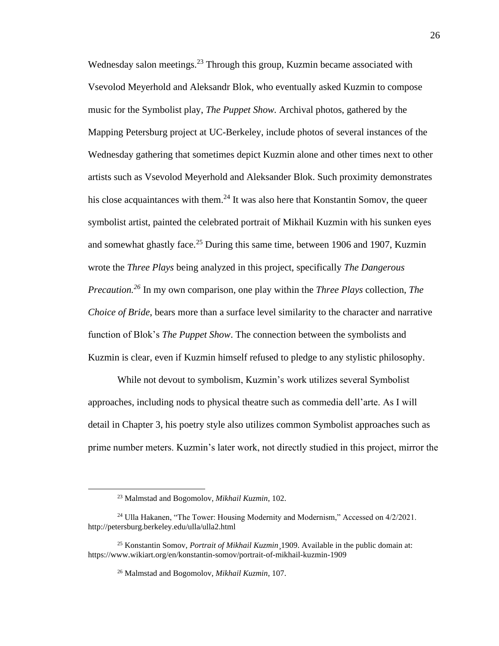Wednesday salon meetings.<sup>23</sup> Through this group, Kuzmin became associated with Vsevolod Meyerhold and Aleksandr Blok, who eventually asked Kuzmin to compose music for the Symbolist play, *The Puppet Show.* Archival photos, gathered by the Mapping Petersburg project at UC-Berkeley, include photos of several instances of the Wednesday gathering that sometimes depict Kuzmin alone and other times next to other artists such as Vsevolod Meyerhold and Aleksander Blok. Such proximity demonstrates his close acquaintances with them.<sup>24</sup> It was also here that Konstantin Somov, the queer symbolist artist, painted the celebrated portrait of Mikhail Kuzmin with his sunken eyes and somewhat ghastly face.<sup>25</sup> During this same time, between 1906 and 1907, Kuzmin wrote the *Three Plays* being analyzed in this project, specifically *The Dangerous Precaution.<sup>26</sup>* In my own comparison, one play within the *Three Plays* collection, *The Choice of Bride*, bears more than a surface level similarity to the character and narrative function of Blok's *The Puppet Show*. The connection between the symbolists and Kuzmin is clear, even if Kuzmin himself refused to pledge to any stylistic philosophy.

While not devout to symbolism, Kuzmin's work utilizes several Symbolist approaches, including nods to physical theatre such as commedia dell'arte. As I will detail in Chapter 3, his poetry style also utilizes common Symbolist approaches such as prime number meters. Kuzmin's later work, not directly studied in this project, mirror the

<sup>23</sup> Malmstad and Bogomolov, *Mikhail Kuzmin*, 102.

<sup>&</sup>lt;sup>24</sup> Ulla Hakanen, "The Tower: Housing Modernity and Modernism," Accessed on 4/2/2021. http://petersburg.berkeley.edu/ulla/ulla2.html

<sup>25</sup> Konstantin Somov, *Portrait of Mikhail Kuzmin*¸1909. Available in the public domain at: https://www.wikiart.org/en/konstantin-somov/portrait-of-mikhail-kuzmin-1909

<sup>26</sup> Malmstad and Bogomolov, *Mikhail Kuzmin,* 107.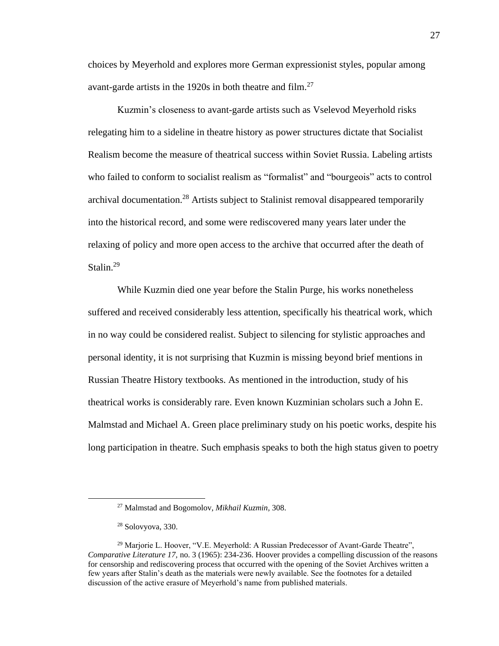choices by Meyerhold and explores more German expressionist styles, popular among avant-garde artists in the 1920s in both theatre and film.<sup>27</sup>

Kuzmin's closeness to avant-garde artists such as Vselevod Meyerhold risks relegating him to a sideline in theatre history as power structures dictate that Socialist Realism become the measure of theatrical success within Soviet Russia. Labeling artists who failed to conform to socialist realism as "formalist" and "bourgeois" acts to control archival documentation.<sup>28</sup> Artists subject to Stalinist removal disappeared temporarily into the historical record, and some were rediscovered many years later under the relaxing of policy and more open access to the archive that occurred after the death of Stalin.<sup>29</sup>

While Kuzmin died one year before the Stalin Purge, his works nonetheless suffered and received considerably less attention, specifically his theatrical work, which in no way could be considered realist. Subject to silencing for stylistic approaches and personal identity, it is not surprising that Kuzmin is missing beyond brief mentions in Russian Theatre History textbooks. As mentioned in the introduction, study of his theatrical works is considerably rare. Even known Kuzminian scholars such a John E. Malmstad and Michael A. Green place preliminary study on his poetic works, despite his long participation in theatre. Such emphasis speaks to both the high status given to poetry

<sup>27</sup> Malmstad and Bogomolov, *Mikhail Kuzmin,* 308.

<sup>28</sup> Solovyova, 330.

<sup>&</sup>lt;sup>29</sup> Marjorie L. Hoover, "V.E. Meyerhold: A Russian Predecessor of Avant-Garde Theatre", *Comparative Literature 17,* no. 3 (1965): 234-236. Hoover provides a compelling discussion of the reasons for censorship and rediscovering process that occurred with the opening of the Soviet Archives written a few years after Stalin's death as the materials were newly available. See the footnotes for a detailed discussion of the active erasure of Meyerhold's name from published materials.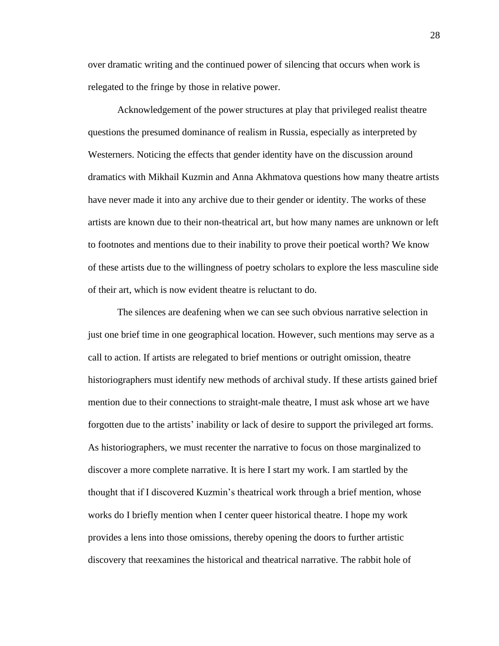over dramatic writing and the continued power of silencing that occurs when work is relegated to the fringe by those in relative power.

Acknowledgement of the power structures at play that privileged realist theatre questions the presumed dominance of realism in Russia, especially as interpreted by Westerners. Noticing the effects that gender identity have on the discussion around dramatics with Mikhail Kuzmin and Anna Akhmatova questions how many theatre artists have never made it into any archive due to their gender or identity. The works of these artists are known due to their non-theatrical art, but how many names are unknown or left to footnotes and mentions due to their inability to prove their poetical worth? We know of these artists due to the willingness of poetry scholars to explore the less masculine side of their art, which is now evident theatre is reluctant to do.

The silences are deafening when we can see such obvious narrative selection in just one brief time in one geographical location. However, such mentions may serve as a call to action. If artists are relegated to brief mentions or outright omission, theatre historiographers must identify new methods of archival study. If these artists gained brief mention due to their connections to straight-male theatre, I must ask whose art we have forgotten due to the artists' inability or lack of desire to support the privileged art forms. As historiographers, we must recenter the narrative to focus on those marginalized to discover a more complete narrative. It is here I start my work. I am startled by the thought that if I discovered Kuzmin's theatrical work through a brief mention, whose works do I briefly mention when I center queer historical theatre. I hope my work provides a lens into those omissions, thereby opening the doors to further artistic discovery that reexamines the historical and theatrical narrative. The rabbit hole of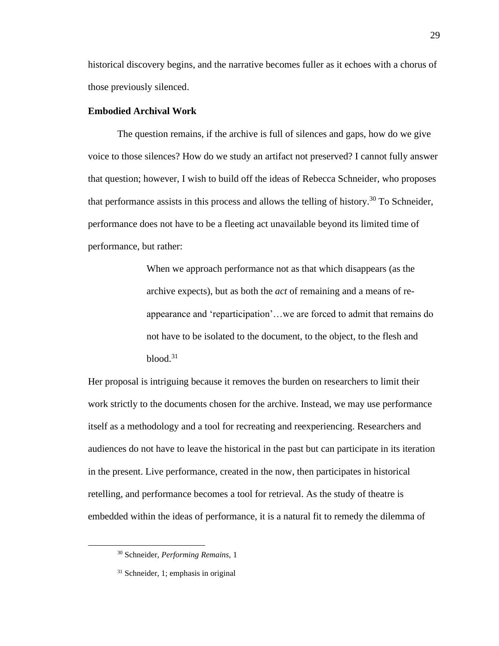historical discovery begins, and the narrative becomes fuller as it echoes with a chorus of those previously silenced.

#### **Embodied Archival Work**

The question remains, if the archive is full of silences and gaps, how do we give voice to those silences? How do we study an artifact not preserved? I cannot fully answer that question; however, I wish to build off the ideas of Rebecca Schneider, who proposes that performance assists in this process and allows the telling of history.<sup>30</sup> To Schneider, performance does not have to be a fleeting act unavailable beyond its limited time of performance, but rather:

> When we approach performance not as that which disappears (as the archive expects), but as both the *act* of remaining and a means of reappearance and 'reparticipation'…we are forced to admit that remains do not have to be isolated to the document, to the object, to the flesh and  $blood.<sup>31</sup>$

Her proposal is intriguing because it removes the burden on researchers to limit their work strictly to the documents chosen for the archive. Instead, we may use performance itself as a methodology and a tool for recreating and reexperiencing. Researchers and audiences do not have to leave the historical in the past but can participate in its iteration in the present. Live performance, created in the now, then participates in historical retelling, and performance becomes a tool for retrieval. As the study of theatre is embedded within the ideas of performance, it is a natural fit to remedy the dilemma of

<sup>30</sup> Schneider, *Performing Remains,* 1

<sup>31</sup> Schneider, 1; emphasis in original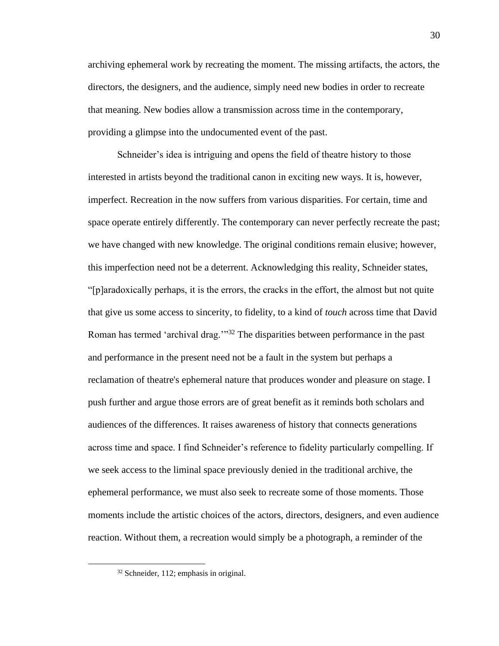archiving ephemeral work by recreating the moment. The missing artifacts, the actors, the directors, the designers, and the audience, simply need new bodies in order to recreate that meaning. New bodies allow a transmission across time in the contemporary, providing a glimpse into the undocumented event of the past.

Schneider's idea is intriguing and opens the field of theatre history to those interested in artists beyond the traditional canon in exciting new ways. It is, however, imperfect. Recreation in the now suffers from various disparities. For certain, time and space operate entirely differently. The contemporary can never perfectly recreate the past; we have changed with new knowledge. The original conditions remain elusive; however, this imperfection need not be a deterrent. Acknowledging this reality, Schneider states, "[p]aradoxically perhaps, it is the errors, the cracks in the effort, the almost but not quite that give us some access to sincerity, to fidelity, to a kind of *touch* across time that David Roman has termed 'archival drag.'<sup>33</sup> The disparities between performance in the past and performance in the present need not be a fault in the system but perhaps a reclamation of theatre's ephemeral nature that produces wonder and pleasure on stage. I push further and argue those errors are of great benefit as it reminds both scholars and audiences of the differences. It raises awareness of history that connects generations across time and space. I find Schneider's reference to fidelity particularly compelling. If we seek access to the liminal space previously denied in the traditional archive, the ephemeral performance, we must also seek to recreate some of those moments. Those moments include the artistic choices of the actors, directors, designers, and even audience reaction. Without them, a recreation would simply be a photograph, a reminder of the

<sup>32</sup> Schneider, 112; emphasis in original.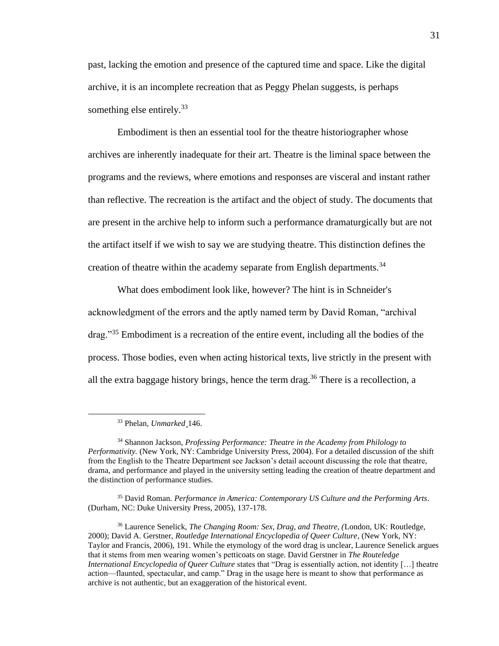past, lacking the emotion and presence of the captured time and space. Like the digital archive, it is an incomplete recreation that as Peggy Phelan suggests, is perhaps something else entirely.<sup>33</sup>

Embodiment is then an essential tool for the theatre historiographer whose archives are inherently inadequate for their art. Theatre is the liminal space between the programs and the reviews, where emotions and responses are visceral and instant rather than reflective. The recreation is the artifact and the object of study. The documents that are present in the archive help to inform such a performance dramaturgically but are not the artifact itself if we wish to say we are studying theatre. This distinction defines the creation of theatre within the academy separate from English departments.<sup>34</sup>

What does embodiment look like, however? The hint is in Schneider's acknowledgment of the errors and the aptly named term by David Roman, "archival drag."<sup>35</sup> Embodiment is a recreation of the entire event, including all the bodies of the process. Those bodies, even when acting historical texts, live strictly in the present with all the extra baggage history brings, hence the term drag.<sup>36</sup> There is a recollection, a

<sup>35</sup> David Roman. *Performance in America: Contemporary US Culture and the Performing Arts*. (Durham, NC: Duke University Press, 2005), 137-178.

<sup>33</sup> Phelan, *Unmarked*¸146.

<sup>34</sup> Shannon Jackson, *Professing Performance: Theatre in the Academy from Philology to Performativity.* (New York, NY: Cambridge University Press, 2004). For a detailed discussion of the shift from the English to the Theatre Department see Jackson's detail account discussing the role that theatre, drama, and performance and played in the university setting leading the creation of theatre department and the distinction of performance studies.

<sup>36</sup> Laurence Senelick, *The Changing Room: Sex, Drag, and Theatre, (*London, UK: Routledge, 2000); David A. Gerstner, *Routledge International Encyclopedia of Queer Culture*, (New York, NY: Taylor and Francis, 2006), 191. While the etymology of the word drag is unclear, Laurence Senelick argues that it stems from men wearing women's petticoats on stage. David Gerstner in *The Routeledge International Encyclopedia of Queer Culture states that "Drag is essentially action, not identity [...] theatre* action—flaunted, spectacular, and camp." Drag in the usage here is meant to show that performance as archive is not authentic, but an exaggeration of the historical event.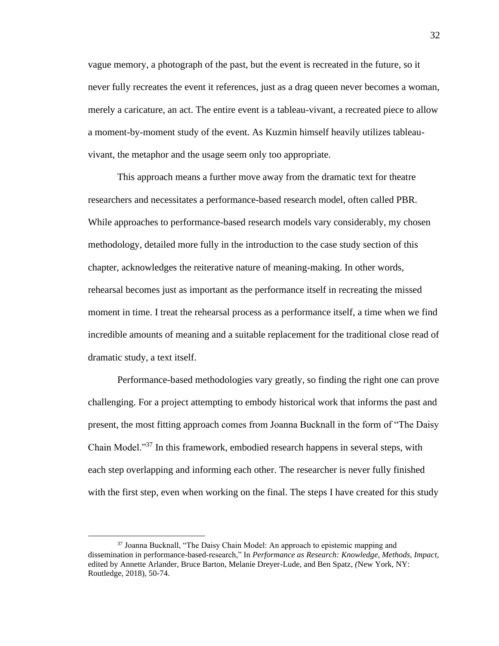vague memory, a photograph of the past, but the event is recreated in the future, so it never fully recreates the event it references, just as a drag queen never becomes a woman, merely a caricature, an act. The entire event is a tableau-vivant, a recreated piece to allow a moment-by-moment study of the event. As Kuzmin himself heavily utilizes tableauvivant, the metaphor and the usage seem only too appropriate.

This approach means a further move away from the dramatic text for theatre researchers and necessitates a performance-based research model, often called PBR. While approaches to performance-based research models vary considerably, my chosen methodology, detailed more fully in the introduction to the case study section of this chapter, acknowledges the reiterative nature of meaning-making. In other words, rehearsal becomes just as important as the performance itself in recreating the missed moment in time. I treat the rehearsal process as a performance itself, a time when we find incredible amounts of meaning and a suitable replacement for the traditional close read of dramatic study, a text itself.

Performance-based methodologies vary greatly, so finding the right one can prove challenging. For a project attempting to embody historical work that informs the past and present, the most fitting approach comes from Joanna Bucknall in the form of "The Daisy Chain Model."<sup>37</sup> In this framework, embodied research happens in several steps, with each step overlapping and informing each other. The researcher is never fully finished with the first step, even when working on the final. The steps I have created for this study

<sup>&</sup>lt;sup>37</sup> Joanna Bucknall, "The Daisy Chain Model: An approach to epistemic mapping and dissemination in performance-based-research," In *Performance as Research: Knowledge, Methods, Impact,*  edited by Annette Arlander, Bruce Barton, Melanie Dreyer-Lude, and Ben Spatz*, (*New York, NY: Routledge, 2018), 50-74.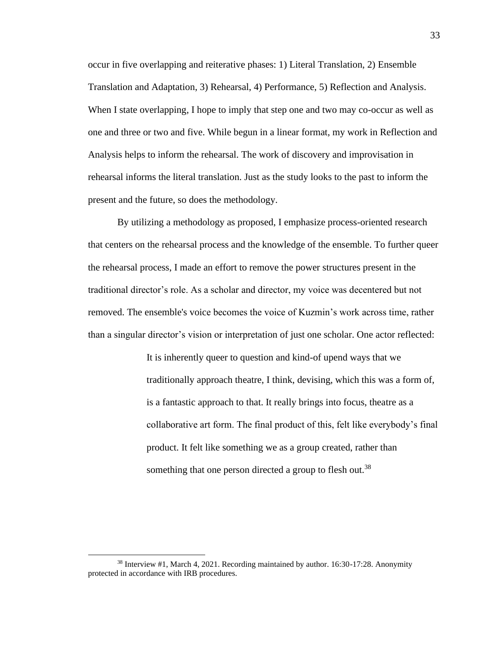occur in five overlapping and reiterative phases: 1) Literal Translation, 2) Ensemble Translation and Adaptation, 3) Rehearsal, 4) Performance, 5) Reflection and Analysis. When I state overlapping, I hope to imply that step one and two may co-occur as well as one and three or two and five. While begun in a linear format, my work in Reflection and Analysis helps to inform the rehearsal. The work of discovery and improvisation in rehearsal informs the literal translation. Just as the study looks to the past to inform the present and the future, so does the methodology.

By utilizing a methodology as proposed, I emphasize process-oriented research that centers on the rehearsal process and the knowledge of the ensemble. To further queer the rehearsal process, I made an effort to remove the power structures present in the traditional director's role. As a scholar and director, my voice was decentered but not removed. The ensemble's voice becomes the voice of Kuzmin's work across time, rather than a singular director's vision or interpretation of just one scholar. One actor reflected:

> It is inherently queer to question and kind-of upend ways that we traditionally approach theatre, I think, devising, which this was a form of, is a fantastic approach to that. It really brings into focus, theatre as a collaborative art form. The final product of this, felt like everybody's final product. It felt like something we as a group created, rather than something that one person directed a group to flesh out.<sup>38</sup>

<sup>38</sup> Interview #1, March 4, 2021. Recording maintained by author. 16:30-17:28. Anonymity protected in accordance with IRB procedures.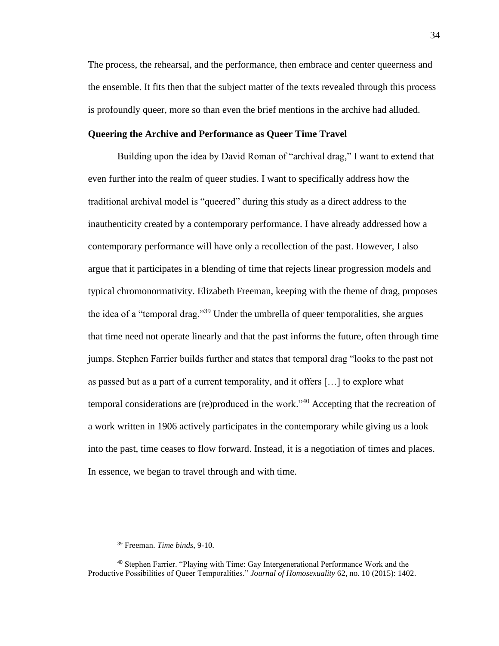The process, the rehearsal, and the performance, then embrace and center queerness and the ensemble. It fits then that the subject matter of the texts revealed through this process is profoundly queer, more so than even the brief mentions in the archive had alluded.

## **Queering the Archive and Performance as Queer Time Travel**

Building upon the idea by David Roman of "archival drag," I want to extend that even further into the realm of queer studies. I want to specifically address how the traditional archival model is "queered" during this study as a direct address to the inauthenticity created by a contemporary performance. I have already addressed how a contemporary performance will have only a recollection of the past. However, I also argue that it participates in a blending of time that rejects linear progression models and typical chromonormativity. Elizabeth Freeman, keeping with the theme of drag, proposes the idea of a "temporal drag."<sup>39</sup> Under the umbrella of queer temporalities, she argues that time need not operate linearly and that the past informs the future, often through time jumps. Stephen Farrier builds further and states that temporal drag "looks to the past not as passed but as a part of a current temporality, and it offers […] to explore what temporal considerations are (re)produced in the work."<sup>40</sup> Accepting that the recreation of a work written in 1906 actively participates in the contemporary while giving us a look into the past, time ceases to flow forward. Instead, it is a negotiation of times and places. In essence, we began to travel through and with time.

<sup>39</sup> Freeman. *Time binds*, 9-10.

<sup>40</sup> Stephen Farrier. "Playing with Time: Gay Intergenerational Performance Work and the Productive Possibilities of Queer Temporalities." *Journal of Homosexuality* 62, no. 10 (2015): 1402.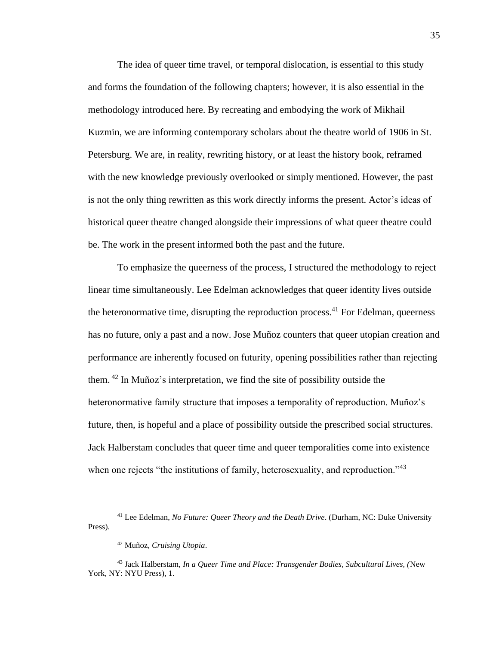The idea of queer time travel, or temporal dislocation, is essential to this study and forms the foundation of the following chapters; however, it is also essential in the methodology introduced here. By recreating and embodying the work of Mikhail Kuzmin, we are informing contemporary scholars about the theatre world of 1906 in St. Petersburg. We are, in reality, rewriting history, or at least the history book, reframed with the new knowledge previously overlooked or simply mentioned. However, the past is not the only thing rewritten as this work directly informs the present. Actor's ideas of historical queer theatre changed alongside their impressions of what queer theatre could be. The work in the present informed both the past and the future.

To emphasize the queerness of the process, I structured the methodology to reject linear time simultaneously. Lee Edelman acknowledges that queer identity lives outside the heteronormative time, disrupting the reproduction process.<sup>41</sup> For Edelman, queerness has no future, only a past and a now. Jose Muñoz counters that queer utopian creation and performance are inherently focused on futurity, opening possibilities rather than rejecting them. <sup>42</sup> In Muñoz's interpretation, we find the site of possibility outside the heteronormative family structure that imposes a temporality of reproduction. Muñoz's future, then, is hopeful and a place of possibility outside the prescribed social structures. Jack Halberstam concludes that queer time and queer temporalities come into existence when one rejects "the institutions of family, heterosexuality, and reproduction."<sup>43</sup>

<sup>41</sup> Lee Edelman, *No Future: Queer Theory and the Death Drive*. (Durham, NC: Duke University Press).

<sup>42</sup> Muñoz, *Cruising Utopia*.

<sup>43</sup> Jack Halberstam, *In a Queer Time and Place: Transgender Bodies, Subcultural Lives, (*New York, NY: NYU Press), 1.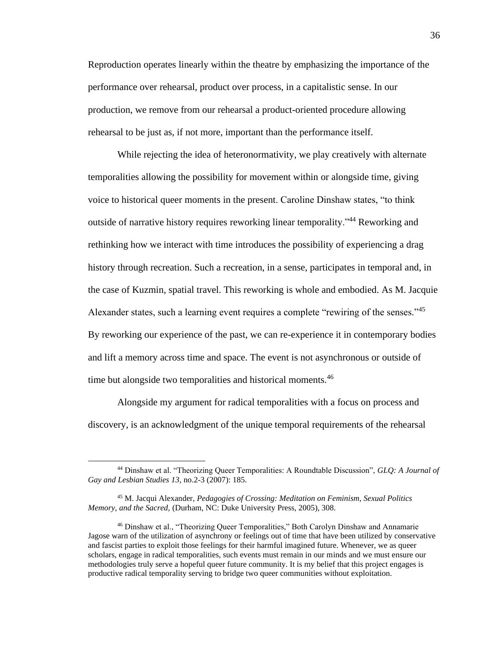Reproduction operates linearly within the theatre by emphasizing the importance of the performance over rehearsal, product over process, in a capitalistic sense. In our production, we remove from our rehearsal a product-oriented procedure allowing rehearsal to be just as, if not more, important than the performance itself.

While rejecting the idea of heteronormativity, we play creatively with alternate temporalities allowing the possibility for movement within or alongside time, giving voice to historical queer moments in the present. Caroline Dinshaw states, "to think outside of narrative history requires reworking linear temporality."<sup>44</sup> Reworking and rethinking how we interact with time introduces the possibility of experiencing a drag history through recreation. Such a recreation, in a sense, participates in temporal and, in the case of Kuzmin, spatial travel. This reworking is whole and embodied. As M. Jacquie Alexander states, such a learning event requires a complete "rewiring of the senses."<sup>45</sup> By reworking our experience of the past, we can re-experience it in contemporary bodies and lift a memory across time and space. The event is not asynchronous or outside of time but alongside two temporalities and historical moments.<sup>46</sup>

Alongside my argument for radical temporalities with a focus on process and discovery, is an acknowledgment of the unique temporal requirements of the rehearsal

<sup>44</sup> Dinshaw et al. "Theorizing Queer Temporalities: A Roundtable Discussion", *GLQ: A Journal of Gay and Lesbian Studies 13,* no.2-3 (2007): 185.

<sup>45</sup> M. Jacqui Alexander, *Pedagogies of Crossing: Meditation on Feminism, Sexual Politics Memory, and the Sacred,* (Durham, NC: Duke University Press, 2005), 308.

<sup>46</sup> Dinshaw et al., "Theorizing Queer Temporalities," Both Carolyn Dinshaw and Annamarie Jagose warn of the utilization of asynchrony or feelings out of time that have been utilized by conservative and fascist parties to exploit those feelings for their harmful imagined future. Whenever, we as queer scholars, engage in radical temporalities, such events must remain in our minds and we must ensure our methodologies truly serve a hopeful queer future community. It is my belief that this project engages is productive radical temporality serving to bridge two queer communities without exploitation.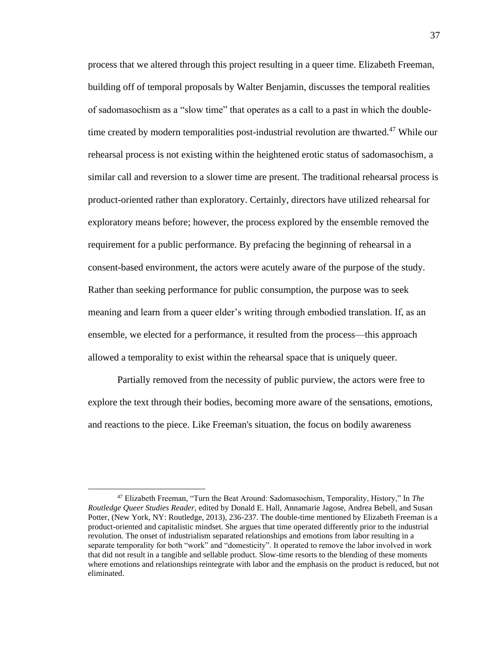process that we altered through this project resulting in a queer time. Elizabeth Freeman, building off of temporal proposals by Walter Benjamin, discusses the temporal realities of sadomasochism as a "slow time" that operates as a call to a past in which the doubletime created by modern temporalities post-industrial revolution are thwarted.<sup>47</sup> While our rehearsal process is not existing within the heightened erotic status of sadomasochism, a similar call and reversion to a slower time are present. The traditional rehearsal process is product-oriented rather than exploratory. Certainly, directors have utilized rehearsal for exploratory means before; however, the process explored by the ensemble removed the requirement for a public performance. By prefacing the beginning of rehearsal in a consent-based environment, the actors were acutely aware of the purpose of the study. Rather than seeking performance for public consumption, the purpose was to seek meaning and learn from a queer elder's writing through embodied translation. If, as an ensemble, we elected for a performance, it resulted from the process—this approach allowed a temporality to exist within the rehearsal space that is uniquely queer.

Partially removed from the necessity of public purview, the actors were free to explore the text through their bodies, becoming more aware of the sensations, emotions, and reactions to the piece. Like Freeman's situation, the focus on bodily awareness

<sup>47</sup> Elizabeth Freeman, "Turn the Beat Around: Sadomasochism, Temporality, History," In *The Routledge Queer Studies Reader,* edited by Donald E. Hall, Annamarie Jagose, Andrea Bebell, and Susan Potter, (New York, NY: Routledge, 2013), 236-237. The double-time mentioned by Elizabeth Freeman is a product-oriented and capitalistic mindset. She argues that time operated differently prior to the industrial revolution. The onset of industrialism separated relationships and emotions from labor resulting in a separate temporality for both "work" and "domesticity". It operated to remove the labor involved in work that did not result in a tangible and sellable product. Slow-time resorts to the blending of these moments where emotions and relationships reintegrate with labor and the emphasis on the product is reduced, but not eliminated.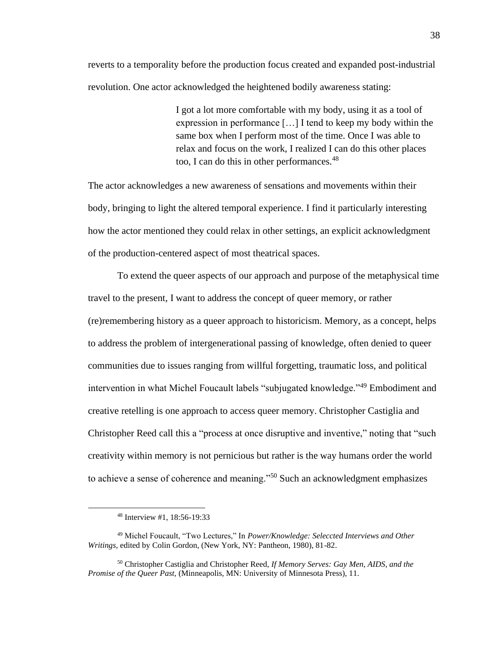reverts to a temporality before the production focus created and expanded post-industrial revolution. One actor acknowledged the heightened bodily awareness stating:

> I got a lot more comfortable with my body, using it as a tool of expression in performance […] I tend to keep my body within the same box when I perform most of the time. Once I was able to relax and focus on the work, I realized I can do this other places too, I can do this in other performances.<sup>48</sup>

The actor acknowledges a new awareness of sensations and movements within their body, bringing to light the altered temporal experience. I find it particularly interesting how the actor mentioned they could relax in other settings, an explicit acknowledgment of the production-centered aspect of most theatrical spaces.

To extend the queer aspects of our approach and purpose of the metaphysical time travel to the present, I want to address the concept of queer memory, or rather (re)remembering history as a queer approach to historicism. Memory, as a concept, helps to address the problem of intergenerational passing of knowledge, often denied to queer communities due to issues ranging from willful forgetting, traumatic loss, and political intervention in what Michel Foucault labels "subjugated knowledge."<sup>49</sup> Embodiment and creative retelling is one approach to access queer memory. Christopher Castiglia and Christopher Reed call this a "process at once disruptive and inventive," noting that "such creativity within memory is not pernicious but rather is the way humans order the world to achieve a sense of coherence and meaning."<sup>50</sup> Such an acknowledgment emphasizes

<sup>48</sup> Interview #1, 18:56-19:33

<sup>49</sup> Michel Foucault, "Two Lectures," In *Power/Knowledge: Seleccted Interviews and Other Writings,* edited by Colin Gordon, (New York, NY: Pantheon, 1980), 81-82.

<sup>50</sup> Christopher Castiglia and Christopher Reed, *If Memory Serves: Gay Men, AIDS, and the Promise of the Queer Past,* (Minneapolis, MN: University of Minnesota Press), 11.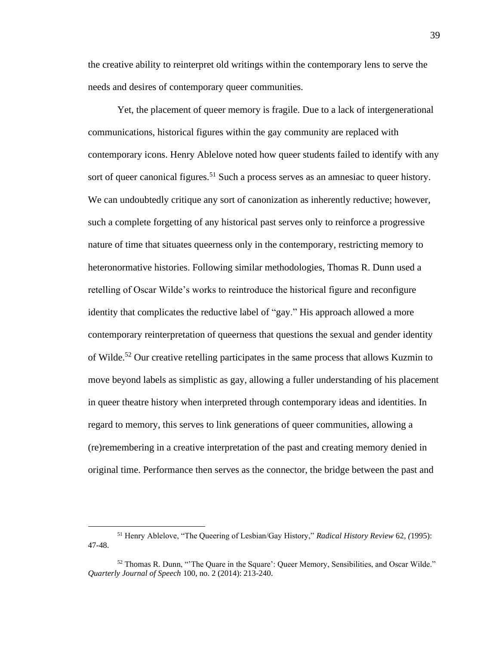the creative ability to reinterpret old writings within the contemporary lens to serve the needs and desires of contemporary queer communities.

Yet, the placement of queer memory is fragile. Due to a lack of intergenerational communications, historical figures within the gay community are replaced with contemporary icons. Henry Ablelove noted how queer students failed to identify with any sort of queer canonical figures.<sup>51</sup> Such a process serves as an amnesiac to queer history. We can undoubtedly critique any sort of canonization as inherently reductive; however, such a complete forgetting of any historical past serves only to reinforce a progressive nature of time that situates queerness only in the contemporary, restricting memory to heteronormative histories. Following similar methodologies, Thomas R. Dunn used a retelling of Oscar Wilde's works to reintroduce the historical figure and reconfigure identity that complicates the reductive label of "gay." His approach allowed a more contemporary reinterpretation of queerness that questions the sexual and gender identity of Wilde.<sup>52</sup> Our creative retelling participates in the same process that allows Kuzmin to move beyond labels as simplistic as gay, allowing a fuller understanding of his placement in queer theatre history when interpreted through contemporary ideas and identities. In regard to memory, this serves to link generations of queer communities, allowing a (re)remembering in a creative interpretation of the past and creating memory denied in original time. Performance then serves as the connector, the bridge between the past and

<sup>51</sup> Henry Ablelove, "The Queering of Lesbian/Gay History," *Radical History Review* 62*, (*1995): 47-48.

<sup>52</sup> Thomas R. Dunn, "'The Quare in the Square': Queer Memory, Sensibilities, and Oscar Wilde." *Quarterly Journal of Speech* 100, no. 2 (2014): 213-240.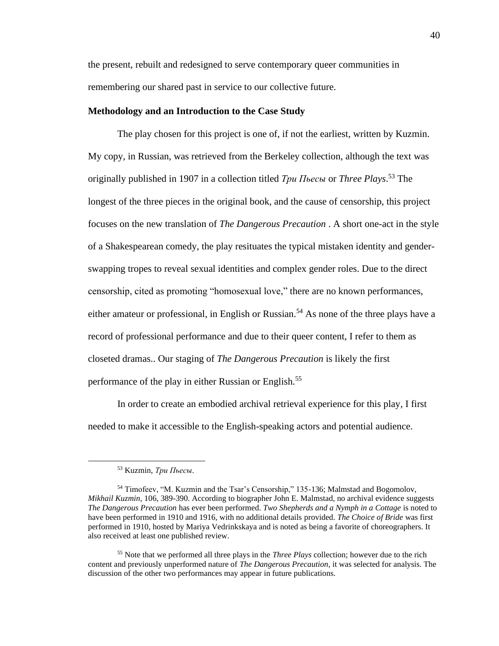the present, rebuilt and redesigned to serve contemporary queer communities in remembering our shared past in service to our collective future.

#### **Methodology and an Introduction to the Case Study**

The play chosen for this project is one of, if not the earliest, written by Kuzmin. My copy, in Russian, was retrieved from the Berkeley collection, although the text was originally published in 1907 in a collection titled *Три Пьесы* or *Three Plays*. <sup>53</sup> The longest of the three pieces in the original book, and the cause of censorship, this project focuses on the new translation of *The Dangerous Precaution* . A short one-act in the style of a Shakespearean comedy, the play resituates the typical mistaken identity and genderswapping tropes to reveal sexual identities and complex gender roles. Due to the direct censorship, cited as promoting "homosexual love," there are no known performances, either amateur or professional, in English or Russian.<sup>54</sup> As none of the three plays have a record of professional performance and due to their queer content, I refer to them as closeted dramas.. Our staging of *The Dangerous Precaution* is likely the first performance of the play in either Russian or English.<sup>55</sup>

In order to create an embodied archival retrieval experience for this play, I first needed to make it accessible to the English-speaking actors and potential audience.

<sup>53</sup> Kuzmin, *Три Пьесы*.

<sup>54</sup> Timofeev, "M. Kuzmin and the Tsar's Censorship," 135-136; Malmstad and Bogomolov, *Mikhail Kuzmin*, 106, 389-390. According to biographer John E. Malmstad, no archival evidence suggests *The Dangerous Precaution* has ever been performed. *Two Shepherds and a Nymph in a Cottage* is noted to have been performed in 1910 and 1916, with no additional details provided. *The Choice of Bride* was first performed in 1910, hosted by Mariya Vedrinkskaya and is noted as being a favorite of choreographers. It also received at least one published review.

<sup>55</sup> Note that we performed all three plays in the *Three Plays* collection; however due to the rich content and previously unperformed nature of *The Dangerous Precaution*, it was selected for analysis. The discussion of the other two performances may appear in future publications.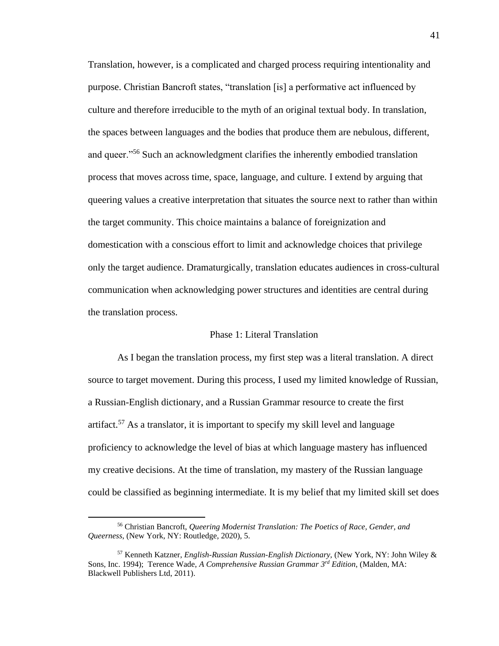Translation, however, is a complicated and charged process requiring intentionality and purpose. Christian Bancroft states, "translation [is] a performative act influenced by culture and therefore irreducible to the myth of an original textual body. In translation, the spaces between languages and the bodies that produce them are nebulous, different, and queer."<sup>56</sup> Such an acknowledgment clarifies the inherently embodied translation process that moves across time, space, language, and culture. I extend by arguing that queering values a creative interpretation that situates the source next to rather than within the target community. This choice maintains a balance of foreignization and domestication with a conscious effort to limit and acknowledge choices that privilege only the target audience. Dramaturgically, translation educates audiences in cross-cultural communication when acknowledging power structures and identities are central during the translation process.

# Phase 1: Literal Translation

As I began the translation process, my first step was a literal translation. A direct source to target movement. During this process, I used my limited knowledge of Russian, a Russian-English dictionary, and a Russian Grammar resource to create the first artifact.<sup>57</sup> As a translator, it is important to specify my skill level and language proficiency to acknowledge the level of bias at which language mastery has influenced my creative decisions. At the time of translation, my mastery of the Russian language could be classified as beginning intermediate. It is my belief that my limited skill set does

<sup>56</sup> Christian Bancroft, *Queering Modernist Translation: The Poetics of Race, Gender, and Queerness*, (New York, NY: Routledge, 2020), 5.

<sup>57</sup> Kenneth Katzner, *English-Russian Russian-English Dictionary,* (New York, NY: John Wiley & Sons, Inc. 1994); Terence Wade, *A Comprehensive Russian Grammar 3 rd Edition*, (Malden, MA: Blackwell Publishers Ltd, 2011).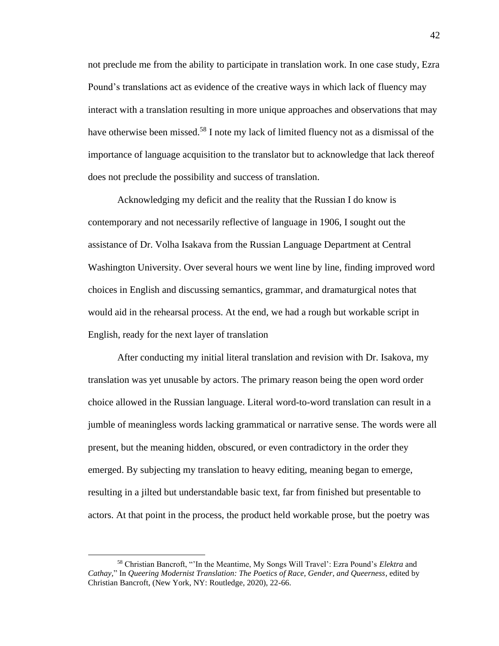not preclude me from the ability to participate in translation work. In one case study, Ezra Pound's translations act as evidence of the creative ways in which lack of fluency may interact with a translation resulting in more unique approaches and observations that may have otherwise been missed.<sup>58</sup> I note my lack of limited fluency not as a dismissal of the importance of language acquisition to the translator but to acknowledge that lack thereof does not preclude the possibility and success of translation.

Acknowledging my deficit and the reality that the Russian I do know is contemporary and not necessarily reflective of language in 1906, I sought out the assistance of Dr. Volha Isakava from the Russian Language Department at Central Washington University. Over several hours we went line by line, finding improved word choices in English and discussing semantics, grammar, and dramaturgical notes that would aid in the rehearsal process. At the end, we had a rough but workable script in English, ready for the next layer of translation

After conducting my initial literal translation and revision with Dr. Isakova, my translation was yet unusable by actors. The primary reason being the open word order choice allowed in the Russian language. Literal word-to-word translation can result in a jumble of meaningless words lacking grammatical or narrative sense. The words were all present, but the meaning hidden, obscured, or even contradictory in the order they emerged. By subjecting my translation to heavy editing, meaning began to emerge, resulting in a jilted but understandable basic text, far from finished but presentable to actors. At that point in the process, the product held workable prose, but the poetry was

<sup>58</sup> Christian Bancroft, "'In the Meantime, My Songs Will Travel': Ezra Pound's *Elektra* and *Cathay,*" In *Queering Modernist Translation: The Poetics of Race, Gender, and Queerness*, edited by Christian Bancroft, (New York, NY: Routledge, 2020), 22-66.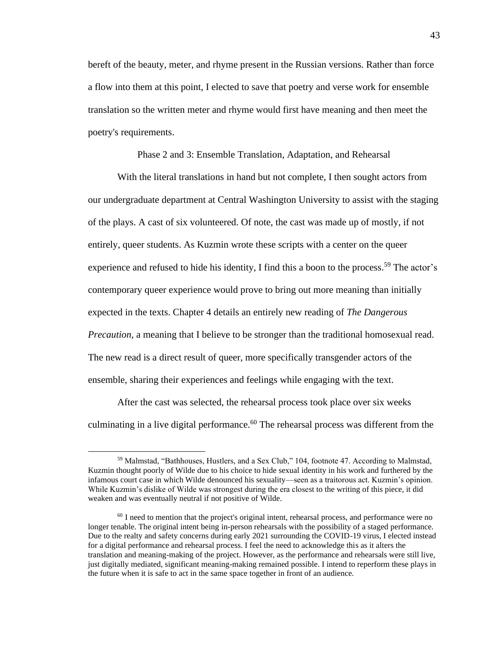bereft of the beauty, meter, and rhyme present in the Russian versions. Rather than force a flow into them at this point, I elected to save that poetry and verse work for ensemble translation so the written meter and rhyme would first have meaning and then meet the poetry's requirements.

Phase 2 and 3: Ensemble Translation, Adaptation, and Rehearsal

With the literal translations in hand but not complete, I then sought actors from our undergraduate department at Central Washington University to assist with the staging of the plays. A cast of six volunteered. Of note, the cast was made up of mostly, if not entirely, queer students. As Kuzmin wrote these scripts with a center on the queer experience and refused to hide his identity, I find this a boon to the process.<sup>59</sup> The actor's contemporary queer experience would prove to bring out more meaning than initially expected in the texts. Chapter 4 details an entirely new reading of *The Dangerous Precaution*, a meaning that I believe to be stronger than the traditional homosexual read. The new read is a direct result of queer, more specifically transgender actors of the ensemble, sharing their experiences and feelings while engaging with the text.

After the cast was selected, the rehearsal process took place over six weeks culminating in a live digital performance.<sup>60</sup> The rehearsal process was different from the

<sup>59</sup> Malmstad, "Bathhouses, Hustlers, and a Sex Club," 104, footnote 47. According to Malmstad, Kuzmin thought poorly of Wilde due to his choice to hide sexual identity in his work and furthered by the infamous court case in which Wilde denounced his sexuality—seen as a traitorous act. Kuzmin's opinion. While Kuzmin's dislike of Wilde was strongest during the era closest to the writing of this piece, it did weaken and was eventually neutral if not positive of Wilde.

<sup>&</sup>lt;sup>60</sup> I need to mention that the project's original intent, rehearsal process, and performance were no longer tenable. The original intent being in-person rehearsals with the possibility of a staged performance. Due to the realty and safety concerns during early 2021 surrounding the COVID-19 virus, I elected instead for a digital performance and rehearsal process. I feel the need to acknowledge this as it alters the translation and meaning-making of the project. However, as the performance and rehearsals were still live, just digitally mediated, significant meaning-making remained possible. I intend to reperform these plays in the future when it is safe to act in the same space together in front of an audience.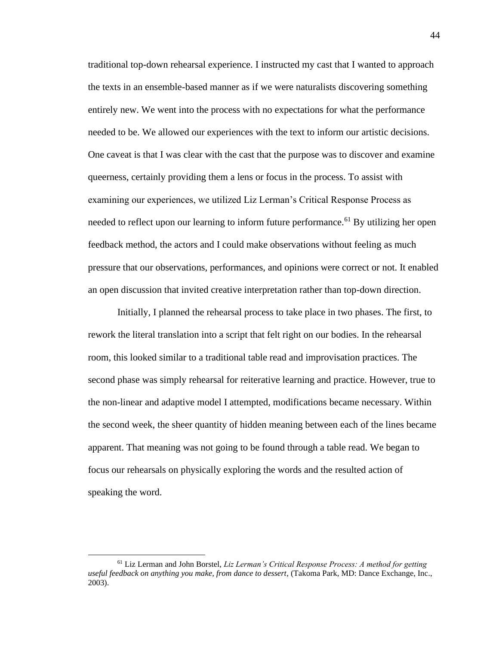traditional top-down rehearsal experience. I instructed my cast that I wanted to approach the texts in an ensemble-based manner as if we were naturalists discovering something entirely new. We went into the process with no expectations for what the performance needed to be. We allowed our experiences with the text to inform our artistic decisions. One caveat is that I was clear with the cast that the purpose was to discover and examine queerness, certainly providing them a lens or focus in the process. To assist with examining our experiences, we utilized Liz Lerman's Critical Response Process as needed to reflect upon our learning to inform future performance.<sup>61</sup> By utilizing her open feedback method, the actors and I could make observations without feeling as much pressure that our observations, performances, and opinions were correct or not. It enabled an open discussion that invited creative interpretation rather than top-down direction.

Initially, I planned the rehearsal process to take place in two phases. The first, to rework the literal translation into a script that felt right on our bodies. In the rehearsal room, this looked similar to a traditional table read and improvisation practices. The second phase was simply rehearsal for reiterative learning and practice. However, true to the non-linear and adaptive model I attempted, modifications became necessary. Within the second week, the sheer quantity of hidden meaning between each of the lines became apparent. That meaning was not going to be found through a table read. We began to focus our rehearsals on physically exploring the words and the resulted action of speaking the word.

<sup>61</sup> Liz Lerman and John Borstel, *Liz Lerman's Critical Response Process: A method for getting useful feedback on anything you make, from dance to dessert*, (Takoma Park, MD: Dance Exchange, Inc., 2003).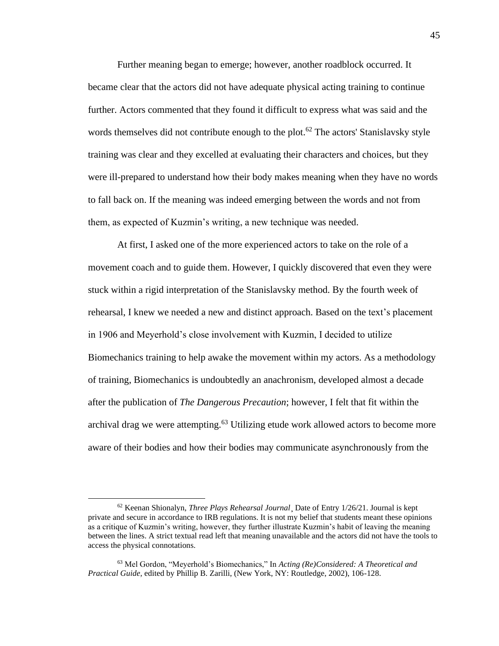Further meaning began to emerge; however, another roadblock occurred. It became clear that the actors did not have adequate physical acting training to continue further. Actors commented that they found it difficult to express what was said and the words themselves did not contribute enough to the plot.<sup>62</sup> The actors' Stanislavsky style training was clear and they excelled at evaluating their characters and choices, but they were ill-prepared to understand how their body makes meaning when they have no words to fall back on. If the meaning was indeed emerging between the words and not from them, as expected of Kuzmin's writing, a new technique was needed.

At first, I asked one of the more experienced actors to take on the role of a movement coach and to guide them. However, I quickly discovered that even they were stuck within a rigid interpretation of the Stanislavsky method. By the fourth week of rehearsal, I knew we needed a new and distinct approach. Based on the text's placement in 1906 and Meyerhold's close involvement with Kuzmin, I decided to utilize Biomechanics training to help awake the movement within my actors. As a methodology of training, Biomechanics is undoubtedly an anachronism, developed almost a decade after the publication of *The Dangerous Precaution*; however, I felt that fit within the archival drag we were attempting.<sup>63</sup> Utilizing etude work allowed actors to become more aware of their bodies and how their bodies may communicate asynchronously from the

<sup>62</sup> Keenan Shionalyn, *Three Plays Rehearsal Journal*¸ Date of Entry 1/26/21. Journal is kept private and secure in accordance to IRB regulations. It is not my belief that students meant these opinions as a critique of Kuzmin's writing, however, they further illustrate Kuzmin's habit of leaving the meaning between the lines. A strict textual read left that meaning unavailable and the actors did not have the tools to access the physical connotations.

<sup>63</sup> Mel Gordon, "Meyerhold's Biomechanics," In *Acting (Re)Considered: A Theoretical and Practical Guide,* edited by Phillip B. Zarilli, (New York, NY: Routledge, 2002), 106-128.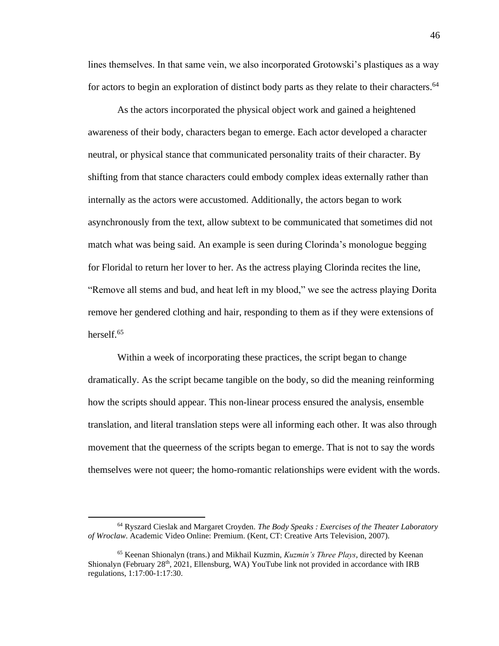lines themselves. In that same vein, we also incorporated Grotowski's plastiques as a way for actors to begin an exploration of distinct body parts as they relate to their characters.<sup>64</sup>

As the actors incorporated the physical object work and gained a heightened awareness of their body, characters began to emerge. Each actor developed a character neutral, or physical stance that communicated personality traits of their character. By shifting from that stance characters could embody complex ideas externally rather than internally as the actors were accustomed. Additionally, the actors began to work asynchronously from the text, allow subtext to be communicated that sometimes did not match what was being said. An example is seen during Clorinda's monologue begging for Floridal to return her lover to her. As the actress playing Clorinda recites the line, "Remove all stems and bud, and heat left in my blood," we see the actress playing Dorita remove her gendered clothing and hair, responding to them as if they were extensions of herself.<sup>65</sup>

Within a week of incorporating these practices, the script began to change dramatically. As the script became tangible on the body, so did the meaning reinforming how the scripts should appear. This non-linear process ensured the analysis, ensemble translation, and literal translation steps were all informing each other. It was also through movement that the queerness of the scripts began to emerge. That is not to say the words themselves were not queer; the homo-romantic relationships were evident with the words.

<sup>64</sup> Ryszard Cieslak and Margaret Croyden. *The Body Speaks : Exercises of the Theater Laboratory of Wroclaw*. Academic Video Online: Premium. (Kent, CT: Creative Arts Television, 2007).

<sup>65</sup> Keenan Shionalyn (trans.) and Mikhail Kuzmin, *Kuzmin's Three Plays*, directed by Keenan Shionalyn (February 28<sup>th</sup>, 2021, Ellensburg, WA) YouTube link not provided in accordance with IRB regulations, 1:17:00-1:17:30.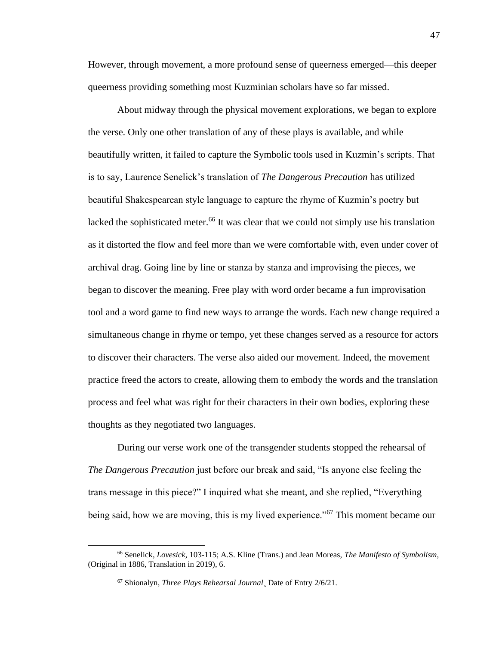However, through movement, a more profound sense of queerness emerged—this deeper queerness providing something most Kuzminian scholars have so far missed.

About midway through the physical movement explorations, we began to explore the verse. Only one other translation of any of these plays is available, and while beautifully written, it failed to capture the Symbolic tools used in Kuzmin's scripts. That is to say, Laurence Senelick's translation of *The Dangerous Precaution* has utilized beautiful Shakespearean style language to capture the rhyme of Kuzmin's poetry but lacked the sophisticated meter.<sup>66</sup> It was clear that we could not simply use his translation as it distorted the flow and feel more than we were comfortable with, even under cover of archival drag. Going line by line or stanza by stanza and improvising the pieces, we began to discover the meaning. Free play with word order became a fun improvisation tool and a word game to find new ways to arrange the words. Each new change required a simultaneous change in rhyme or tempo, yet these changes served as a resource for actors to discover their characters. The verse also aided our movement. Indeed, the movement practice freed the actors to create, allowing them to embody the words and the translation process and feel what was right for their characters in their own bodies, exploring these thoughts as they negotiated two languages.

During our verse work one of the transgender students stopped the rehearsal of *The Dangerous Precaution* just before our break and said, "Is anyone else feeling the trans message in this piece?" I inquired what she meant, and she replied, "Everything being said, how we are moving, this is my lived experience."<sup>67</sup> This moment became our

<sup>66</sup> Senelick, *Lovesick*, 103-115; A.S. Kline (Trans.) and Jean Moreas, *The Manifesto of Symbolism*, (Original in 1886, Translation in 2019), 6.

<sup>67</sup> Shionalyn, *Three Plays Rehearsal Journal*¸ Date of Entry 2/6/21.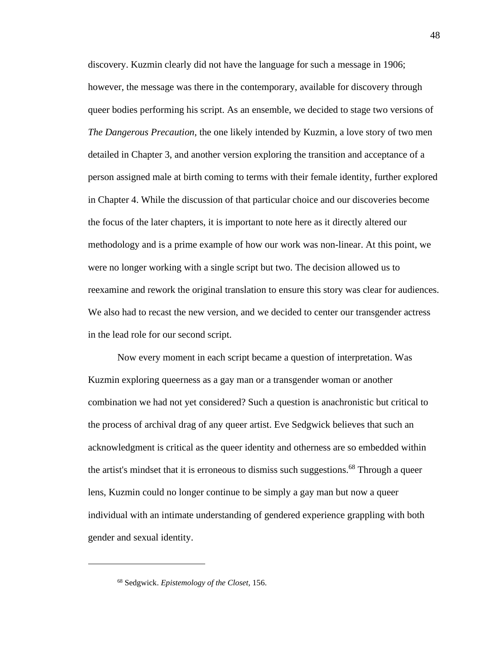discovery. Kuzmin clearly did not have the language for such a message in 1906; however, the message was there in the contemporary, available for discovery through queer bodies performing his script. As an ensemble, we decided to stage two versions of *The Dangerous Precaution*, the one likely intended by Kuzmin, a love story of two men detailed in Chapter 3, and another version exploring the transition and acceptance of a person assigned male at birth coming to terms with their female identity, further explored in Chapter 4. While the discussion of that particular choice and our discoveries become the focus of the later chapters, it is important to note here as it directly altered our methodology and is a prime example of how our work was non-linear. At this point, we were no longer working with a single script but two. The decision allowed us to reexamine and rework the original translation to ensure this story was clear for audiences. We also had to recast the new version, and we decided to center our transgender actress in the lead role for our second script.

Now every moment in each script became a question of interpretation. Was Kuzmin exploring queerness as a gay man or a transgender woman or another combination we had not yet considered? Such a question is anachronistic but critical to the process of archival drag of any queer artist. Eve Sedgwick believes that such an acknowledgment is critical as the queer identity and otherness are so embedded within the artist's mindset that it is erroneous to dismiss such suggestions.<sup>68</sup> Through a queer lens, Kuzmin could no longer continue to be simply a gay man but now a queer individual with an intimate understanding of gendered experience grappling with both gender and sexual identity.

<sup>68</sup> Sedgwick. *Epistemology of the Closet,* 156.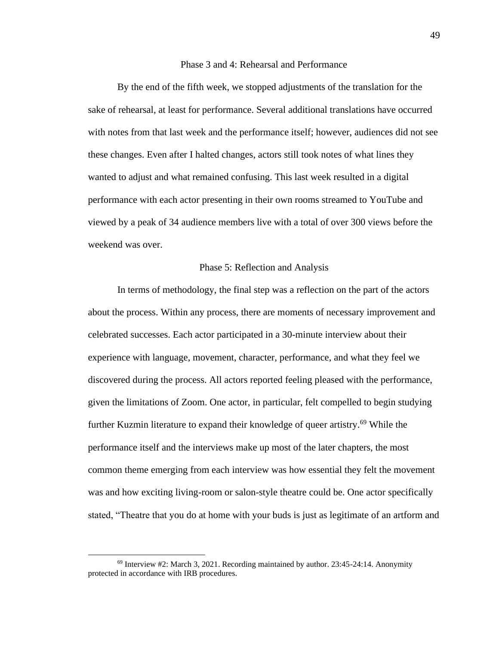## Phase 3 and 4: Rehearsal and Performance

By the end of the fifth week, we stopped adjustments of the translation for the sake of rehearsal, at least for performance. Several additional translations have occurred with notes from that last week and the performance itself; however, audiences did not see these changes. Even after I halted changes, actors still took notes of what lines they wanted to adjust and what remained confusing. This last week resulted in a digital performance with each actor presenting in their own rooms streamed to YouTube and viewed by a peak of 34 audience members live with a total of over 300 views before the weekend was over.

#### Phase 5: Reflection and Analysis

In terms of methodology, the final step was a reflection on the part of the actors about the process. Within any process, there are moments of necessary improvement and celebrated successes. Each actor participated in a 30-minute interview about their experience with language, movement, character, performance, and what they feel we discovered during the process. All actors reported feeling pleased with the performance, given the limitations of Zoom. One actor, in particular, felt compelled to begin studying further Kuzmin literature to expand their knowledge of queer artistry.<sup>69</sup> While the performance itself and the interviews make up most of the later chapters, the most common theme emerging from each interview was how essential they felt the movement was and how exciting living-room or salon-style theatre could be. One actor specifically stated, "Theatre that you do at home with your buds is just as legitimate of an artform and

 $69$  Interview #2: March 3, 2021. Recording maintained by author. 23:45-24:14. Anonymity protected in accordance with IRB procedures.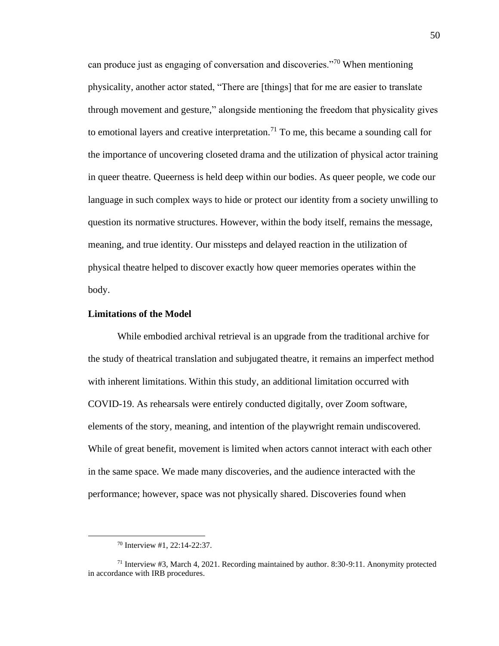can produce just as engaging of conversation and discoveries."<sup>70</sup> When mentioning physicality, another actor stated, "There are [things] that for me are easier to translate through movement and gesture," alongside mentioning the freedom that physicality gives to emotional layers and creative interpretation.<sup>71</sup> To me, this became a sounding call for the importance of uncovering closeted drama and the utilization of physical actor training in queer theatre. Queerness is held deep within our bodies. As queer people, we code our language in such complex ways to hide or protect our identity from a society unwilling to question its normative structures. However, within the body itself, remains the message, meaning, and true identity. Our missteps and delayed reaction in the utilization of physical theatre helped to discover exactly how queer memories operates within the body.

### **Limitations of the Model**

While embodied archival retrieval is an upgrade from the traditional archive for the study of theatrical translation and subjugated theatre, it remains an imperfect method with inherent limitations. Within this study, an additional limitation occurred with COVID-19. As rehearsals were entirely conducted digitally, over Zoom software, elements of the story, meaning, and intention of the playwright remain undiscovered. While of great benefit, movement is limited when actors cannot interact with each other in the same space. We made many discoveries, and the audience interacted with the performance; however, space was not physically shared. Discoveries found when

<sup>70</sup> Interview #1, 22:14-22:37.

<sup>71</sup> Interview #3, March 4, 2021. Recording maintained by author. 8:30-9:11. Anonymity protected in accordance with IRB procedures.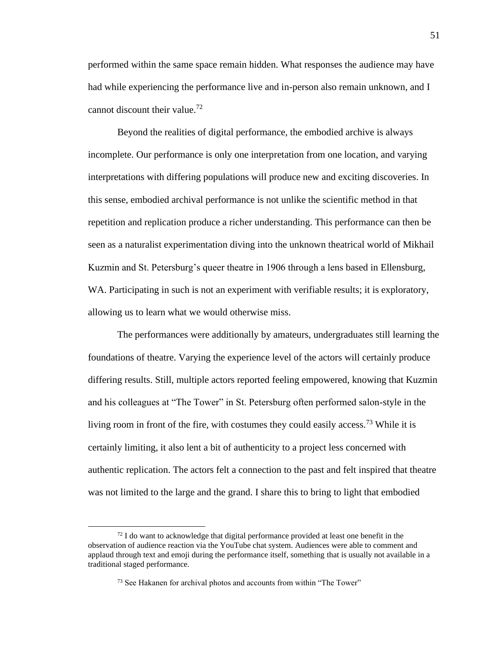performed within the same space remain hidden. What responses the audience may have had while experiencing the performance live and in-person also remain unknown, and I cannot discount their value. 72

Beyond the realities of digital performance, the embodied archive is always incomplete. Our performance is only one interpretation from one location, and varying interpretations with differing populations will produce new and exciting discoveries. In this sense, embodied archival performance is not unlike the scientific method in that repetition and replication produce a richer understanding. This performance can then be seen as a naturalist experimentation diving into the unknown theatrical world of Mikhail Kuzmin and St. Petersburg's queer theatre in 1906 through a lens based in Ellensburg, WA. Participating in such is not an experiment with verifiable results; it is exploratory, allowing us to learn what we would otherwise miss.

The performances were additionally by amateurs, undergraduates still learning the foundations of theatre. Varying the experience level of the actors will certainly produce differing results. Still, multiple actors reported feeling empowered, knowing that Kuzmin and his colleagues at "The Tower" in St. Petersburg often performed salon-style in the living room in front of the fire, with costumes they could easily access.<sup>73</sup> While it is certainly limiting, it also lent a bit of authenticity to a project less concerned with authentic replication. The actors felt a connection to the past and felt inspired that theatre was not limited to the large and the grand. I share this to bring to light that embodied

<sup>72</sup> I do want to acknowledge that digital performance provided at least one benefit in the observation of audience reaction via the YouTube chat system. Audiences were able to comment and applaud through text and emoji during the performance itself, something that is usually not available in a traditional staged performance.

<sup>&</sup>lt;sup>73</sup> See Hakanen for archival photos and accounts from within "The Tower"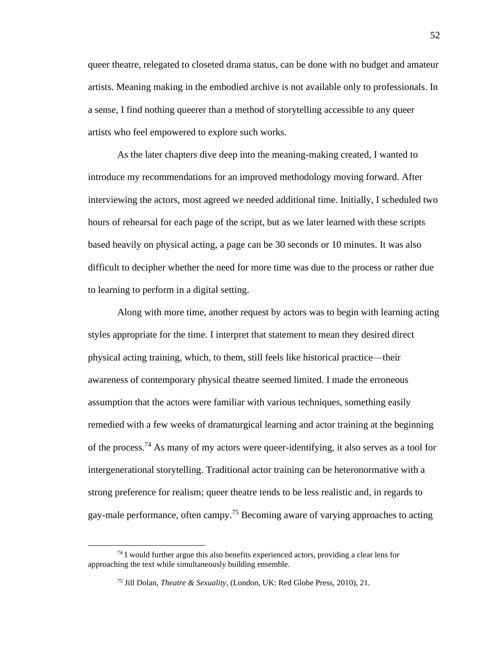queer theatre, relegated to closeted drama status, can be done with no budget and amateur artists. Meaning making in the embodied archive is not available only to professionals. In a sense, I find nothing queerer than a method of storytelling accessible to any queer artists who feel empowered to explore such works.

As the later chapters dive deep into the meaning-making created, I wanted to introduce my recommendations for an improved methodology moving forward. After interviewing the actors, most agreed we needed additional time. Initially, I scheduled two hours of rehearsal for each page of the script, but as we later learned with these scripts based heavily on physical acting, a page can be 30 seconds or 10 minutes. It was also difficult to decipher whether the need for more time was due to the process or rather due to learning to perform in a digital setting.

Along with more time, another request by actors was to begin with learning acting styles appropriate for the time. I interpret that statement to mean they desired direct physical acting training, which, to them, still feels like historical practice—their awareness of contemporary physical theatre seemed limited. I made the erroneous assumption that the actors were familiar with various techniques, something easily remedied with a few weeks of dramaturgical learning and actor training at the beginning of the process.<sup>74</sup> As many of my actors were queer-identifying, it also serves as a tool for intergenerational storytelling. Traditional actor training can be heteronormative with a strong preference for realism; queer theatre tends to be less realistic and, in regards to gay-male performance, often campy.<sup>75</sup> Becoming aware of varying approaches to acting

 $74$  I would further argue this also benefits experienced actors, providing a clear lens for approaching the text while simultaneously building ensemble.

<sup>75</sup> Jill Dolan, *Theatre & Sexuality*, (London, UK: Red Globe Press, 2010), 21.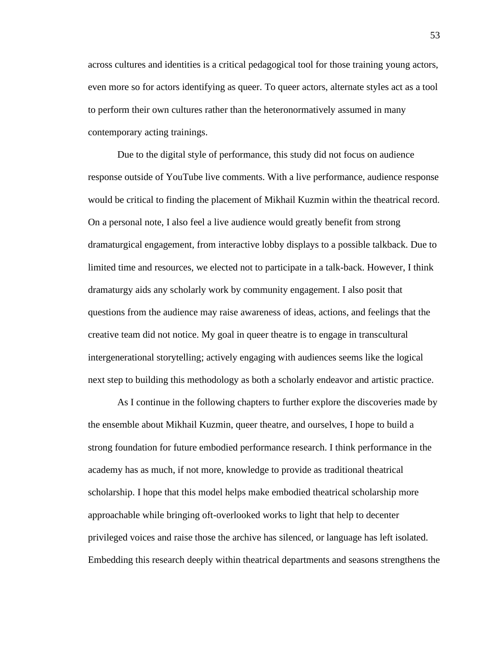across cultures and identities is a critical pedagogical tool for those training young actors, even more so for actors identifying as queer. To queer actors, alternate styles act as a tool to perform their own cultures rather than the heteronormatively assumed in many contemporary acting trainings.

Due to the digital style of performance, this study did not focus on audience response outside of YouTube live comments. With a live performance, audience response would be critical to finding the placement of Mikhail Kuzmin within the theatrical record. On a personal note, I also feel a live audience would greatly benefit from strong dramaturgical engagement, from interactive lobby displays to a possible talkback. Due to limited time and resources, we elected not to participate in a talk-back. However, I think dramaturgy aids any scholarly work by community engagement. I also posit that questions from the audience may raise awareness of ideas, actions, and feelings that the creative team did not notice. My goal in queer theatre is to engage in transcultural intergenerational storytelling; actively engaging with audiences seems like the logical next step to building this methodology as both a scholarly endeavor and artistic practice.

As I continue in the following chapters to further explore the discoveries made by the ensemble about Mikhail Kuzmin, queer theatre, and ourselves, I hope to build a strong foundation for future embodied performance research. I think performance in the academy has as much, if not more, knowledge to provide as traditional theatrical scholarship. I hope that this model helps make embodied theatrical scholarship more approachable while bringing oft-overlooked works to light that help to decenter privileged voices and raise those the archive has silenced, or language has left isolated. Embedding this research deeply within theatrical departments and seasons strengthens the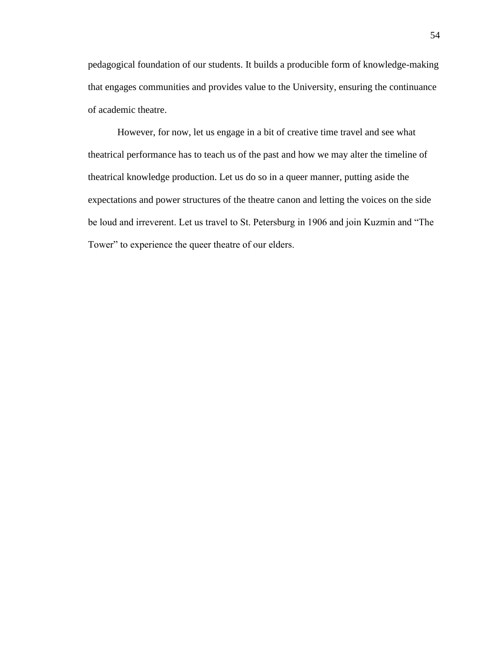pedagogical foundation of our students. It builds a producible form of knowledge-making that engages communities and provides value to the University, ensuring the continuance of academic theatre.

However, for now, let us engage in a bit of creative time travel and see what theatrical performance has to teach us of the past and how we may alter the timeline of theatrical knowledge production. Let us do so in a queer manner, putting aside the expectations and power structures of the theatre canon and letting the voices on the side be loud and irreverent. Let us travel to St. Petersburg in 1906 and join Kuzmin and "The Tower" to experience the queer theatre of our elders.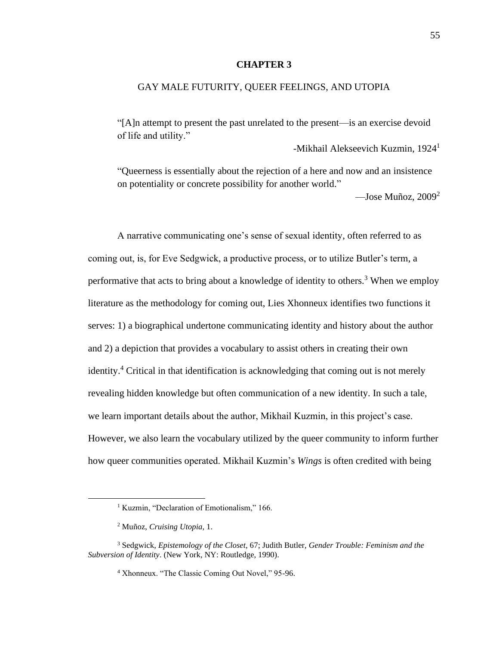### **CHAPTER 3**

## GAY MALE FUTURITY, QUEER FEELINGS, AND UTOPIA

"[A]n attempt to present the past unrelated to the present—is an exercise devoid of life and utility."

-Mikhail Alekseevich Kuzmin, 1924<sup>1</sup>

"Queerness is essentially about the rejection of a here and now and an insistence on potentiality or concrete possibility for another world."

—Jose Muñoz,  $2009^2$ 

A narrative communicating one's sense of sexual identity, often referred to as coming out, is, for Eve Sedgwick, a productive process, or to utilize Butler's term, a performative that acts to bring about a knowledge of identity to others.<sup>3</sup> When we employ literature as the methodology for coming out, Lies Xhonneux identifies two functions it serves: 1) a biographical undertone communicating identity and history about the author and 2) a depiction that provides a vocabulary to assist others in creating their own identity.<sup>4</sup> Critical in that identification is acknowledging that coming out is not merely revealing hidden knowledge but often communication of a new identity. In such a tale, we learn important details about the author, Mikhail Kuzmin, in this project's case. However, we also learn the vocabulary utilized by the queer community to inform further how queer communities operated. Mikhail Kuzmin's *Wings* is often credited with being

<sup>&</sup>lt;sup>1</sup> Kuzmin, "Declaration of Emotionalism," 166.

<sup>2</sup> Muñoz, *Cruising Utopia,* 1.

<sup>3</sup> Sedgwick, *Epistemology of the Closet*, 67; Judith Butler, *Gender Trouble: Feminism and the Subversion of Identity*. (New York, NY: Routledge, 1990).

<sup>4</sup> Xhonneux. "The Classic Coming Out Novel," 95-96.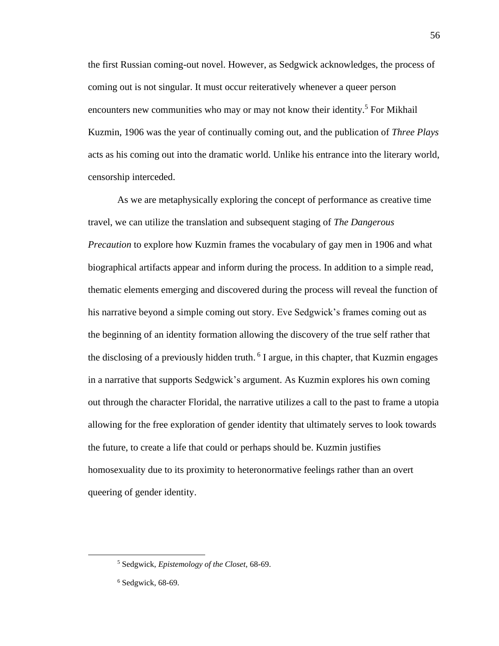the first Russian coming-out novel. However, as Sedgwick acknowledges, the process of coming out is not singular. It must occur reiteratively whenever a queer person encounters new communities who may or may not know their identity.<sup>5</sup> For Mikhail Kuzmin, 1906 was the year of continually coming out, and the publication of *Three Plays* acts as his coming out into the dramatic world. Unlike his entrance into the literary world, censorship interceded.

As we are metaphysically exploring the concept of performance as creative time travel, we can utilize the translation and subsequent staging of *The Dangerous Precaution* to explore how Kuzmin frames the vocabulary of gay men in 1906 and what biographical artifacts appear and inform during the process. In addition to a simple read, thematic elements emerging and discovered during the process will reveal the function of his narrative beyond a simple coming out story. Eve Sedgwick's frames coming out as the beginning of an identity formation allowing the discovery of the true self rather that the disclosing of a previously hidden truth. <sup>6</sup> I argue, in this chapter, that Kuzmin engages in a narrative that supports Sedgwick's argument. As Kuzmin explores his own coming out through the character Floridal, the narrative utilizes a call to the past to frame a utopia allowing for the free exploration of gender identity that ultimately serves to look towards the future, to create a life that could or perhaps should be. Kuzmin justifies homosexuality due to its proximity to heteronormative feelings rather than an overt queering of gender identity.

<sup>5</sup> Sedgwick, *Epistemology of the Closet,* 68-69.

<sup>6</sup> Sedgwick, 68-69.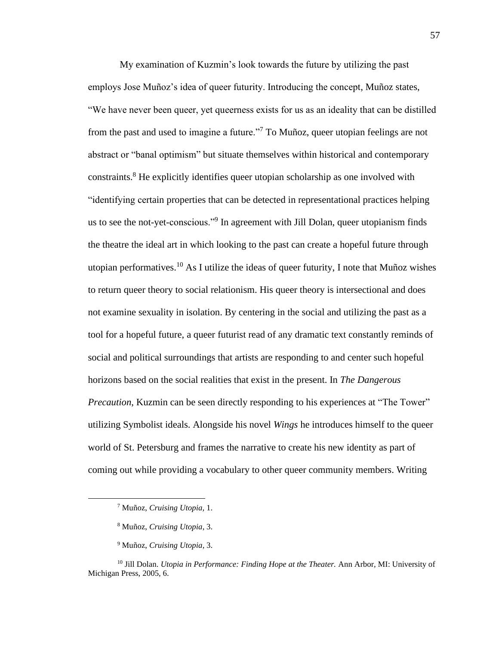My examination of Kuzmin's look towards the future by utilizing the past employs Jose Muñoz's idea of queer futurity. Introducing the concept, Muñoz states, "We have never been queer, yet queerness exists for us as an ideality that can be distilled from the past and used to imagine a future."<sup>7</sup> To Muñoz, queer utopian feelings are not abstract or "banal optimism" but situate themselves within historical and contemporary constraints. <sup>8</sup> He explicitly identifies queer utopian scholarship as one involved with "identifying certain properties that can be detected in representational practices helping us to see the not-yet-conscious."<sup>9</sup> In agreement with Jill Dolan, queer utopianism finds the theatre the ideal art in which looking to the past can create a hopeful future through utopian performatives.<sup>10</sup> As I utilize the ideas of queer futurity, I note that Muñoz wishes to return queer theory to social relationism. His queer theory is intersectional and does not examine sexuality in isolation. By centering in the social and utilizing the past as a tool for a hopeful future, a queer futurist read of any dramatic text constantly reminds of social and political surroundings that artists are responding to and center such hopeful horizons based on the social realities that exist in the present. In *The Dangerous Precaution*, Kuzmin can be seen directly responding to his experiences at "The Tower" utilizing Symbolist ideals. Alongside his novel *Wings* he introduces himself to the queer world of St. Petersburg and frames the narrative to create his new identity as part of coming out while providing a vocabulary to other queer community members. Writing

<sup>9</sup> Muñoz, *Cruising Utopia*, 3.

<sup>7</sup> Muñoz, *Cruising Utopia,* 1.

<sup>8</sup> Muñoz, *Cruising Utopia*, 3.

<sup>10</sup> Jill Dolan. *Utopia in Performance: Finding Hope at the Theater.* Ann Arbor, MI: University of Michigan Press, 2005, 6.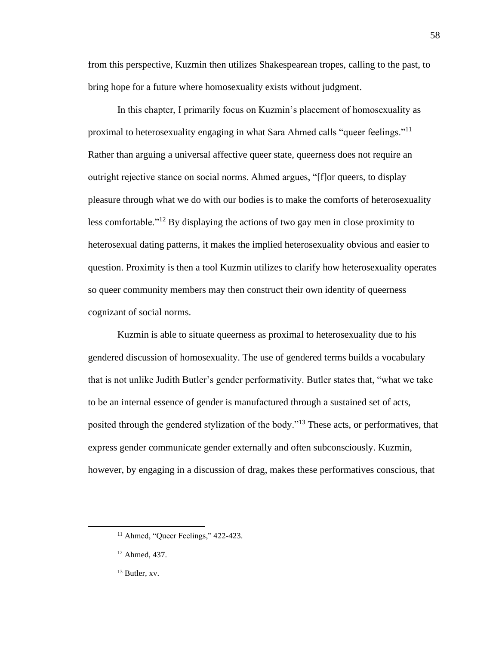from this perspective, Kuzmin then utilizes Shakespearean tropes, calling to the past, to bring hope for a future where homosexuality exists without judgment.

In this chapter, I primarily focus on Kuzmin's placement of homosexuality as proximal to heterosexuality engaging in what Sara Ahmed calls "queer feelings."<sup>11</sup> Rather than arguing a universal affective queer state, queerness does not require an outright rejective stance on social norms. Ahmed argues, "[f]or queers, to display pleasure through what we do with our bodies is to make the comforts of heterosexuality less comfortable."<sup>12</sup> By displaying the actions of two gay men in close proximity to heterosexual dating patterns, it makes the implied heterosexuality obvious and easier to question. Proximity is then a tool Kuzmin utilizes to clarify how heterosexuality operates so queer community members may then construct their own identity of queerness cognizant of social norms.

Kuzmin is able to situate queerness as proximal to heterosexuality due to his gendered discussion of homosexuality. The use of gendered terms builds a vocabulary that is not unlike Judith Butler's gender performativity. Butler states that, "what we take to be an internal essence of gender is manufactured through a sustained set of acts, posited through the gendered stylization of the body."<sup>13</sup> These acts, or performatives, that express gender communicate gender externally and often subconsciously. Kuzmin, however, by engaging in a discussion of drag, makes these performatives conscious, that

<sup>&</sup>lt;sup>11</sup> Ahmed, "Queer Feelings," 422-423.

<sup>12</sup> Ahmed, 437.

<sup>13</sup> Butler, xv.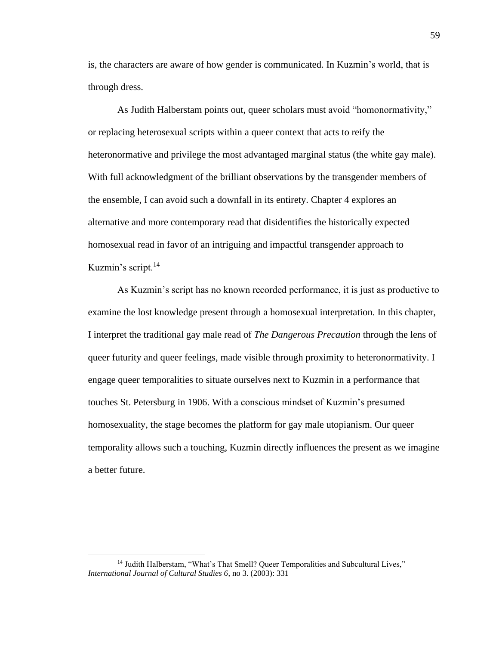is, the characters are aware of how gender is communicated. In Kuzmin's world, that is through dress.

As Judith Halberstam points out, queer scholars must avoid "homonormativity," or replacing heterosexual scripts within a queer context that acts to reify the heteronormative and privilege the most advantaged marginal status (the white gay male). With full acknowledgment of the brilliant observations by the transgender members of the ensemble, I can avoid such a downfall in its entirety. Chapter 4 explores an alternative and more contemporary read that disidentifies the historically expected homosexual read in favor of an intriguing and impactful transgender approach to Kuzmin's script.<sup>14</sup>

As Kuzmin's script has no known recorded performance, it is just as productive to examine the lost knowledge present through a homosexual interpretation. In this chapter, I interpret the traditional gay male read of *The Dangerous Precaution* through the lens of queer futurity and queer feelings, made visible through proximity to heteronormativity. I engage queer temporalities to situate ourselves next to Kuzmin in a performance that touches St. Petersburg in 1906. With a conscious mindset of Kuzmin's presumed homosexuality, the stage becomes the platform for gay male utopianism. Our queer temporality allows such a touching, Kuzmin directly influences the present as we imagine a better future.

<sup>&</sup>lt;sup>14</sup> Judith Halberstam, "What's That Smell? Queer Temporalities and Subcultural Lives," *International Journal of Cultural Studies 6*, no 3. (2003): 331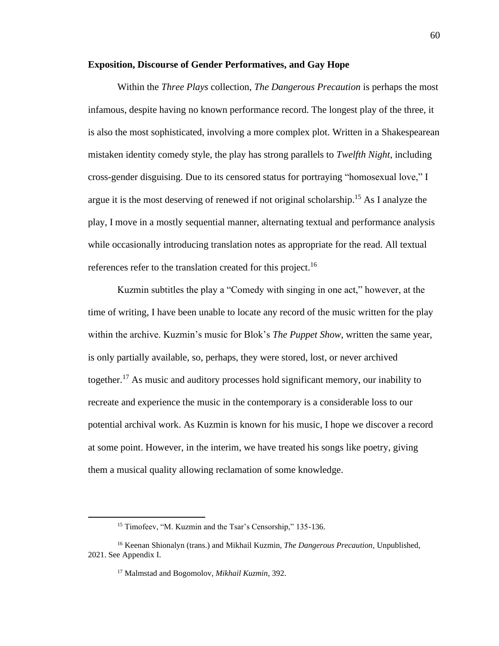### **Exposition, Discourse of Gender Performatives, and Gay Hope**

Within the *Three Plays* collection, *The Dangerous Precaution* is perhaps the most infamous, despite having no known performance record. The longest play of the three, it is also the most sophisticated, involving a more complex plot. Written in a Shakespearean mistaken identity comedy style, the play has strong parallels to *Twelfth Night*, including cross-gender disguising. Due to its censored status for portraying "homosexual love," I argue it is the most deserving of renewed if not original scholarship.<sup>15</sup> As I analyze the play, I move in a mostly sequential manner, alternating textual and performance analysis while occasionally introducing translation notes as appropriate for the read. All textual references refer to the translation created for this project.<sup>16</sup>

Kuzmin subtitles the play a "Comedy with singing in one act," however, at the time of writing, I have been unable to locate any record of the music written for the play within the archive. Kuzmin's music for Blok's *The Puppet Show*, written the same year, is only partially available, so, perhaps, they were stored, lost, or never archived together.<sup>17</sup> As music and auditory processes hold significant memory, our inability to recreate and experience the music in the contemporary is a considerable loss to our potential archival work. As Kuzmin is known for his music, I hope we discover a record at some point. However, in the interim, we have treated his songs like poetry, giving them a musical quality allowing reclamation of some knowledge.

<sup>&</sup>lt;sup>15</sup> Timofeev, "M. Kuzmin and the Tsar's Censorship," 135-136.

<sup>16</sup> Keenan Shionalyn (trans.) and Mikhail Kuzmin, *The Dangerous Precaution,* Unpublished, 2021. See Appendix I.

<sup>17</sup> Malmstad and Bogomolov, *Mikhail Kuzmin*, 392.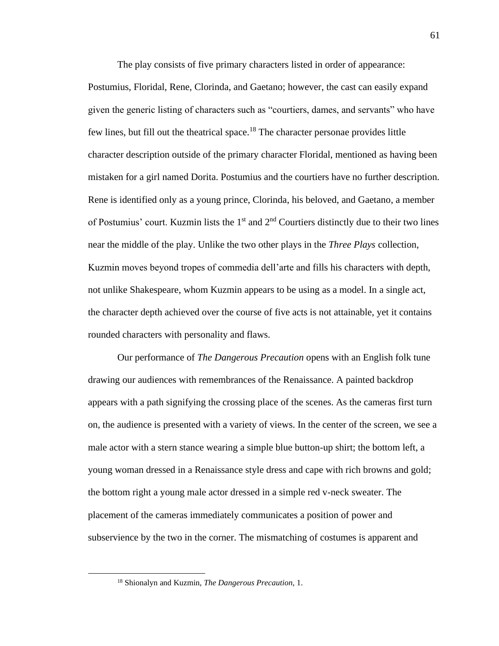The play consists of five primary characters listed in order of appearance:

Postumius, Floridal, Rene, Clorinda, and Gaetano; however, the cast can easily expand given the generic listing of characters such as "courtiers, dames, and servants" who have few lines, but fill out the theatrical space.<sup>18</sup> The character personae provides little character description outside of the primary character Floridal, mentioned as having been mistaken for a girl named Dorita. Postumius and the courtiers have no further description. Rene is identified only as a young prince, Clorinda, his beloved, and Gaetano, a member of Postumius' court. Kuzmin lists the  $1<sup>st</sup>$  and  $2<sup>nd</sup>$  Courtiers distinctly due to their two lines near the middle of the play. Unlike the two other plays in the *Three Plays* collection, Kuzmin moves beyond tropes of commedia dell'arte and fills his characters with depth, not unlike Shakespeare, whom Kuzmin appears to be using as a model. In a single act, the character depth achieved over the course of five acts is not attainable, yet it contains rounded characters with personality and flaws.

Our performance of *The Dangerous Precaution* opens with an English folk tune drawing our audiences with remembrances of the Renaissance. A painted backdrop appears with a path signifying the crossing place of the scenes. As the cameras first turn on, the audience is presented with a variety of views. In the center of the screen, we see a male actor with a stern stance wearing a simple blue button-up shirt; the bottom left, a young woman dressed in a Renaissance style dress and cape with rich browns and gold; the bottom right a young male actor dressed in a simple red v-neck sweater. The placement of the cameras immediately communicates a position of power and subservience by the two in the corner. The mismatching of costumes is apparent and

<sup>18</sup> Shionalyn and Kuzmin, *The Dangerous Precaution*, 1.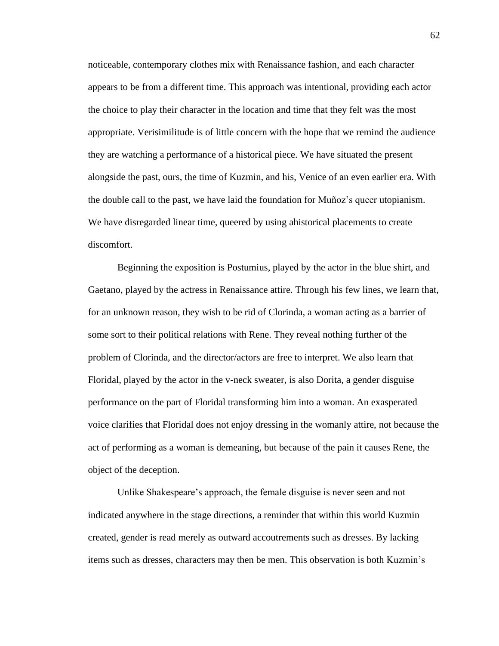noticeable, contemporary clothes mix with Renaissance fashion, and each character appears to be from a different time. This approach was intentional, providing each actor the choice to play their character in the location and time that they felt was the most appropriate. Verisimilitude is of little concern with the hope that we remind the audience they are watching a performance of a historical piece. We have situated the present alongside the past, ours, the time of Kuzmin, and his, Venice of an even earlier era. With the double call to the past, we have laid the foundation for Muñoz's queer utopianism. We have disregarded linear time, queered by using ahistorical placements to create discomfort.

Beginning the exposition is Postumius, played by the actor in the blue shirt, and Gaetano, played by the actress in Renaissance attire. Through his few lines, we learn that, for an unknown reason, they wish to be rid of Clorinda, a woman acting as a barrier of some sort to their political relations with Rene. They reveal nothing further of the problem of Clorinda, and the director/actors are free to interpret. We also learn that Floridal, played by the actor in the v-neck sweater, is also Dorita, a gender disguise performance on the part of Floridal transforming him into a woman. An exasperated voice clarifies that Floridal does not enjoy dressing in the womanly attire, not because the act of performing as a woman is demeaning, but because of the pain it causes Rene, the object of the deception.

Unlike Shakespeare's approach, the female disguise is never seen and not indicated anywhere in the stage directions, a reminder that within this world Kuzmin created, gender is read merely as outward accoutrements such as dresses. By lacking items such as dresses, characters may then be men. This observation is both Kuzmin's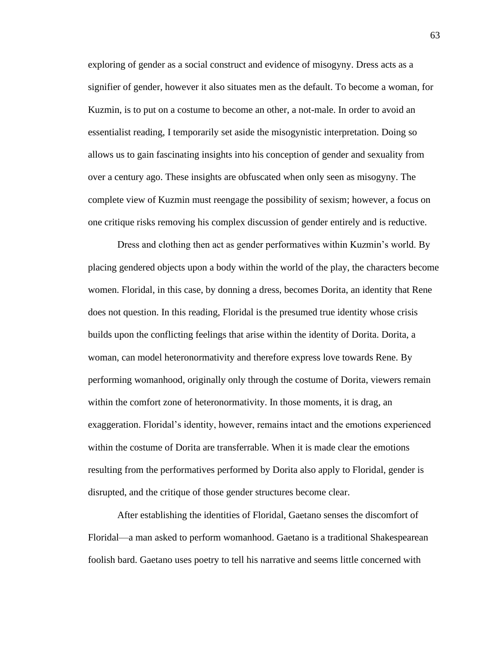exploring of gender as a social construct and evidence of misogyny. Dress acts as a signifier of gender, however it also situates men as the default. To become a woman, for Kuzmin, is to put on a costume to become an other, a not-male. In order to avoid an essentialist reading, I temporarily set aside the misogynistic interpretation. Doing so allows us to gain fascinating insights into his conception of gender and sexuality from over a century ago. These insights are obfuscated when only seen as misogyny. The complete view of Kuzmin must reengage the possibility of sexism; however, a focus on one critique risks removing his complex discussion of gender entirely and is reductive.

Dress and clothing then act as gender performatives within Kuzmin's world. By placing gendered objects upon a body within the world of the play, the characters become women. Floridal, in this case, by donning a dress, becomes Dorita, an identity that Rene does not question. In this reading, Floridal is the presumed true identity whose crisis builds upon the conflicting feelings that arise within the identity of Dorita. Dorita, a woman, can model heteronormativity and therefore express love towards Rene. By performing womanhood, originally only through the costume of Dorita, viewers remain within the comfort zone of heteronormativity. In those moments, it is drag, an exaggeration. Floridal's identity, however, remains intact and the emotions experienced within the costume of Dorita are transferrable. When it is made clear the emotions resulting from the performatives performed by Dorita also apply to Floridal, gender is disrupted, and the critique of those gender structures become clear.

After establishing the identities of Floridal, Gaetano senses the discomfort of Floridal—a man asked to perform womanhood. Gaetano is a traditional Shakespearean foolish bard. Gaetano uses poetry to tell his narrative and seems little concerned with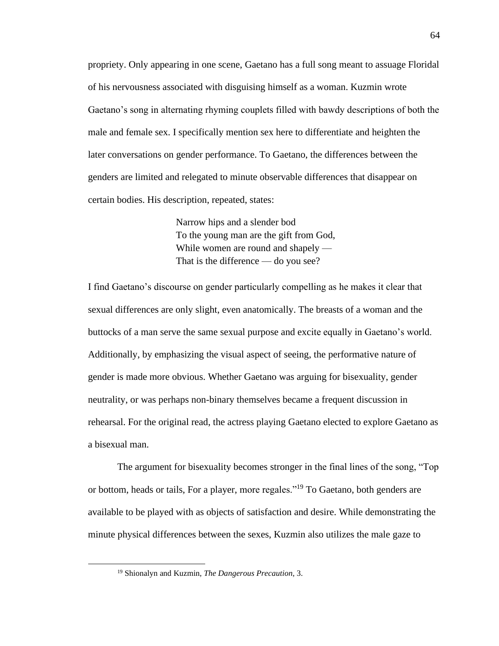propriety. Only appearing in one scene, Gaetano has a full song meant to assuage Floridal of his nervousness associated with disguising himself as a woman. Kuzmin wrote Gaetano's song in alternating rhyming couplets filled with bawdy descriptions of both the male and female sex. I specifically mention sex here to differentiate and heighten the later conversations on gender performance. To Gaetano, the differences between the genders are limited and relegated to minute observable differences that disappear on certain bodies. His description, repeated, states:

> Narrow hips and a slender bod To the young man are the gift from God, While women are round and shapely — That is the difference — do you see?

I find Gaetano's discourse on gender particularly compelling as he makes it clear that sexual differences are only slight, even anatomically. The breasts of a woman and the buttocks of a man serve the same sexual purpose and excite equally in Gaetano's world. Additionally, by emphasizing the visual aspect of seeing, the performative nature of gender is made more obvious. Whether Gaetano was arguing for bisexuality, gender neutrality, or was perhaps non-binary themselves became a frequent discussion in rehearsal. For the original read, the actress playing Gaetano elected to explore Gaetano as a bisexual man.

The argument for bisexuality becomes stronger in the final lines of the song, "Top or bottom, heads or tails, For a player, more regales."<sup>19</sup> To Gaetano, both genders are available to be played with as objects of satisfaction and desire. While demonstrating the minute physical differences between the sexes, Kuzmin also utilizes the male gaze to

<sup>19</sup> Shionalyn and Kuzmin, *The Dangerous Precaution*, 3.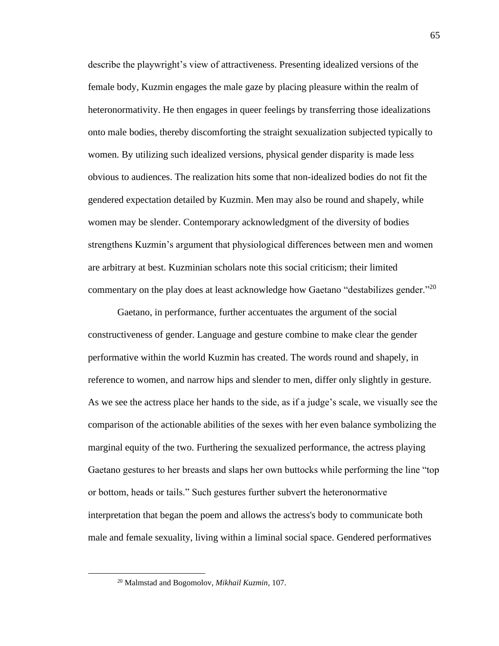describe the playwright's view of attractiveness. Presenting idealized versions of the female body, Kuzmin engages the male gaze by placing pleasure within the realm of heteronormativity. He then engages in queer feelings by transferring those idealizations onto male bodies, thereby discomforting the straight sexualization subjected typically to women. By utilizing such idealized versions, physical gender disparity is made less obvious to audiences. The realization hits some that non-idealized bodies do not fit the gendered expectation detailed by Kuzmin. Men may also be round and shapely, while women may be slender. Contemporary acknowledgment of the diversity of bodies strengthens Kuzmin's argument that physiological differences between men and women are arbitrary at best. Kuzminian scholars note this social criticism; their limited commentary on the play does at least acknowledge how Gaetano "destabilizes gender."<sup>20</sup>

Gaetano, in performance, further accentuates the argument of the social constructiveness of gender. Language and gesture combine to make clear the gender performative within the world Kuzmin has created. The words round and shapely, in reference to women, and narrow hips and slender to men, differ only slightly in gesture. As we see the actress place her hands to the side, as if a judge's scale, we visually see the comparison of the actionable abilities of the sexes with her even balance symbolizing the marginal equity of the two. Furthering the sexualized performance, the actress playing Gaetano gestures to her breasts and slaps her own buttocks while performing the line "top or bottom, heads or tails." Such gestures further subvert the heteronormative interpretation that began the poem and allows the actress's body to communicate both male and female sexuality, living within a liminal social space. Gendered performatives

<sup>20</sup> Malmstad and Bogomolov, *Mikhail Kuzmin,* 107.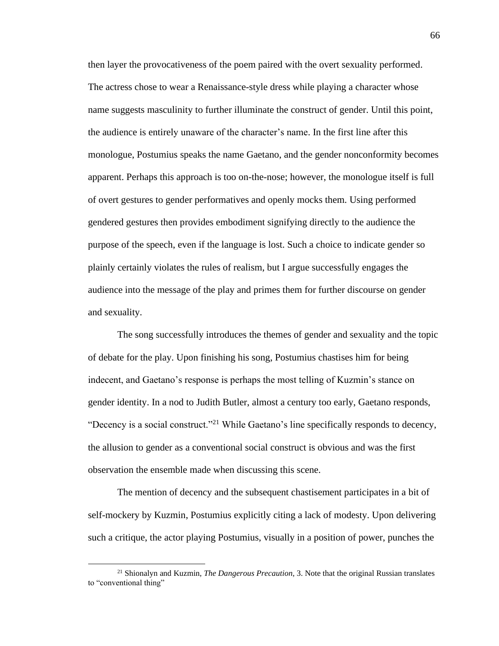then layer the provocativeness of the poem paired with the overt sexuality performed. The actress chose to wear a Renaissance-style dress while playing a character whose name suggests masculinity to further illuminate the construct of gender. Until this point, the audience is entirely unaware of the character's name. In the first line after this monologue, Postumius speaks the name Gaetano, and the gender nonconformity becomes apparent. Perhaps this approach is too on-the-nose; however, the monologue itself is full of overt gestures to gender performatives and openly mocks them. Using performed gendered gestures then provides embodiment signifying directly to the audience the purpose of the speech, even if the language is lost. Such a choice to indicate gender so plainly certainly violates the rules of realism, but I argue successfully engages the audience into the message of the play and primes them for further discourse on gender and sexuality.

The song successfully introduces the themes of gender and sexuality and the topic of debate for the play. Upon finishing his song, Postumius chastises him for being indecent, and Gaetano's response is perhaps the most telling of Kuzmin's stance on gender identity. In a nod to Judith Butler, almost a century too early, Gaetano responds, "Decency is a social construct."<sup>21</sup> While Gaetano's line specifically responds to decency, the allusion to gender as a conventional social construct is obvious and was the first observation the ensemble made when discussing this scene.

The mention of decency and the subsequent chastisement participates in a bit of self-mockery by Kuzmin, Postumius explicitly citing a lack of modesty. Upon delivering such a critique, the actor playing Postumius, visually in a position of power, punches the

<sup>21</sup> Shionalyn and Kuzmin, *The Dangerous Precaution*, 3. Note that the original Russian translates to "conventional thing"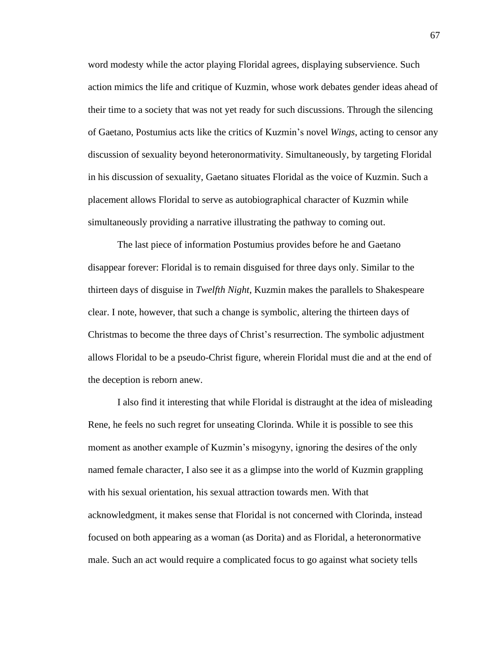word modesty while the actor playing Floridal agrees, displaying subservience. Such action mimics the life and critique of Kuzmin, whose work debates gender ideas ahead of their time to a society that was not yet ready for such discussions. Through the silencing of Gaetano, Postumius acts like the critics of Kuzmin's novel *Wings*, acting to censor any discussion of sexuality beyond heteronormativity. Simultaneously, by targeting Floridal in his discussion of sexuality, Gaetano situates Floridal as the voice of Kuzmin. Such a placement allows Floridal to serve as autobiographical character of Kuzmin while simultaneously providing a narrative illustrating the pathway to coming out.

The last piece of information Postumius provides before he and Gaetano disappear forever: Floridal is to remain disguised for three days only. Similar to the thirteen days of disguise in *Twelfth Night*, Kuzmin makes the parallels to Shakespeare clear. I note, however, that such a change is symbolic, altering the thirteen days of Christmas to become the three days of Christ's resurrection. The symbolic adjustment allows Floridal to be a pseudo-Christ figure, wherein Floridal must die and at the end of the deception is reborn anew.

I also find it interesting that while Floridal is distraught at the idea of misleading Rene, he feels no such regret for unseating Clorinda. While it is possible to see this moment as another example of Kuzmin's misogyny, ignoring the desires of the only named female character, I also see it as a glimpse into the world of Kuzmin grappling with his sexual orientation, his sexual attraction towards men. With that acknowledgment, it makes sense that Floridal is not concerned with Clorinda, instead focused on both appearing as a woman (as Dorita) and as Floridal, a heteronormative male. Such an act would require a complicated focus to go against what society tells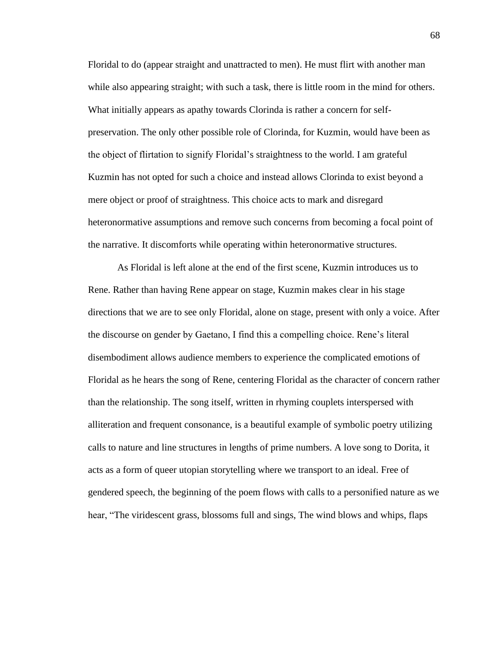Floridal to do (appear straight and unattracted to men). He must flirt with another man while also appearing straight; with such a task, there is little room in the mind for others. What initially appears as apathy towards Clorinda is rather a concern for selfpreservation. The only other possible role of Clorinda, for Kuzmin, would have been as the object of flirtation to signify Floridal's straightness to the world. I am grateful Kuzmin has not opted for such a choice and instead allows Clorinda to exist beyond a mere object or proof of straightness. This choice acts to mark and disregard heteronormative assumptions and remove such concerns from becoming a focal point of the narrative. It discomforts while operating within heteronormative structures.

As Floridal is left alone at the end of the first scene, Kuzmin introduces us to Rene. Rather than having Rene appear on stage, Kuzmin makes clear in his stage directions that we are to see only Floridal, alone on stage, present with only a voice. After the discourse on gender by Gaetano, I find this a compelling choice. Rene's literal disembodiment allows audience members to experience the complicated emotions of Floridal as he hears the song of Rene, centering Floridal as the character of concern rather than the relationship. The song itself, written in rhyming couplets interspersed with alliteration and frequent consonance, is a beautiful example of symbolic poetry utilizing calls to nature and line structures in lengths of prime numbers. A love song to Dorita, it acts as a form of queer utopian storytelling where we transport to an ideal. Free of gendered speech, the beginning of the poem flows with calls to a personified nature as we hear, "The viridescent grass, blossoms full and sings, The wind blows and whips, flaps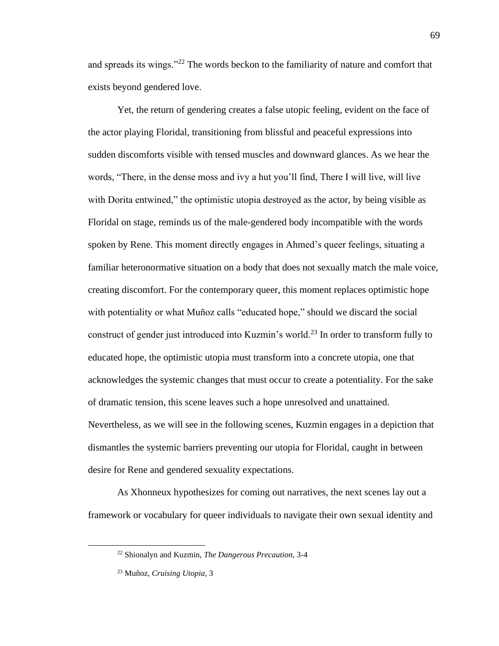and spreads its wings."<sup>22</sup> The words beckon to the familiarity of nature and comfort that exists beyond gendered love.

Yet, the return of gendering creates a false utopic feeling, evident on the face of the actor playing Floridal, transitioning from blissful and peaceful expressions into sudden discomforts visible with tensed muscles and downward glances. As we hear the words, "There, in the dense moss and ivy a hut you'll find, There I will live, will live with Dorita entwined," the optimistic utopia destroyed as the actor, by being visible as Floridal on stage, reminds us of the male-gendered body incompatible with the words spoken by Rene. This moment directly engages in Ahmed's queer feelings, situating a familiar heteronormative situation on a body that does not sexually match the male voice, creating discomfort. For the contemporary queer, this moment replaces optimistic hope with potentiality or what Muñoz calls "educated hope," should we discard the social construct of gender just introduced into Kuzmin's world.<sup>23</sup> In order to transform fully to educated hope, the optimistic utopia must transform into a concrete utopia, one that acknowledges the systemic changes that must occur to create a potentiality. For the sake of dramatic tension, this scene leaves such a hope unresolved and unattained. Nevertheless, as we will see in the following scenes, Kuzmin engages in a depiction that dismantles the systemic barriers preventing our utopia for Floridal, caught in between desire for Rene and gendered sexuality expectations.

As Xhonneux hypothesizes for coming out narratives, the next scenes lay out a framework or vocabulary for queer individuals to navigate their own sexual identity and

<sup>22</sup> Shionalyn and Kuzmin, *The Dangerous Precaution*, 3-4

<sup>23</sup> Muñoz, *Cruising Utopia,* 3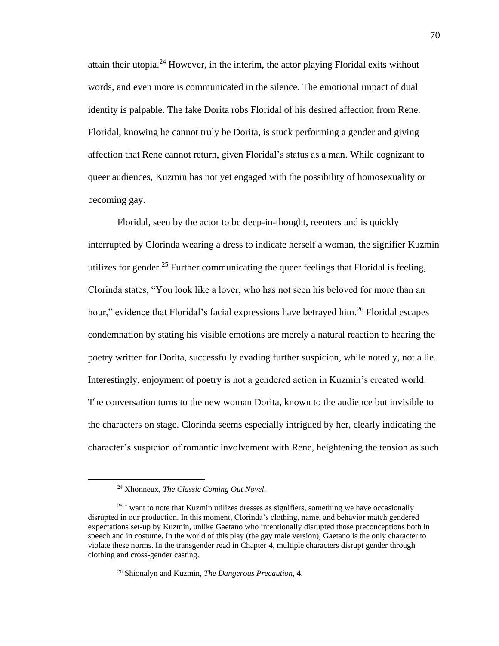attain their utopia.<sup>24</sup> However, in the interim, the actor playing Floridal exits without words, and even more is communicated in the silence. The emotional impact of dual identity is palpable. The fake Dorita robs Floridal of his desired affection from Rene. Floridal, knowing he cannot truly be Dorita, is stuck performing a gender and giving affection that Rene cannot return, given Floridal's status as a man. While cognizant to queer audiences, Kuzmin has not yet engaged with the possibility of homosexuality or becoming gay.

Floridal, seen by the actor to be deep-in-thought, reenters and is quickly interrupted by Clorinda wearing a dress to indicate herself a woman, the signifier Kuzmin utilizes for gender.<sup>25</sup> Further communicating the queer feelings that Floridal is feeling, Clorinda states, "You look like a lover, who has not seen his beloved for more than an hour," evidence that Floridal's facial expressions have betrayed him.<sup>26</sup> Floridal escapes condemnation by stating his visible emotions are merely a natural reaction to hearing the poetry written for Dorita, successfully evading further suspicion, while notedly, not a lie. Interestingly, enjoyment of poetry is not a gendered action in Kuzmin's created world. The conversation turns to the new woman Dorita, known to the audience but invisible to the characters on stage. Clorinda seems especially intrigued by her, clearly indicating the character's suspicion of romantic involvement with Rene, heightening the tension as such

<sup>24</sup> Xhonneux, *The Classic Coming Out Novel*.

<sup>&</sup>lt;sup>25</sup> I want to note that Kuzmin utilizes dresses as signifiers, something we have occasionally disrupted in our production. In this moment, Clorinda's clothing, name, and behavior match gendered expectations set-up by Kuzmin, unlike Gaetano who intentionally disrupted those preconceptions both in speech and in costume. In the world of this play (the gay male version), Gaetano is the only character to violate these norms. In the transgender read in Chapter 4, multiple characters disrupt gender through clothing and cross-gender casting.

<sup>26</sup> Shionalyn and Kuzmin, *The Dangerous Precaution*, 4.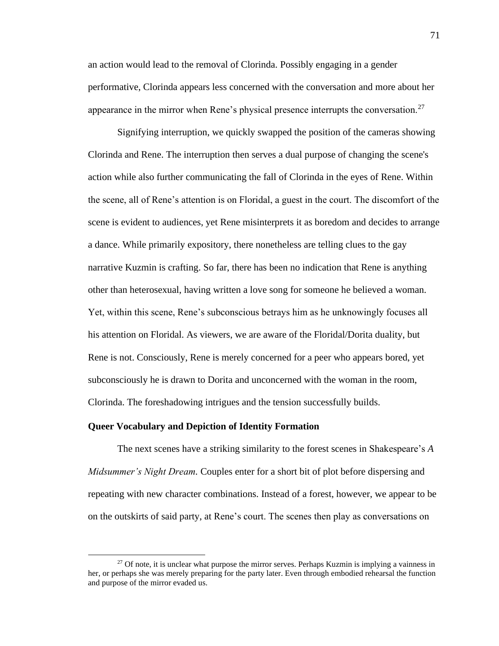an action would lead to the removal of Clorinda. Possibly engaging in a gender performative, Clorinda appears less concerned with the conversation and more about her appearance in the mirror when Rene's physical presence interrupts the conversation.<sup>27</sup>

Signifying interruption, we quickly swapped the position of the cameras showing Clorinda and Rene. The interruption then serves a dual purpose of changing the scene's action while also further communicating the fall of Clorinda in the eyes of Rene. Within the scene, all of Rene's attention is on Floridal, a guest in the court. The discomfort of the scene is evident to audiences, yet Rene misinterprets it as boredom and decides to arrange a dance. While primarily expository, there nonetheless are telling clues to the gay narrative Kuzmin is crafting. So far, there has been no indication that Rene is anything other than heterosexual, having written a love song for someone he believed a woman. Yet, within this scene, Rene's subconscious betrays him as he unknowingly focuses all his attention on Floridal. As viewers, we are aware of the Floridal/Dorita duality, but Rene is not. Consciously, Rene is merely concerned for a peer who appears bored, yet subconsciously he is drawn to Dorita and unconcerned with the woman in the room, Clorinda. The foreshadowing intrigues and the tension successfully builds.

### **Queer Vocabulary and Depiction of Identity Formation**

The next scenes have a striking similarity to the forest scenes in Shakespeare's *A Midsummer's Night Dream.* Couples enter for a short bit of plot before dispersing and repeating with new character combinations. Instead of a forest, however, we appear to be on the outskirts of said party, at Rene's court. The scenes then play as conversations on

 $27$  Of note, it is unclear what purpose the mirror serves. Perhaps Kuzmin is implying a vainness in her, or perhaps she was merely preparing for the party later. Even through embodied rehearsal the function and purpose of the mirror evaded us.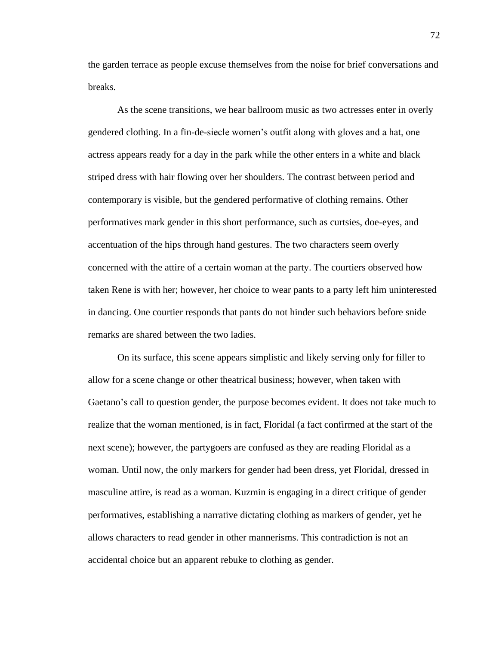the garden terrace as people excuse themselves from the noise for brief conversations and breaks.

As the scene transitions, we hear ballroom music as two actresses enter in overly gendered clothing. In a fin-de-siecle women's outfit along with gloves and a hat, one actress appears ready for a day in the park while the other enters in a white and black striped dress with hair flowing over her shoulders. The contrast between period and contemporary is visible, but the gendered performative of clothing remains. Other performatives mark gender in this short performance, such as curtsies, doe-eyes, and accentuation of the hips through hand gestures. The two characters seem overly concerned with the attire of a certain woman at the party. The courtiers observed how taken Rene is with her; however, her choice to wear pants to a party left him uninterested in dancing. One courtier responds that pants do not hinder such behaviors before snide remarks are shared between the two ladies.

On its surface, this scene appears simplistic and likely serving only for filler to allow for a scene change or other theatrical business; however, when taken with Gaetano's call to question gender, the purpose becomes evident. It does not take much to realize that the woman mentioned, is in fact, Floridal (a fact confirmed at the start of the next scene); however, the partygoers are confused as they are reading Floridal as a woman. Until now, the only markers for gender had been dress, yet Floridal, dressed in masculine attire, is read as a woman. Kuzmin is engaging in a direct critique of gender performatives, establishing a narrative dictating clothing as markers of gender, yet he allows characters to read gender in other mannerisms. This contradiction is not an accidental choice but an apparent rebuke to clothing as gender.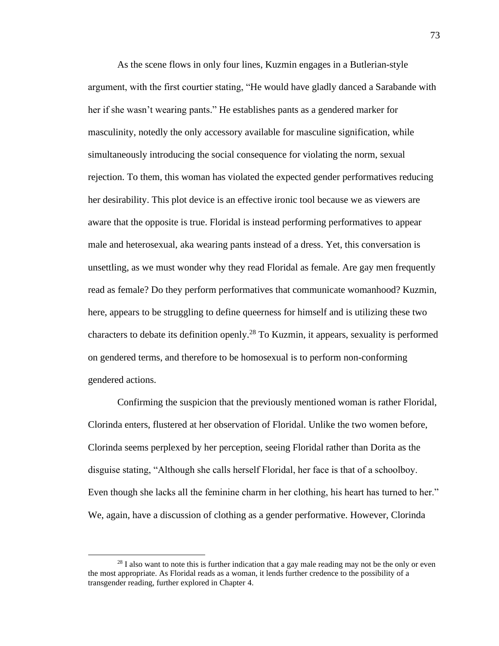As the scene flows in only four lines, Kuzmin engages in a Butlerian-style argument, with the first courtier stating, "He would have gladly danced a Sarabande with her if she wasn't wearing pants." He establishes pants as a gendered marker for masculinity, notedly the only accessory available for masculine signification, while simultaneously introducing the social consequence for violating the norm, sexual rejection. To them, this woman has violated the expected gender performatives reducing her desirability. This plot device is an effective ironic tool because we as viewers are aware that the opposite is true. Floridal is instead performing performatives to appear male and heterosexual, aka wearing pants instead of a dress. Yet, this conversation is unsettling, as we must wonder why they read Floridal as female. Are gay men frequently read as female? Do they perform performatives that communicate womanhood? Kuzmin, here, appears to be struggling to define queerness for himself and is utilizing these two characters to debate its definition openly. <sup>28</sup> To Kuzmin, it appears, sexuality is performed on gendered terms, and therefore to be homosexual is to perform non-conforming gendered actions.

Confirming the suspicion that the previously mentioned woman is rather Floridal, Clorinda enters, flustered at her observation of Floridal. Unlike the two women before, Clorinda seems perplexed by her perception, seeing Floridal rather than Dorita as the disguise stating, "Although she calls herself Floridal, her face is that of a schoolboy. Even though she lacks all the feminine charm in her clothing, his heart has turned to her." We, again, have a discussion of clothing as a gender performative. However, Clorinda

<sup>&</sup>lt;sup>28</sup> I also want to note this is further indication that a gay male reading may not be the only or even the most appropriate. As Floridal reads as a woman, it lends further credence to the possibility of a transgender reading, further explored in Chapter 4.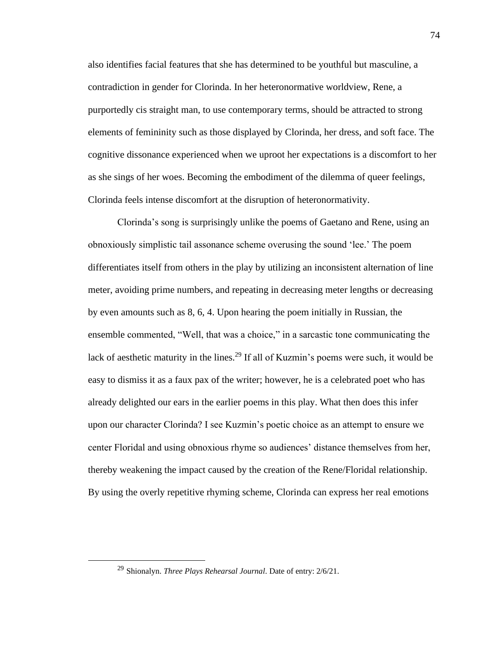also identifies facial features that she has determined to be youthful but masculine, a contradiction in gender for Clorinda. In her heteronormative worldview, Rene, a purportedly cis straight man, to use contemporary terms, should be attracted to strong elements of femininity such as those displayed by Clorinda, her dress, and soft face. The cognitive dissonance experienced when we uproot her expectations is a discomfort to her as she sings of her woes. Becoming the embodiment of the dilemma of queer feelings, Clorinda feels intense discomfort at the disruption of heteronormativity.

Clorinda's song is surprisingly unlike the poems of Gaetano and Rene, using an obnoxiously simplistic tail assonance scheme overusing the sound 'lee.' The poem differentiates itself from others in the play by utilizing an inconsistent alternation of line meter, avoiding prime numbers, and repeating in decreasing meter lengths or decreasing by even amounts such as 8, 6, 4. Upon hearing the poem initially in Russian, the ensemble commented, "Well, that was a choice," in a sarcastic tone communicating the lack of aesthetic maturity in the lines.<sup>29</sup> If all of Kuzmin's poems were such, it would be easy to dismiss it as a faux pax of the writer; however, he is a celebrated poet who has already delighted our ears in the earlier poems in this play. What then does this infer upon our character Clorinda? I see Kuzmin's poetic choice as an attempt to ensure we center Floridal and using obnoxious rhyme so audiences' distance themselves from her, thereby weakening the impact caused by the creation of the Rene/Floridal relationship. By using the overly repetitive rhyming scheme, Clorinda can express her real emotions

<sup>29</sup> Shionalyn. *Three Plays Rehearsal Journal*. Date of entry: 2/6/21.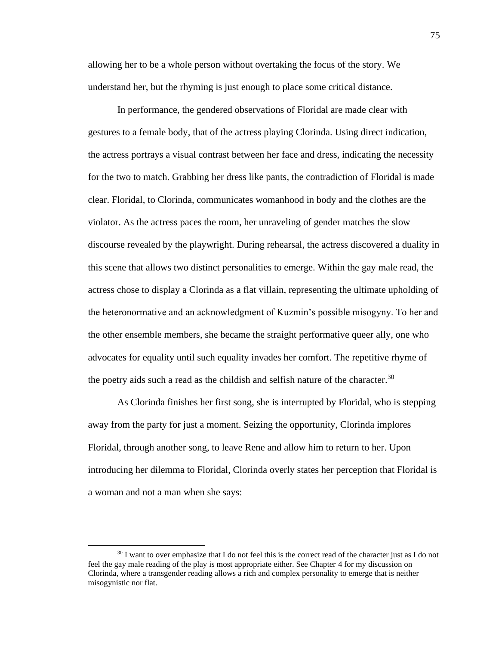allowing her to be a whole person without overtaking the focus of the story. We understand her, but the rhyming is just enough to place some critical distance.

In performance, the gendered observations of Floridal are made clear with gestures to a female body, that of the actress playing Clorinda. Using direct indication, the actress portrays a visual contrast between her face and dress, indicating the necessity for the two to match. Grabbing her dress like pants, the contradiction of Floridal is made clear. Floridal, to Clorinda, communicates womanhood in body and the clothes are the violator. As the actress paces the room, her unraveling of gender matches the slow discourse revealed by the playwright. During rehearsal, the actress discovered a duality in this scene that allows two distinct personalities to emerge. Within the gay male read, the actress chose to display a Clorinda as a flat villain, representing the ultimate upholding of the heteronormative and an acknowledgment of Kuzmin's possible misogyny. To her and the other ensemble members, she became the straight performative queer ally, one who advocates for equality until such equality invades her comfort. The repetitive rhyme of the poetry aids such a read as the childish and selfish nature of the character.<sup>30</sup>

As Clorinda finishes her first song, she is interrupted by Floridal, who is stepping away from the party for just a moment. Seizing the opportunity, Clorinda implores Floridal, through another song, to leave Rene and allow him to return to her. Upon introducing her dilemma to Floridal, Clorinda overly states her perception that Floridal is a woman and not a man when she says:

<sup>&</sup>lt;sup>30</sup> I want to over emphasize that I do not feel this is the correct read of the character just as I do not feel the gay male reading of the play is most appropriate either. See Chapter 4 for my discussion on Clorinda, where a transgender reading allows a rich and complex personality to emerge that is neither misogynistic nor flat.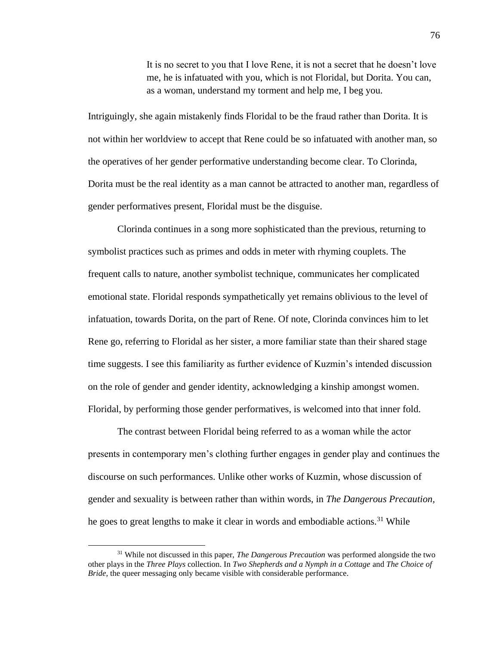It is no secret to you that I love Rene, it is not a secret that he doesn't love me, he is infatuated with you, which is not Floridal, but Dorita. You can, as a woman, understand my torment and help me, I beg you.

Intriguingly, she again mistakenly finds Floridal to be the fraud rather than Dorita. It is not within her worldview to accept that Rene could be so infatuated with another man, so the operatives of her gender performative understanding become clear. To Clorinda, Dorita must be the real identity as a man cannot be attracted to another man, regardless of gender performatives present, Floridal must be the disguise.

Clorinda continues in a song more sophisticated than the previous, returning to symbolist practices such as primes and odds in meter with rhyming couplets. The frequent calls to nature, another symbolist technique, communicates her complicated emotional state. Floridal responds sympathetically yet remains oblivious to the level of infatuation, towards Dorita, on the part of Rene. Of note, Clorinda convinces him to let Rene go, referring to Floridal as her sister, a more familiar state than their shared stage time suggests. I see this familiarity as further evidence of Kuzmin's intended discussion on the role of gender and gender identity, acknowledging a kinship amongst women. Floridal, by performing those gender performatives, is welcomed into that inner fold.

The contrast between Floridal being referred to as a woman while the actor presents in contemporary men's clothing further engages in gender play and continues the discourse on such performances. Unlike other works of Kuzmin, whose discussion of gender and sexuality is between rather than within words, in *The Dangerous Precaution,*  he goes to great lengths to make it clear in words and embodiable actions.<sup>31</sup> While

<sup>31</sup> While not discussed in this paper, *The Dangerous Precaution* was performed alongside the two other plays in the *Three Plays* collection. In *Two Shepherds and a Nymph in a Cottage* and *The Choice of Bride,* the queer messaging only became visible with considerable performance.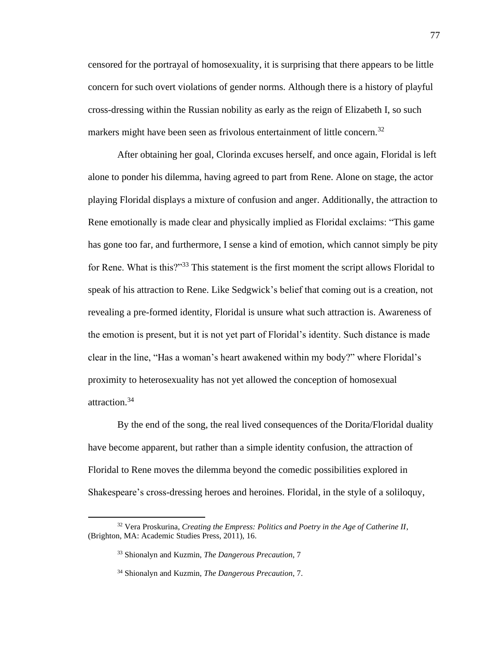censored for the portrayal of homosexuality, it is surprising that there appears to be little concern for such overt violations of gender norms. Although there is a history of playful cross-dressing within the Russian nobility as early as the reign of Elizabeth I, so such markers might have been seen as frivolous entertainment of little concern.<sup>32</sup>

After obtaining her goal, Clorinda excuses herself, and once again, Floridal is left alone to ponder his dilemma, having agreed to part from Rene. Alone on stage, the actor playing Floridal displays a mixture of confusion and anger. Additionally, the attraction to Rene emotionally is made clear and physically implied as Floridal exclaims: "This game has gone too far, and furthermore, I sense a kind of emotion, which cannot simply be pity for Rene. What is this?"<sup>33</sup> This statement is the first moment the script allows Floridal to speak of his attraction to Rene. Like Sedgwick's belief that coming out is a creation, not revealing a pre-formed identity, Floridal is unsure what such attraction is. Awareness of the emotion is present, but it is not yet part of Floridal's identity. Such distance is made clear in the line, "Has a woman's heart awakened within my body?" where Floridal's proximity to heterosexuality has not yet allowed the conception of homosexual attraction.<sup>34</sup>

By the end of the song, the real lived consequences of the Dorita/Floridal duality have become apparent, but rather than a simple identity confusion, the attraction of Floridal to Rene moves the dilemma beyond the comedic possibilities explored in Shakespeare's cross-dressing heroes and heroines. Floridal, in the style of a soliloquy,

<sup>32</sup> Vera Proskurina, *Creating the Empress: Politics and Poetry in the Age of Catherine II*, (Brighton, MA: Academic Studies Press, 2011), 16.

<sup>33</sup> Shionalyn and Kuzmin, *The Dangerous Precaution*, 7

<sup>34</sup> Shionalyn and Kuzmin, *The Dangerous Precaution*, 7.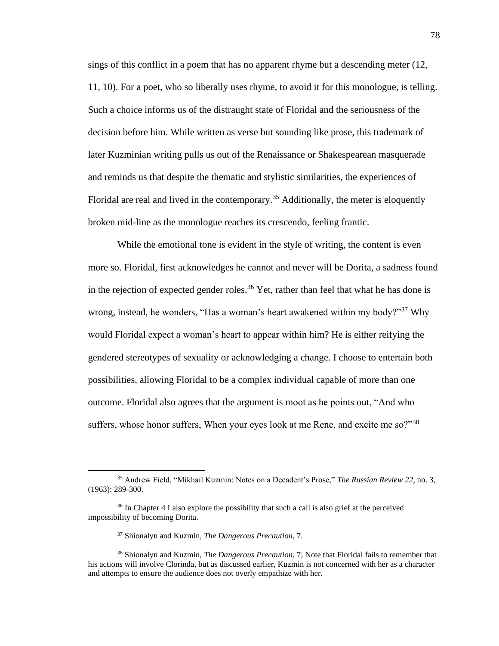sings of this conflict in a poem that has no apparent rhyme but a descending meter (12, 11, 10). For a poet, who so liberally uses rhyme, to avoid it for this monologue, is telling. Such a choice informs us of the distraught state of Floridal and the seriousness of the decision before him. While written as verse but sounding like prose, this trademark of later Kuzminian writing pulls us out of the Renaissance or Shakespearean masquerade and reminds us that despite the thematic and stylistic similarities, the experiences of Floridal are real and lived in the contemporary.<sup>35</sup> Additionally, the meter is eloquently broken mid-line as the monologue reaches its crescendo, feeling frantic.

While the emotional tone is evident in the style of writing, the content is even more so. Floridal, first acknowledges he cannot and never will be Dorita, a sadness found in the rejection of expected gender roles.<sup>36</sup> Yet, rather than feel that what he has done is wrong, instead, he wonders, "Has a woman's heart awakened within my body?"<sup>37</sup> Why would Floridal expect a woman's heart to appear within him? He is either reifying the gendered stereotypes of sexuality or acknowledging a change. I choose to entertain both possibilities, allowing Floridal to be a complex individual capable of more than one outcome. Floridal also agrees that the argument is moot as he points out, "And who suffers, whose honor suffers, When your eyes look at me Rene, and excite me so? $138$ 

<sup>35</sup> Andrew Field, "Mikhail Kuzmin: Notes on a Decadent's Prose," *The Russian Review 22,* no. 3, (1963): 289-300.

<sup>&</sup>lt;sup>36</sup> In Chapter 4 I also explore the possibility that such a call is also grief at the perceived impossibility of becoming Dorita.

<sup>37</sup> Shionalyn and Kuzmin, *The Dangerous Precaution*, 7.

<sup>38</sup> Shionalyn and Kuzmin, *The Dangerous Precaution*, 7; Note that Floridal fails to remember that his actions will involve Clorinda, but as discussed earlier, Kuzmin is not concerned with her as a character and attempts to ensure the audience does not overly empathize with her.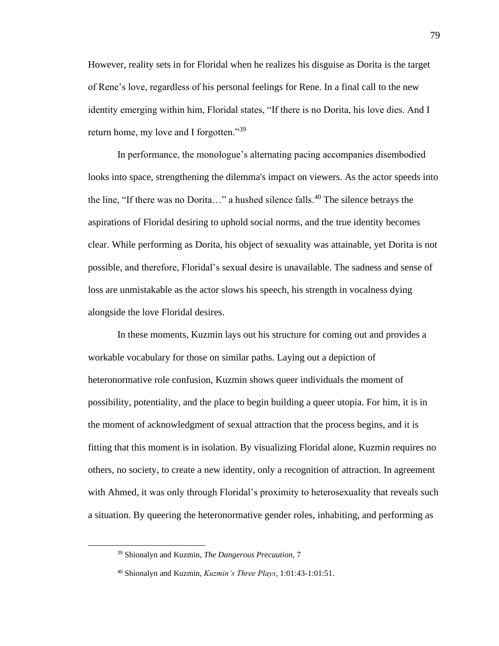However, reality sets in for Floridal when he realizes his disguise as Dorita is the target of Rene's love, regardless of his personal feelings for Rene. In a final call to the new identity emerging within him, Floridal states, "If there is no Dorita, his love dies. And I return home, my love and I forgotten."<sup>39</sup>

In performance, the monologue's alternating pacing accompanies disembodied looks into space, strengthening the dilemma's impact on viewers. As the actor speeds into the line, "If there was no Dorita..." a hushed silence falls.<sup>40</sup> The silence betrays the aspirations of Floridal desiring to uphold social norms, and the true identity becomes clear. While performing as Dorita, his object of sexuality was attainable, yet Dorita is not possible, and therefore, Floridal's sexual desire is unavailable. The sadness and sense of loss are unmistakable as the actor slows his speech, his strength in vocalness dying alongside the love Floridal desires.

In these moments, Kuzmin lays out his structure for coming out and provides a workable vocabulary for those on similar paths. Laying out a depiction of heteronormative role confusion, Kuzmin shows queer individuals the moment of possibility, potentiality, and the place to begin building a queer utopia. For him, it is in the moment of acknowledgment of sexual attraction that the process begins, and it is fitting that this moment is in isolation. By visualizing Floridal alone, Kuzmin requires no others, no society, to create a new identity, only a recognition of attraction. In agreement with Ahmed, it was only through Floridal's proximity to heterosexuality that reveals such a situation. By queering the heteronormative gender roles, inhabiting, and performing as

<sup>39</sup> Shionalyn and Kuzmin, *The Dangerous Precaution*, 7

<sup>40</sup> Shionalyn and Kuzmin, *Kuzmin's Three Plays*, 1:01:43-1:01:51.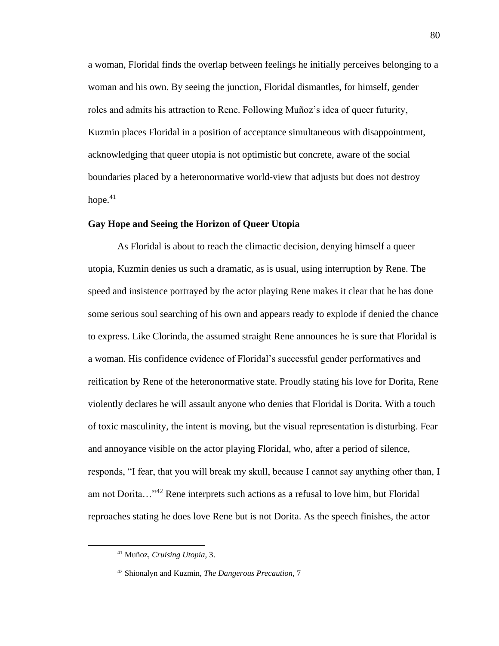a woman, Floridal finds the overlap between feelings he initially perceives belonging to a woman and his own. By seeing the junction, Floridal dismantles, for himself, gender roles and admits his attraction to Rene. Following Muñoz's idea of queer futurity, Kuzmin places Floridal in a position of acceptance simultaneous with disappointment, acknowledging that queer utopia is not optimistic but concrete, aware of the social boundaries placed by a heteronormative world-view that adjusts but does not destroy hope. $41$ 

# **Gay Hope and Seeing the Horizon of Queer Utopia**

As Floridal is about to reach the climactic decision, denying himself a queer utopia, Kuzmin denies us such a dramatic, as is usual, using interruption by Rene. The speed and insistence portrayed by the actor playing Rene makes it clear that he has done some serious soul searching of his own and appears ready to explode if denied the chance to express. Like Clorinda, the assumed straight Rene announces he is sure that Floridal is a woman. His confidence evidence of Floridal's successful gender performatives and reification by Rene of the heteronormative state. Proudly stating his love for Dorita, Rene violently declares he will assault anyone who denies that Floridal is Dorita. With a touch of toxic masculinity, the intent is moving, but the visual representation is disturbing. Fear and annoyance visible on the actor playing Floridal, who, after a period of silence, responds, "I fear, that you will break my skull, because I cannot say anything other than, I am not Dorita..."<sup>42</sup> Rene interprets such actions as a refusal to love him, but Floridal reproaches stating he does love Rene but is not Dorita. As the speech finishes, the actor

<sup>41</sup> Muñoz, *Cruising Utopia,* 3.

<sup>42</sup> Shionalyn and Kuzmin, *The Dangerous Precaution*, 7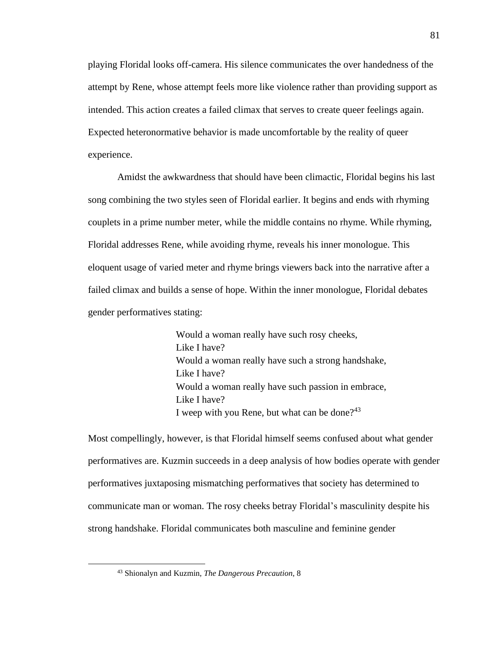playing Floridal looks off-camera. His silence communicates the over handedness of the attempt by Rene, whose attempt feels more like violence rather than providing support as intended. This action creates a failed climax that serves to create queer feelings again. Expected heteronormative behavior is made uncomfortable by the reality of queer experience.

Amidst the awkwardness that should have been climactic, Floridal begins his last song combining the two styles seen of Floridal earlier. It begins and ends with rhyming couplets in a prime number meter, while the middle contains no rhyme. While rhyming, Floridal addresses Rene, while avoiding rhyme, reveals his inner monologue. This eloquent usage of varied meter and rhyme brings viewers back into the narrative after a failed climax and builds a sense of hope. Within the inner monologue, Floridal debates gender performatives stating:

> Would a woman really have such rosy cheeks, Like I have? Would a woman really have such a strong handshake, Like I have? Would a woman really have such passion in embrace, Like I have? I weep with you Rene, but what can be done? $43$

Most compellingly, however, is that Floridal himself seems confused about what gender performatives are. Kuzmin succeeds in a deep analysis of how bodies operate with gender performatives juxtaposing mismatching performatives that society has determined to communicate man or woman. The rosy cheeks betray Floridal's masculinity despite his strong handshake. Floridal communicates both masculine and feminine gender

<sup>43</sup> Shionalyn and Kuzmin, *The Dangerous Precaution*, 8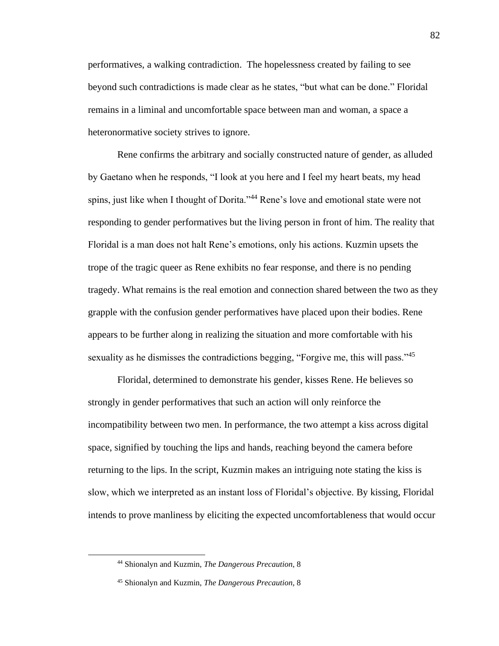performatives, a walking contradiction. The hopelessness created by failing to see beyond such contradictions is made clear as he states, "but what can be done." Floridal remains in a liminal and uncomfortable space between man and woman, a space a heteronormative society strives to ignore.

Rene confirms the arbitrary and socially constructed nature of gender, as alluded by Gaetano when he responds, "I look at you here and I feel my heart beats, my head spins, just like when I thought of Dorita."<sup>44</sup> Rene's love and emotional state were not responding to gender performatives but the living person in front of him. The reality that Floridal is a man does not halt Rene's emotions, only his actions. Kuzmin upsets the trope of the tragic queer as Rene exhibits no fear response, and there is no pending tragedy. What remains is the real emotion and connection shared between the two as they grapple with the confusion gender performatives have placed upon their bodies. Rene appears to be further along in realizing the situation and more comfortable with his sexuality as he dismisses the contradictions begging, "Forgive me, this will pass."<sup>45</sup>

Floridal, determined to demonstrate his gender, kisses Rene. He believes so strongly in gender performatives that such an action will only reinforce the incompatibility between two men. In performance, the two attempt a kiss across digital space, signified by touching the lips and hands, reaching beyond the camera before returning to the lips. In the script, Kuzmin makes an intriguing note stating the kiss is slow, which we interpreted as an instant loss of Floridal's objective. By kissing, Floridal intends to prove manliness by eliciting the expected uncomfortableness that would occur

<sup>44</sup> Shionalyn and Kuzmin, *The Dangerous Precaution*, 8

<sup>45</sup> Shionalyn and Kuzmin, *The Dangerous Precaution*, 8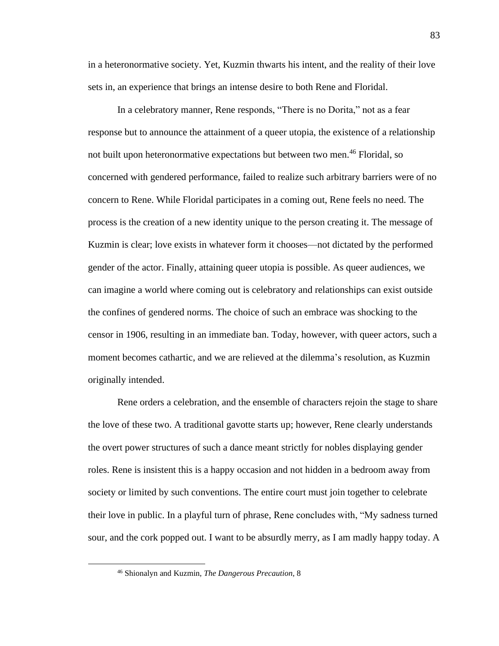in a heteronormative society. Yet, Kuzmin thwarts his intent, and the reality of their love sets in, an experience that brings an intense desire to both Rene and Floridal.

In a celebratory manner, Rene responds, "There is no Dorita," not as a fear response but to announce the attainment of a queer utopia, the existence of a relationship not built upon heteronormative expectations but between two men.<sup>46</sup> Floridal, so concerned with gendered performance, failed to realize such arbitrary barriers were of no concern to Rene. While Floridal participates in a coming out, Rene feels no need. The process is the creation of a new identity unique to the person creating it. The message of Kuzmin is clear; love exists in whatever form it chooses—not dictated by the performed gender of the actor. Finally, attaining queer utopia is possible. As queer audiences, we can imagine a world where coming out is celebratory and relationships can exist outside the confines of gendered norms. The choice of such an embrace was shocking to the censor in 1906, resulting in an immediate ban. Today, however, with queer actors, such a moment becomes cathartic, and we are relieved at the dilemma's resolution, as Kuzmin originally intended.

Rene orders a celebration, and the ensemble of characters rejoin the stage to share the love of these two. A traditional gavotte starts up; however, Rene clearly understands the overt power structures of such a dance meant strictly for nobles displaying gender roles. Rene is insistent this is a happy occasion and not hidden in a bedroom away from society or limited by such conventions. The entire court must join together to celebrate their love in public. In a playful turn of phrase, Rene concludes with, "My sadness turned sour, and the cork popped out. I want to be absurdly merry, as I am madly happy today. A

<sup>46</sup> Shionalyn and Kuzmin, *The Dangerous Precaution*, 8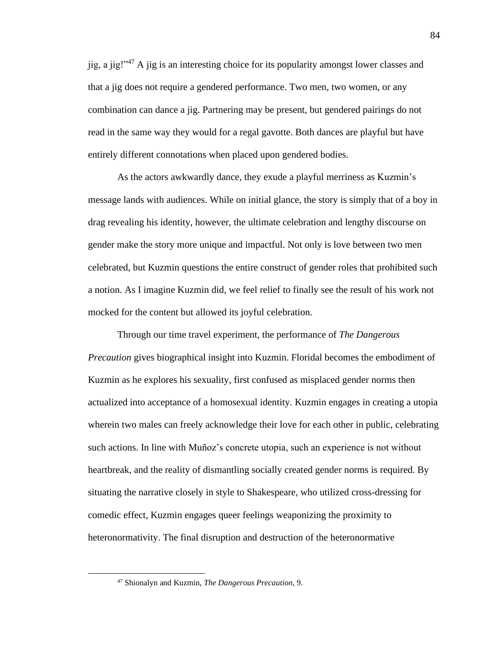iig, a jig!" $47$  A jig is an interesting choice for its popularity amongst lower classes and that a jig does not require a gendered performance. Two men, two women, or any combination can dance a jig. Partnering may be present, but gendered pairings do not read in the same way they would for a regal gavotte. Both dances are playful but have entirely different connotations when placed upon gendered bodies.

As the actors awkwardly dance, they exude a playful merriness as Kuzmin's message lands with audiences. While on initial glance, the story is simply that of a boy in drag revealing his identity, however, the ultimate celebration and lengthy discourse on gender make the story more unique and impactful. Not only is love between two men celebrated, but Kuzmin questions the entire construct of gender roles that prohibited such a notion. As I imagine Kuzmin did, we feel relief to finally see the result of his work not mocked for the content but allowed its joyful celebration.

Through our time travel experiment, the performance of *The Dangerous Precaution* gives biographical insight into Kuzmin. Floridal becomes the embodiment of Kuzmin as he explores his sexuality, first confused as misplaced gender norms then actualized into acceptance of a homosexual identity. Kuzmin engages in creating a utopia wherein two males can freely acknowledge their love for each other in public, celebrating such actions. In line with Muñoz's concrete utopia, such an experience is not without heartbreak, and the reality of dismantling socially created gender norms is required. By situating the narrative closely in style to Shakespeare, who utilized cross-dressing for comedic effect, Kuzmin engages queer feelings weaponizing the proximity to heteronormativity. The final disruption and destruction of the heteronormative

<sup>47</sup> Shionalyn and Kuzmin, *The Dangerous Precaution*, 9.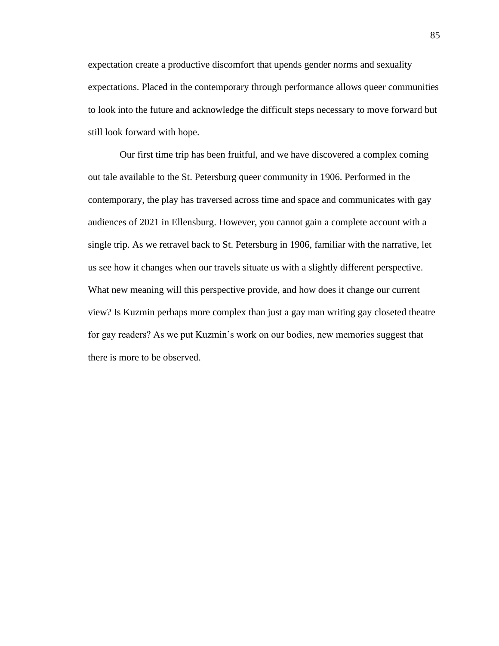expectation create a productive discomfort that upends gender norms and sexuality expectations. Placed in the contemporary through performance allows queer communities to look into the future and acknowledge the difficult steps necessary to move forward but still look forward with hope.

Our first time trip has been fruitful, and we have discovered a complex coming out tale available to the St. Petersburg queer community in 1906. Performed in the contemporary, the play has traversed across time and space and communicates with gay audiences of 2021 in Ellensburg. However, you cannot gain a complete account with a single trip. As we retravel back to St. Petersburg in 1906, familiar with the narrative, let us see how it changes when our travels situate us with a slightly different perspective. What new meaning will this perspective provide, and how does it change our current view? Is Kuzmin perhaps more complex than just a gay man writing gay closeted theatre for gay readers? As we put Kuzmin's work on our bodies, new memories suggest that there is more to be observed.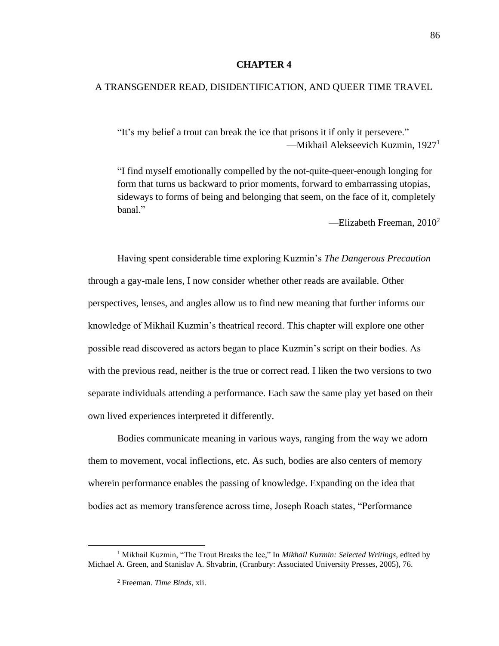### **CHAPTER 4**

# A TRANSGENDER READ, DISIDENTIFICATION, AND QUEER TIME TRAVEL

"It's my belief a trout can break the ice that prisons it if only it persevere." —Mikhail Alekseevich Kuzmin, 1927<sup>1</sup>

"I find myself emotionally compelled by the not-quite-queer-enough longing for form that turns us backward to prior moments, forward to embarrassing utopias, sideways to forms of being and belonging that seem, on the face of it, completely hanal"

—Elizabeth Freeman,  $2010^2$ 

Having spent considerable time exploring Kuzmin's *The Dangerous Precaution* through a gay-male lens, I now consider whether other reads are available. Other perspectives, lenses, and angles allow us to find new meaning that further informs our knowledge of Mikhail Kuzmin's theatrical record. This chapter will explore one other possible read discovered as actors began to place Kuzmin's script on their bodies. As with the previous read, neither is the true or correct read. I liken the two versions to two separate individuals attending a performance. Each saw the same play yet based on their own lived experiences interpreted it differently.

Bodies communicate meaning in various ways, ranging from the way we adorn them to movement, vocal inflections, etc. As such, bodies are also centers of memory wherein performance enables the passing of knowledge. Expanding on the idea that bodies act as memory transference across time, Joseph Roach states, "Performance

<sup>1</sup> Mikhail Kuzmin, "The Trout Breaks the Ice," In *Mikhail Kuzmin: Selected Writings,* edited by Michael A. Green, and Stanislav A. Shvabrin, (Cranbury: Associated University Presses, 2005), 76.

<sup>2</sup> Freeman. *Time Binds*, xii.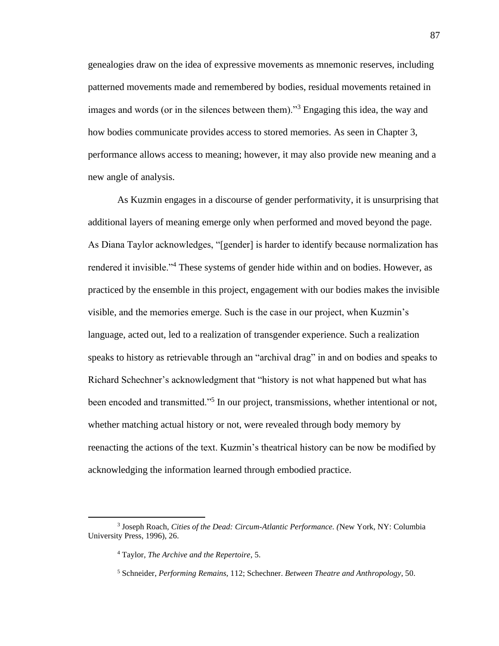genealogies draw on the idea of expressive movements as mnemonic reserves, including patterned movements made and remembered by bodies, residual movements retained in images and words (or in the silences between them)."<sup>3</sup> Engaging this idea, the way and how bodies communicate provides access to stored memories. As seen in Chapter 3, performance allows access to meaning; however, it may also provide new meaning and a new angle of analysis.

As Kuzmin engages in a discourse of gender performativity, it is unsurprising that additional layers of meaning emerge only when performed and moved beyond the page. As Diana Taylor acknowledges, "[gender] is harder to identify because normalization has rendered it invisible."<sup>4</sup> These systems of gender hide within and on bodies. However, as practiced by the ensemble in this project, engagement with our bodies makes the invisible visible, and the memories emerge. Such is the case in our project, when Kuzmin's language, acted out, led to a realization of transgender experience. Such a realization speaks to history as retrievable through an "archival drag" in and on bodies and speaks to Richard Schechner's acknowledgment that "history is not what happened but what has been encoded and transmitted."<sup>5</sup> In our project, transmissions, whether intentional or not, whether matching actual history or not, were revealed through body memory by reenacting the actions of the text. Kuzmin's theatrical history can be now be modified by acknowledging the information learned through embodied practice.

<sup>3</sup> Joseph Roach, *Cities of the Dead: Circum-Atlantic Performance. (*New York, NY: Columbia University Press, 1996), 26.

<sup>4</sup> Taylor, *The Archive and the Repertoire*, 5.

<sup>5</sup> Schneider, *Performing Remains*, 112; Schechner. *Between Theatre and Anthropology*, 50.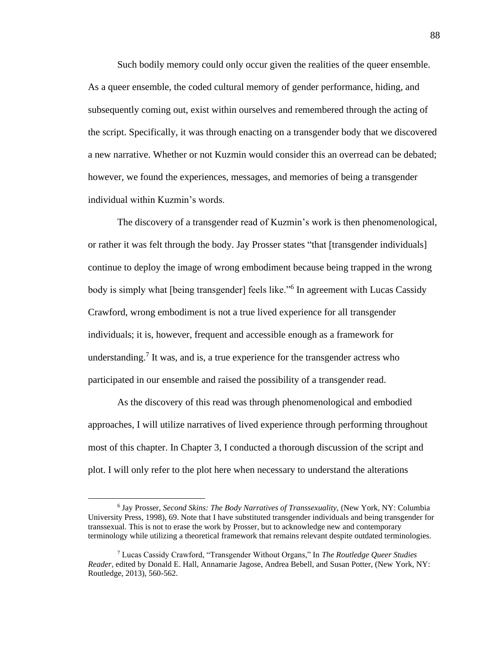Such bodily memory could only occur given the realities of the queer ensemble. As a queer ensemble, the coded cultural memory of gender performance, hiding, and subsequently coming out, exist within ourselves and remembered through the acting of the script. Specifically, it was through enacting on a transgender body that we discovered a new narrative. Whether or not Kuzmin would consider this an overread can be debated; however, we found the experiences, messages, and memories of being a transgender individual within Kuzmin's words.

The discovery of a transgender read of Kuzmin's work is then phenomenological, or rather it was felt through the body. Jay Prosser states "that [transgender individuals] continue to deploy the image of wrong embodiment because being trapped in the wrong body is simply what [being transgender] feels like."<sup>6</sup> In agreement with Lucas Cassidy Crawford, wrong embodiment is not a true lived experience for all transgender individuals; it is, however, frequent and accessible enough as a framework for understanding.<sup>7</sup> It was, and is, a true experience for the transgender actress who participated in our ensemble and raised the possibility of a transgender read.

As the discovery of this read was through phenomenological and embodied approaches, I will utilize narratives of lived experience through performing throughout most of this chapter. In Chapter 3, I conducted a thorough discussion of the script and plot. I will only refer to the plot here when necessary to understand the alterations

<sup>&</sup>lt;sup>6</sup> Jay Prosser, *Second Skins: The Body Narratives of Transsexuality*, (New York, NY: Columbia University Press, 1998), 69. Note that I have substituted transgender individuals and being transgender for transsexual. This is not to erase the work by Prosser, but to acknowledge new and contemporary terminology while utilizing a theoretical framework that remains relevant despite outdated terminologies.

<sup>7</sup> Lucas Cassidy Crawford, "Transgender Without Organs," In *The Routledge Queer Studies Reader,* edited by Donald E. Hall, Annamarie Jagose, Andrea Bebell, and Susan Potter, (New York, NY: Routledge, 2013), 560-562.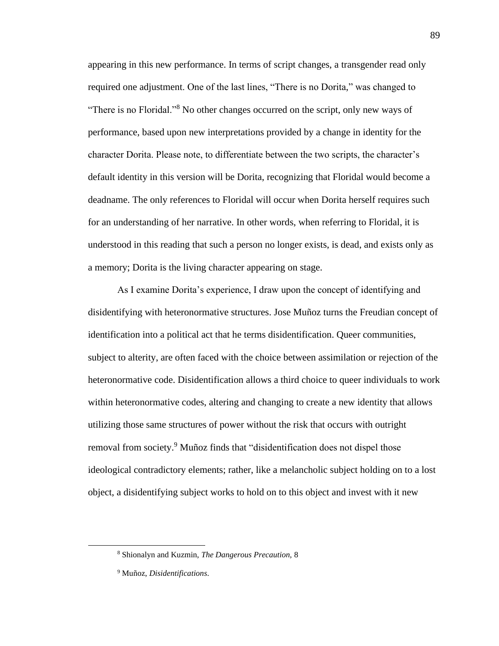appearing in this new performance. In terms of script changes, a transgender read only required one adjustment. One of the last lines, "There is no Dorita," was changed to "There is no Floridal."<sup>8</sup> No other changes occurred on the script, only new ways of performance, based upon new interpretations provided by a change in identity for the character Dorita. Please note, to differentiate between the two scripts, the character's default identity in this version will be Dorita, recognizing that Floridal would become a deadname. The only references to Floridal will occur when Dorita herself requires such for an understanding of her narrative. In other words, when referring to Floridal, it is understood in this reading that such a person no longer exists, is dead, and exists only as a memory; Dorita is the living character appearing on stage.

As I examine Dorita's experience, I draw upon the concept of identifying and disidentifying with heteronormative structures. Jose Muñoz turns the Freudian concept of identification into a political act that he terms disidentification. Queer communities, subject to alterity, are often faced with the choice between assimilation or rejection of the heteronormative code. Disidentification allows a third choice to queer individuals to work within heteronormative codes, altering and changing to create a new identity that allows utilizing those same structures of power without the risk that occurs with outright removal from society.<sup>9</sup> Muñoz finds that "disidentification does not dispel those ideological contradictory elements; rather, like a melancholic subject holding on to a lost object, a disidentifying subject works to hold on to this object and invest with it new

<sup>8</sup> Shionalyn and Kuzmin, *The Dangerous Precaution,* 8

<sup>9</sup> Muñoz, *Disidentifications*.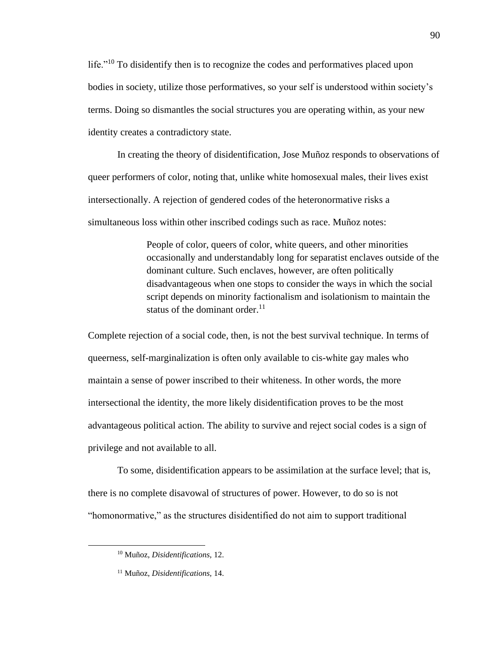life."<sup>10</sup> To disidentify then is to recognize the codes and performatives placed upon bodies in society, utilize those performatives, so your self is understood within society's terms. Doing so dismantles the social structures you are operating within, as your new identity creates a contradictory state.

In creating the theory of disidentification, Jose Muñoz responds to observations of queer performers of color, noting that, unlike white homosexual males, their lives exist intersectionally. A rejection of gendered codes of the heteronormative risks a simultaneous loss within other inscribed codings such as race. Muñoz notes:

> People of color, queers of color, white queers, and other minorities occasionally and understandably long for separatist enclaves outside of the dominant culture. Such enclaves, however, are often politically disadvantageous when one stops to consider the ways in which the social script depends on minority factionalism and isolationism to maintain the status of the dominant order. $^{11}$

Complete rejection of a social code, then, is not the best survival technique. In terms of queerness, self-marginalization is often only available to cis-white gay males who maintain a sense of power inscribed to their whiteness. In other words, the more intersectional the identity, the more likely disidentification proves to be the most advantageous political action. The ability to survive and reject social codes is a sign of privilege and not available to all.

To some, disidentification appears to be assimilation at the surface level; that is, there is no complete disavowal of structures of power. However, to do so is not "homonormative," as the structures disidentified do not aim to support traditional

<sup>10</sup> Muñoz, *Disidentifications,* 12.

<sup>11</sup> Muñoz, *Disidentifications,* 14.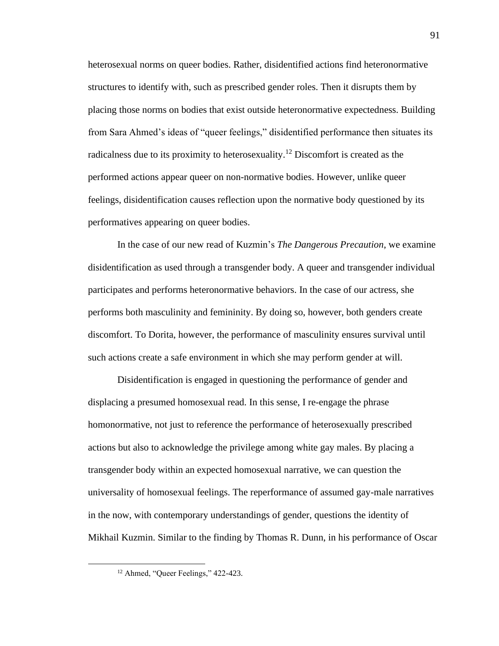heterosexual norms on queer bodies. Rather, disidentified actions find heteronormative structures to identify with, such as prescribed gender roles. Then it disrupts them by placing those norms on bodies that exist outside heteronormative expectedness. Building from Sara Ahmed's ideas of "queer feelings," disidentified performance then situates its radicalness due to its proximity to heterosexuality.<sup>12</sup> Discomfort is created as the performed actions appear queer on non-normative bodies. However, unlike queer feelings, disidentification causes reflection upon the normative body questioned by its performatives appearing on queer bodies.

In the case of our new read of Kuzmin's *The Dangerous Precaution*, we examine disidentification as used through a transgender body. A queer and transgender individual participates and performs heteronormative behaviors. In the case of our actress, she performs both masculinity and femininity. By doing so, however, both genders create discomfort. To Dorita, however, the performance of masculinity ensures survival until such actions create a safe environment in which she may perform gender at will.

Disidentification is engaged in questioning the performance of gender and displacing a presumed homosexual read. In this sense, I re-engage the phrase homonormative, not just to reference the performance of heterosexually prescribed actions but also to acknowledge the privilege among white gay males. By placing a transgender body within an expected homosexual narrative, we can question the universality of homosexual feelings. The reperformance of assumed gay-male narratives in the now, with contemporary understandings of gender, questions the identity of Mikhail Kuzmin. Similar to the finding by Thomas R. Dunn, in his performance of Oscar

<sup>&</sup>lt;sup>12</sup> Ahmed, "Queer Feelings," 422-423.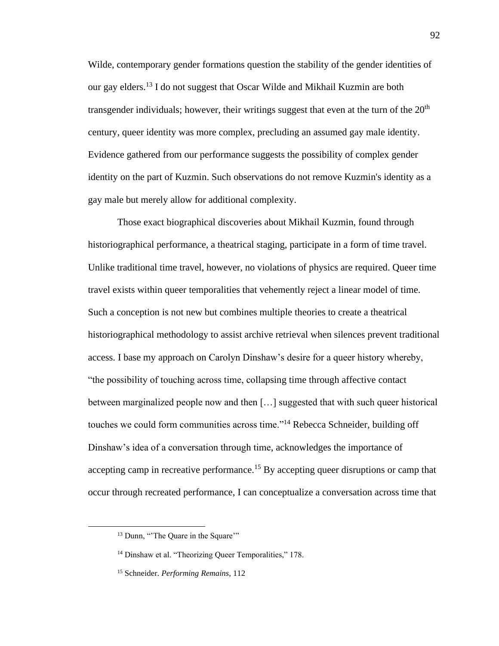Wilde, contemporary gender formations question the stability of the gender identities of our gay elders.<sup>13</sup> I do not suggest that Oscar Wilde and Mikhail Kuzmin are both transgender individuals; however, their writings suggest that even at the turn of the  $20<sup>th</sup>$ century, queer identity was more complex, precluding an assumed gay male identity. Evidence gathered from our performance suggests the possibility of complex gender identity on the part of Kuzmin. Such observations do not remove Kuzmin's identity as a gay male but merely allow for additional complexity.

Those exact biographical discoveries about Mikhail Kuzmin, found through historiographical performance, a theatrical staging, participate in a form of time travel. Unlike traditional time travel, however, no violations of physics are required. Queer time travel exists within queer temporalities that vehemently reject a linear model of time. Such a conception is not new but combines multiple theories to create a theatrical historiographical methodology to assist archive retrieval when silences prevent traditional access. I base my approach on Carolyn Dinshaw's desire for a queer history whereby, "the possibility of touching across time, collapsing time through affective contact between marginalized people now and then […] suggested that with such queer historical touches we could form communities across time."<sup>14</sup> Rebecca Schneider, building off Dinshaw's idea of a conversation through time, acknowledges the importance of accepting camp in recreative performance.<sup>15</sup> By accepting queer disruptions or camp that occur through recreated performance, I can conceptualize a conversation across time that

<sup>&</sup>lt;sup>13</sup> Dunn, "The Quare in the Square"

<sup>&</sup>lt;sup>14</sup> Dinshaw et al. "Theorizing Queer Temporalities," 178.

<sup>15</sup> Schneider. *Performing Remains*, 112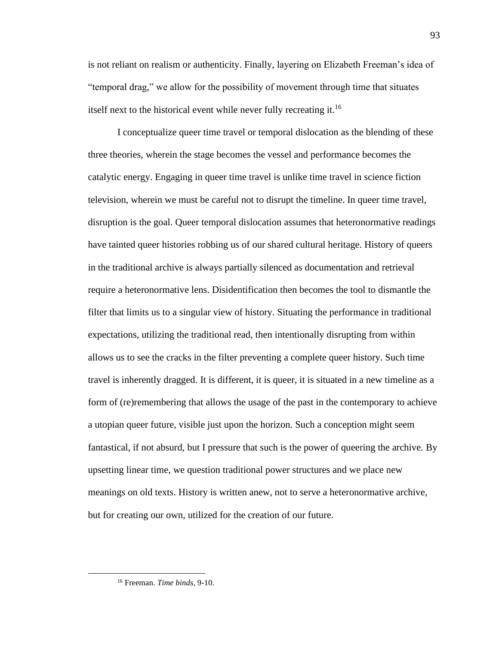is not reliant on realism or authenticity. Finally, layering on Elizabeth Freeman's idea of "temporal drag," we allow for the possibility of movement through time that situates itself next to the historical event while never fully recreating it.<sup>16</sup>

I conceptualize queer time travel or temporal dislocation as the blending of these three theories, wherein the stage becomes the vessel and performance becomes the catalytic energy. Engaging in queer time travel is unlike time travel in science fiction television, wherein we must be careful not to disrupt the timeline. In queer time travel, disruption is the goal. Queer temporal dislocation assumes that heteronormative readings have tainted queer histories robbing us of our shared cultural heritage. History of queers in the traditional archive is always partially silenced as documentation and retrieval require a heteronormative lens. Disidentification then becomes the tool to dismantle the filter that limits us to a singular view of history. Situating the performance in traditional expectations, utilizing the traditional read, then intentionally disrupting from within allows us to see the cracks in the filter preventing a complete queer history. Such time travel is inherently dragged. It is different, it is queer, it is situated in a new timeline as a form of (re)remembering that allows the usage of the past in the contemporary to achieve a utopian queer future, visible just upon the horizon. Such a conception might seem fantastical, if not absurd, but I pressure that such is the power of queering the archive. By upsetting linear time, we question traditional power structures and we place new meanings on old texts. History is written anew, not to serve a heteronormative archive, but for creating our own, utilized for the creation of our future.

<sup>16</sup> Freeman. *Time binds*, 9-10.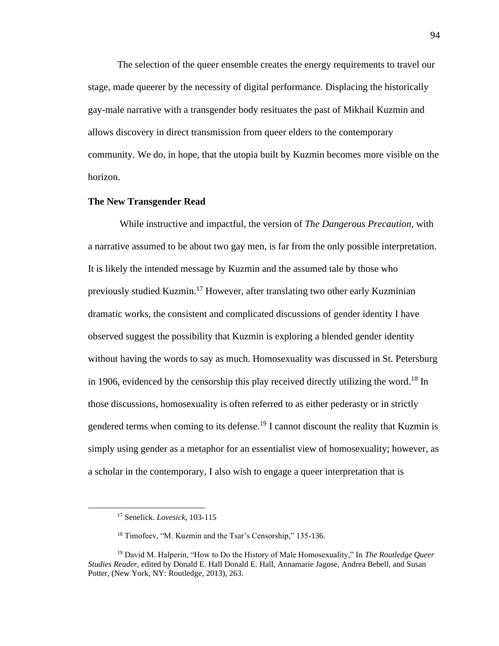The selection of the queer ensemble creates the energy requirements to travel our stage, made queerer by the necessity of digital performance. Displacing the historically gay-male narrative with a transgender body resituates the past of Mikhail Kuzmin and allows discovery in direct transmission from queer elders to the contemporary community. We do, in hope, that the utopia built by Kuzmin becomes more visible on the horizon.

# **The New Transgender Read**

While instructive and impactful, the version of *The Dangerous Precaution*, with a narrative assumed to be about two gay men, is far from the only possible interpretation. It is likely the intended message by Kuzmin and the assumed tale by those who previously studied Kuzmin. <sup>17</sup> However, after translating two other early Kuzminian dramatic works, the consistent and complicated discussions of gender identity I have observed suggest the possibility that Kuzmin is exploring a blended gender identity without having the words to say as much. Homosexuality was discussed in St. Petersburg in 1906, evidenced by the censorship this play received directly utilizing the word.<sup>18</sup> In those discussions, homosexuality is often referred to as either pederasty or in strictly gendered terms when coming to its defense.<sup>19</sup> I cannot discount the reality that Kuzmin is simply using gender as a metaphor for an essentialist view of homosexuality; however, as a scholar in the contemporary, I also wish to engage a queer interpretation that is

<sup>17</sup> Senelick. *Lovesick*, 103-115

<sup>18</sup> Timofeev, "M. Kuzmin and the Tsar's Censorship," 135-136.

<sup>19</sup> David M. Halperin, "How to Do the History of Male Homosexuality," In *The Routledge Queer Studies Reader,* edited by Donald E. Hall Donald E. Hall, Annamarie Jagose, Andrea Bebell, and Susan Potter, (New York, NY: Routledge, 2013), 263.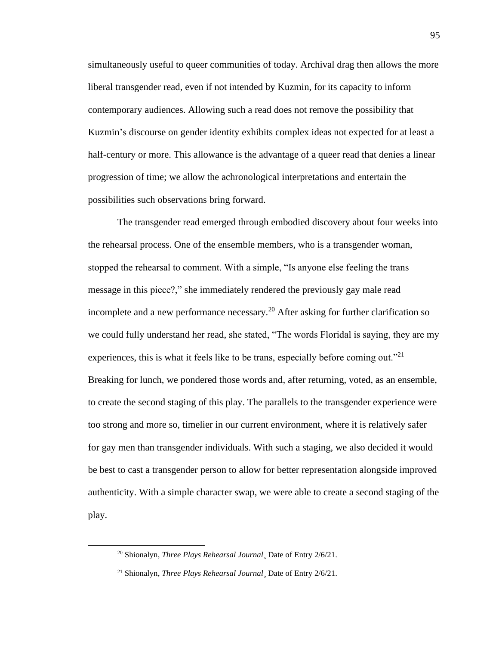simultaneously useful to queer communities of today. Archival drag then allows the more liberal transgender read, even if not intended by Kuzmin, for its capacity to inform contemporary audiences. Allowing such a read does not remove the possibility that Kuzmin's discourse on gender identity exhibits complex ideas not expected for at least a half-century or more. This allowance is the advantage of a queer read that denies a linear progression of time; we allow the achronological interpretations and entertain the possibilities such observations bring forward.

The transgender read emerged through embodied discovery about four weeks into the rehearsal process. One of the ensemble members, who is a transgender woman, stopped the rehearsal to comment. With a simple, "Is anyone else feeling the trans message in this piece?," she immediately rendered the previously gay male read incomplete and a new performance necessary.<sup>20</sup> After asking for further clarification so we could fully understand her read, she stated, "The words Floridal is saying, they are my experiences, this is what it feels like to be trans, especially before coming out."<sup>21</sup> Breaking for lunch, we pondered those words and, after returning, voted, as an ensemble, to create the second staging of this play. The parallels to the transgender experience were too strong and more so, timelier in our current environment, where it is relatively safer for gay men than transgender individuals. With such a staging, we also decided it would be best to cast a transgender person to allow for better representation alongside improved authenticity. With a simple character swap, we were able to create a second staging of the play.

<sup>20</sup> Shionalyn, *Three Plays Rehearsal Journal*¸ Date of Entry 2/6/21.

<sup>21</sup> Shionalyn, *Three Plays Rehearsal Journal*¸ Date of Entry 2/6/21.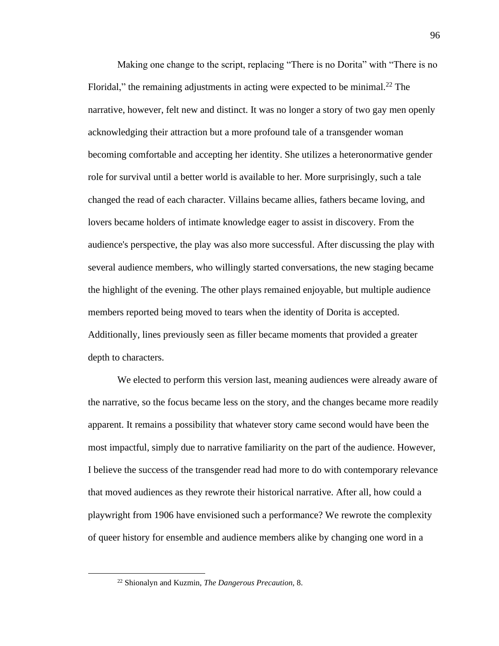Making one change to the script, replacing "There is no Dorita" with "There is no Floridal," the remaining adjustments in acting were expected to be minimal.<sup>22</sup> The narrative, however, felt new and distinct. It was no longer a story of two gay men openly acknowledging their attraction but a more profound tale of a transgender woman becoming comfortable and accepting her identity. She utilizes a heteronormative gender role for survival until a better world is available to her. More surprisingly, such a tale changed the read of each character. Villains became allies, fathers became loving, and lovers became holders of intimate knowledge eager to assist in discovery. From the audience's perspective, the play was also more successful. After discussing the play with several audience members, who willingly started conversations, the new staging became the highlight of the evening. The other plays remained enjoyable, but multiple audience members reported being moved to tears when the identity of Dorita is accepted. Additionally, lines previously seen as filler became moments that provided a greater depth to characters.

We elected to perform this version last, meaning audiences were already aware of the narrative, so the focus became less on the story, and the changes became more readily apparent. It remains a possibility that whatever story came second would have been the most impactful, simply due to narrative familiarity on the part of the audience. However, I believe the success of the transgender read had more to do with contemporary relevance that moved audiences as they rewrote their historical narrative. After all, how could a playwright from 1906 have envisioned such a performance? We rewrote the complexity of queer history for ensemble and audience members alike by changing one word in a

<sup>22</sup> Shionalyn and Kuzmin, *The Dangerous Precaution,* 8.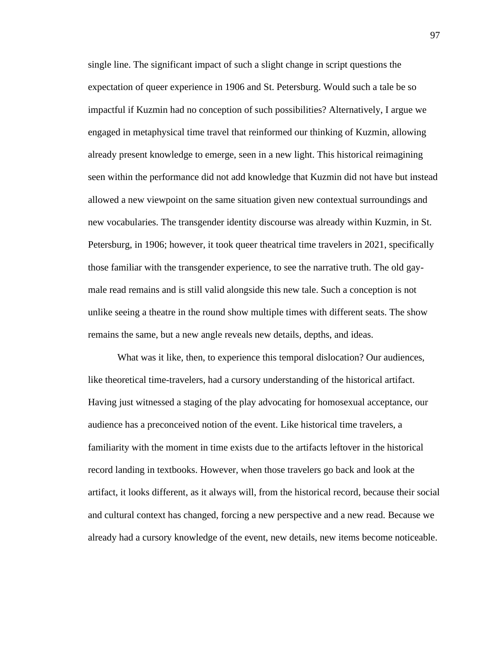single line. The significant impact of such a slight change in script questions the expectation of queer experience in 1906 and St. Petersburg. Would such a tale be so impactful if Kuzmin had no conception of such possibilities? Alternatively, I argue we engaged in metaphysical time travel that reinformed our thinking of Kuzmin, allowing already present knowledge to emerge, seen in a new light. This historical reimagining seen within the performance did not add knowledge that Kuzmin did not have but instead allowed a new viewpoint on the same situation given new contextual surroundings and new vocabularies. The transgender identity discourse was already within Kuzmin, in St. Petersburg, in 1906; however, it took queer theatrical time travelers in 2021, specifically those familiar with the transgender experience, to see the narrative truth. The old gaymale read remains and is still valid alongside this new tale. Such a conception is not unlike seeing a theatre in the round show multiple times with different seats. The show remains the same, but a new angle reveals new details, depths, and ideas.

What was it like, then, to experience this temporal dislocation? Our audiences, like theoretical time-travelers, had a cursory understanding of the historical artifact. Having just witnessed a staging of the play advocating for homosexual acceptance, our audience has a preconceived notion of the event. Like historical time travelers, a familiarity with the moment in time exists due to the artifacts leftover in the historical record landing in textbooks. However, when those travelers go back and look at the artifact, it looks different, as it always will, from the historical record, because their social and cultural context has changed, forcing a new perspective and a new read. Because we already had a cursory knowledge of the event, new details, new items become noticeable.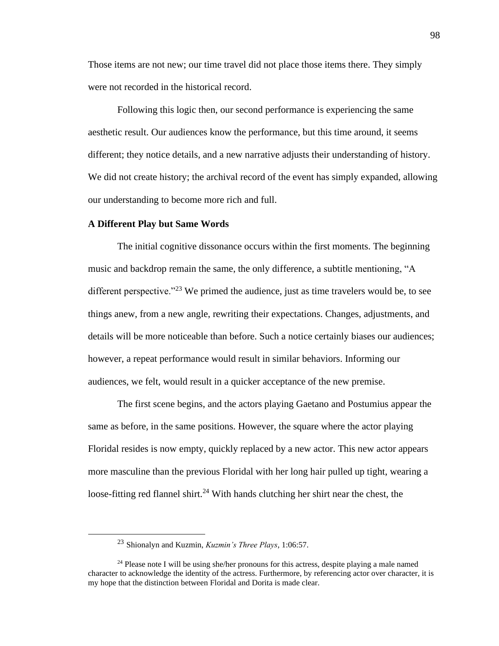Those items are not new; our time travel did not place those items there. They simply were not recorded in the historical record.

Following this logic then, our second performance is experiencing the same aesthetic result. Our audiences know the performance, but this time around, it seems different; they notice details, and a new narrative adjusts their understanding of history. We did not create history; the archival record of the event has simply expanded, allowing our understanding to become more rich and full.

# **A Different Play but Same Words**

The initial cognitive dissonance occurs within the first moments. The beginning music and backdrop remain the same, the only difference, a subtitle mentioning, "A different perspective."<sup>23</sup> We primed the audience, just as time travelers would be, to see things anew, from a new angle, rewriting their expectations. Changes, adjustments, and details will be more noticeable than before. Such a notice certainly biases our audiences; however, a repeat performance would result in similar behaviors. Informing our audiences, we felt, would result in a quicker acceptance of the new premise.

The first scene begins, and the actors playing Gaetano and Postumius appear the same as before, in the same positions. However, the square where the actor playing Floridal resides is now empty, quickly replaced by a new actor. This new actor appears more masculine than the previous Floridal with her long hair pulled up tight, wearing a loose-fitting red flannel shirt.<sup>24</sup> With hands clutching her shirt near the chest, the

<sup>23</sup> Shionalyn and Kuzmin, *Kuzmin's Three Plays*, 1:06:57.

 $24$  Please note I will be using she/her pronouns for this actress, despite playing a male named character to acknowledge the identity of the actress. Furthermore, by referencing actor over character, it is my hope that the distinction between Floridal and Dorita is made clear.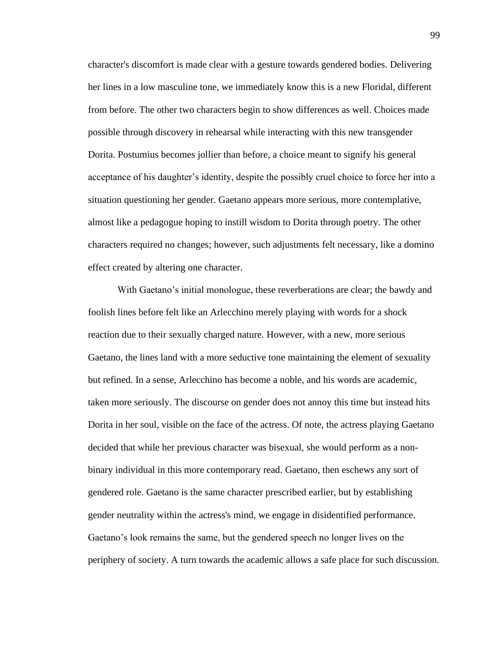character's discomfort is made clear with a gesture towards gendered bodies. Delivering her lines in a low masculine tone, we immediately know this is a new Floridal, different from before. The other two characters begin to show differences as well. Choices made possible through discovery in rehearsal while interacting with this new transgender Dorita. Postumius becomes jollier than before, a choice meant to signify his general acceptance of his daughter's identity, despite the possibly cruel choice to force her into a situation questioning her gender. Gaetano appears more serious, more contemplative, almost like a pedagogue hoping to instill wisdom to Dorita through poetry. The other characters required no changes; however, such adjustments felt necessary, like a domino effect created by altering one character.

With Gaetano's initial monologue, these reverberations are clear; the bawdy and foolish lines before felt like an Arlecchino merely playing with words for a shock reaction due to their sexually charged nature. However, with a new, more serious Gaetano, the lines land with a more seductive tone maintaining the element of sexuality but refined. In a sense, Arlecchino has become a noble, and his words are academic, taken more seriously. The discourse on gender does not annoy this time but instead hits Dorita in her soul, visible on the face of the actress. Of note, the actress playing Gaetano decided that while her previous character was bisexual, she would perform as a nonbinary individual in this more contemporary read. Gaetano, then eschews any sort of gendered role. Gaetano is the same character prescribed earlier, but by establishing gender neutrality within the actress's mind, we engage in disidentified performance. Gaetano's look remains the same, but the gendered speech no longer lives on the periphery of society. A turn towards the academic allows a safe place for such discussion.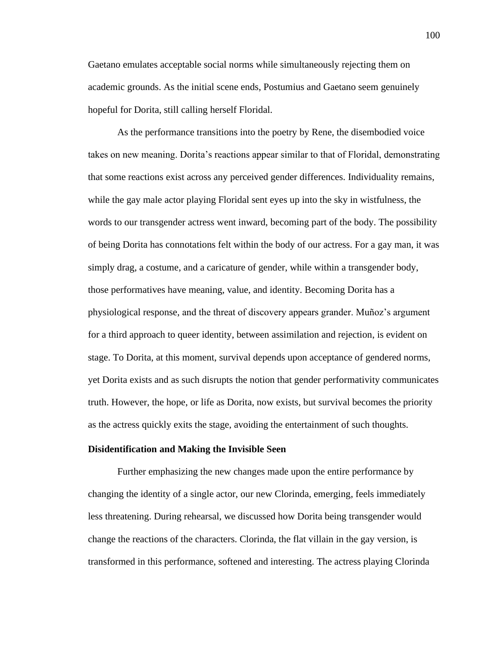Gaetano emulates acceptable social norms while simultaneously rejecting them on academic grounds. As the initial scene ends, Postumius and Gaetano seem genuinely hopeful for Dorita, still calling herself Floridal.

As the performance transitions into the poetry by Rene, the disembodied voice takes on new meaning. Dorita's reactions appear similar to that of Floridal, demonstrating that some reactions exist across any perceived gender differences. Individuality remains, while the gay male actor playing Floridal sent eyes up into the sky in wistfulness, the words to our transgender actress went inward, becoming part of the body. The possibility of being Dorita has connotations felt within the body of our actress. For a gay man, it was simply drag, a costume, and a caricature of gender, while within a transgender body, those performatives have meaning, value, and identity. Becoming Dorita has a physiological response, and the threat of discovery appears grander. Muñoz's argument for a third approach to queer identity, between assimilation and rejection, is evident on stage. To Dorita, at this moment, survival depends upon acceptance of gendered norms, yet Dorita exists and as such disrupts the notion that gender performativity communicates truth. However, the hope, or life as Dorita, now exists, but survival becomes the priority as the actress quickly exits the stage, avoiding the entertainment of such thoughts.

#### **Disidentification and Making the Invisible Seen**

Further emphasizing the new changes made upon the entire performance by changing the identity of a single actor, our new Clorinda, emerging, feels immediately less threatening. During rehearsal, we discussed how Dorita being transgender would change the reactions of the characters. Clorinda, the flat villain in the gay version, is transformed in this performance, softened and interesting. The actress playing Clorinda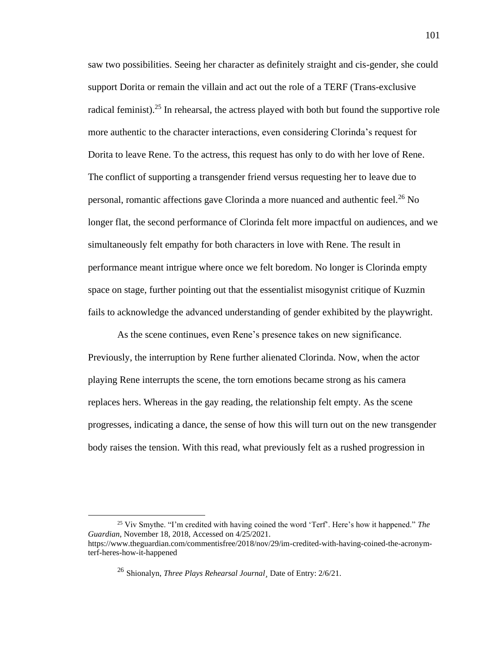saw two possibilities. Seeing her character as definitely straight and cis-gender, she could support Dorita or remain the villain and act out the role of a TERF (Trans-exclusive radical feminist).<sup>25</sup> In rehearsal, the actress played with both but found the supportive role more authentic to the character interactions, even considering Clorinda's request for Dorita to leave Rene. To the actress, this request has only to do with her love of Rene. The conflict of supporting a transgender friend versus requesting her to leave due to personal, romantic affections gave Clorinda a more nuanced and authentic feel.<sup>26</sup> No longer flat, the second performance of Clorinda felt more impactful on audiences, and we simultaneously felt empathy for both characters in love with Rene. The result in performance meant intrigue where once we felt boredom. No longer is Clorinda empty space on stage, further pointing out that the essentialist misogynist critique of Kuzmin fails to acknowledge the advanced understanding of gender exhibited by the playwright.

As the scene continues, even Rene's presence takes on new significance. Previously, the interruption by Rene further alienated Clorinda. Now, when the actor playing Rene interrupts the scene, the torn emotions became strong as his camera replaces hers. Whereas in the gay reading, the relationship felt empty. As the scene progresses, indicating a dance, the sense of how this will turn out on the new transgender body raises the tension. With this read, what previously felt as a rushed progression in

<sup>25</sup> Viv Smythe. "I'm credited with having coined the word 'Terf'. Here's how it happened." *The Guardian*, November 18, 2018, Accessed on 4/25/2021. https://www.theguardian.com/commentisfree/2018/nov/29/im-credited-with-having-coined-the-acronymterf-heres-how-it-happened

<sup>26</sup> Shionalyn, *Three Plays Rehearsal Journal¸* Date of Entry: 2/6/21.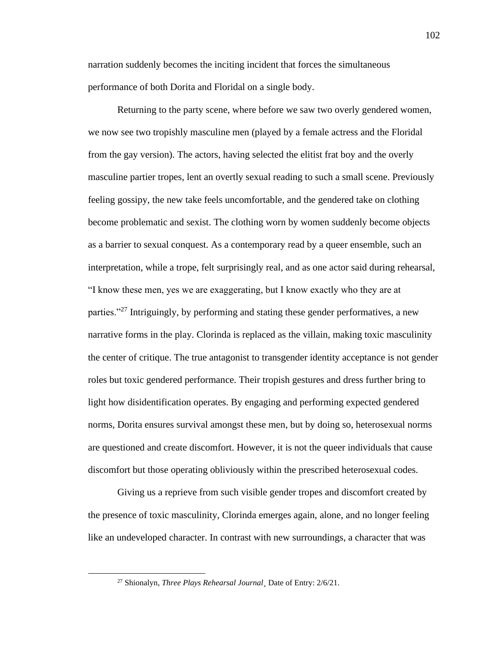narration suddenly becomes the inciting incident that forces the simultaneous performance of both Dorita and Floridal on a single body.

Returning to the party scene, where before we saw two overly gendered women, we now see two tropishly masculine men (played by a female actress and the Floridal from the gay version). The actors, having selected the elitist frat boy and the overly masculine partier tropes, lent an overtly sexual reading to such a small scene. Previously feeling gossipy, the new take feels uncomfortable, and the gendered take on clothing become problematic and sexist. The clothing worn by women suddenly become objects as a barrier to sexual conquest. As a contemporary read by a queer ensemble, such an interpretation, while a trope, felt surprisingly real, and as one actor said during rehearsal, "I know these men, yes we are exaggerating, but I know exactly who they are at parties."<sup>27</sup> Intriguingly, by performing and stating these gender performatives, a new narrative forms in the play. Clorinda is replaced as the villain, making toxic masculinity the center of critique. The true antagonist to transgender identity acceptance is not gender roles but toxic gendered performance. Their tropish gestures and dress further bring to light how disidentification operates. By engaging and performing expected gendered norms, Dorita ensures survival amongst these men, but by doing so, heterosexual norms are questioned and create discomfort. However, it is not the queer individuals that cause discomfort but those operating obliviously within the prescribed heterosexual codes.

Giving us a reprieve from such visible gender tropes and discomfort created by the presence of toxic masculinity, Clorinda emerges again, alone, and no longer feeling like an undeveloped character. In contrast with new surroundings, a character that was

<sup>27</sup> Shionalyn, *Three Plays Rehearsal Journal¸* Date of Entry: 2/6/21.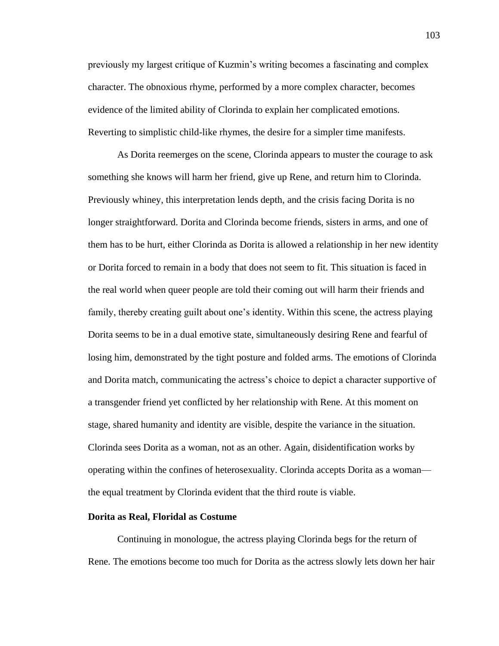previously my largest critique of Kuzmin's writing becomes a fascinating and complex character. The obnoxious rhyme, performed by a more complex character, becomes evidence of the limited ability of Clorinda to explain her complicated emotions. Reverting to simplistic child-like rhymes, the desire for a simpler time manifests.

As Dorita reemerges on the scene, Clorinda appears to muster the courage to ask something she knows will harm her friend, give up Rene, and return him to Clorinda. Previously whiney, this interpretation lends depth, and the crisis facing Dorita is no longer straightforward. Dorita and Clorinda become friends, sisters in arms, and one of them has to be hurt, either Clorinda as Dorita is allowed a relationship in her new identity or Dorita forced to remain in a body that does not seem to fit. This situation is faced in the real world when queer people are told their coming out will harm their friends and family, thereby creating guilt about one's identity. Within this scene, the actress playing Dorita seems to be in a dual emotive state, simultaneously desiring Rene and fearful of losing him, demonstrated by the tight posture and folded arms. The emotions of Clorinda and Dorita match, communicating the actress's choice to depict a character supportive of a transgender friend yet conflicted by her relationship with Rene. At this moment on stage, shared humanity and identity are visible, despite the variance in the situation. Clorinda sees Dorita as a woman, not as an other. Again, disidentification works by operating within the confines of heterosexuality. Clorinda accepts Dorita as a woman the equal treatment by Clorinda evident that the third route is viable.

#### **Dorita as Real, Floridal as Costume**

Continuing in monologue, the actress playing Clorinda begs for the return of Rene. The emotions become too much for Dorita as the actress slowly lets down her hair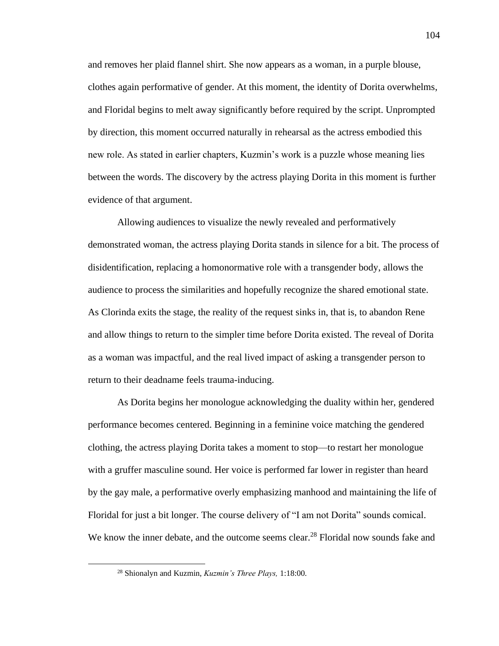and removes her plaid flannel shirt. She now appears as a woman, in a purple blouse, clothes again performative of gender. At this moment, the identity of Dorita overwhelms, and Floridal begins to melt away significantly before required by the script. Unprompted by direction, this moment occurred naturally in rehearsal as the actress embodied this new role. As stated in earlier chapters, Kuzmin's work is a puzzle whose meaning lies between the words. The discovery by the actress playing Dorita in this moment is further evidence of that argument.

Allowing audiences to visualize the newly revealed and performatively demonstrated woman, the actress playing Dorita stands in silence for a bit. The process of disidentification, replacing a homonormative role with a transgender body, allows the audience to process the similarities and hopefully recognize the shared emotional state. As Clorinda exits the stage, the reality of the request sinks in, that is, to abandon Rene and allow things to return to the simpler time before Dorita existed. The reveal of Dorita as a woman was impactful, and the real lived impact of asking a transgender person to return to their deadname feels trauma-inducing.

As Dorita begins her monologue acknowledging the duality within her, gendered performance becomes centered. Beginning in a feminine voice matching the gendered clothing, the actress playing Dorita takes a moment to stop—to restart her monologue with a gruffer masculine sound. Her voice is performed far lower in register than heard by the gay male, a performative overly emphasizing manhood and maintaining the life of Floridal for just a bit longer. The course delivery of "I am not Dorita" sounds comical. We know the inner debate, and the outcome seems clear.<sup>28</sup> Floridal now sounds fake and

<sup>28</sup> Shionalyn and Kuzmin, *Kuzmin's Three Plays,* 1:18:00.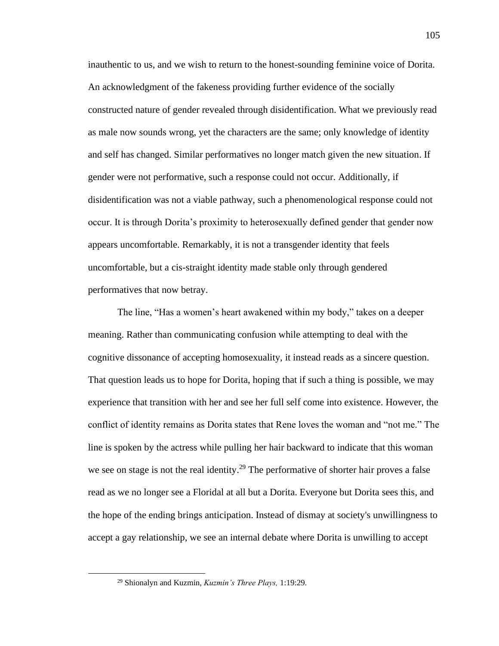inauthentic to us, and we wish to return to the honest-sounding feminine voice of Dorita. An acknowledgment of the fakeness providing further evidence of the socially constructed nature of gender revealed through disidentification. What we previously read as male now sounds wrong, yet the characters are the same; only knowledge of identity and self has changed. Similar performatives no longer match given the new situation. If gender were not performative, such a response could not occur. Additionally, if disidentification was not a viable pathway, such a phenomenological response could not occur. It is through Dorita's proximity to heterosexually defined gender that gender now appears uncomfortable. Remarkably, it is not a transgender identity that feels uncomfortable, but a cis-straight identity made stable only through gendered performatives that now betray.

The line, "Has a women's heart awakened within my body," takes on a deeper meaning. Rather than communicating confusion while attempting to deal with the cognitive dissonance of accepting homosexuality, it instead reads as a sincere question. That question leads us to hope for Dorita, hoping that if such a thing is possible, we may experience that transition with her and see her full self come into existence. However, the conflict of identity remains as Dorita states that Rene loves the woman and "not me." The line is spoken by the actress while pulling her hair backward to indicate that this woman we see on stage is not the real identity.<sup>29</sup> The performative of shorter hair proves a false read as we no longer see a Floridal at all but a Dorita. Everyone but Dorita sees this, and the hope of the ending brings anticipation. Instead of dismay at society's unwillingness to accept a gay relationship, we see an internal debate where Dorita is unwilling to accept

<sup>29</sup> Shionalyn and Kuzmin, *Kuzmin's Three Plays,* 1:19:29.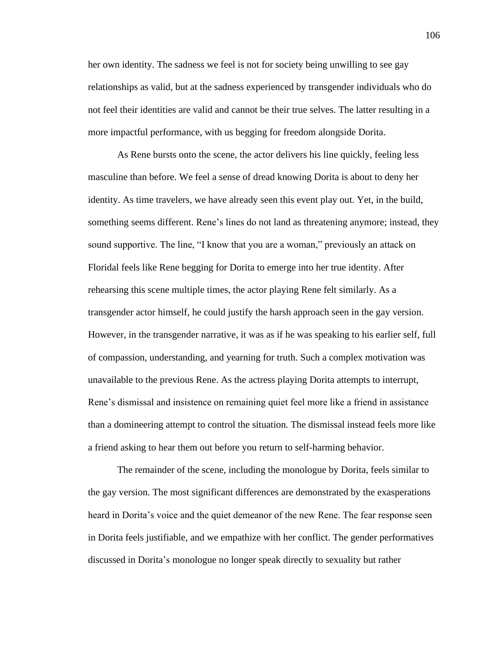her own identity. The sadness we feel is not for society being unwilling to see gay relationships as valid, but at the sadness experienced by transgender individuals who do not feel their identities are valid and cannot be their true selves. The latter resulting in a more impactful performance, with us begging for freedom alongside Dorita.

As Rene bursts onto the scene, the actor delivers his line quickly, feeling less masculine than before. We feel a sense of dread knowing Dorita is about to deny her identity. As time travelers, we have already seen this event play out. Yet, in the build, something seems different. Rene's lines do not land as threatening anymore; instead, they sound supportive. The line, "I know that you are a woman," previously an attack on Floridal feels like Rene begging for Dorita to emerge into her true identity. After rehearsing this scene multiple times, the actor playing Rene felt similarly. As a transgender actor himself, he could justify the harsh approach seen in the gay version. However, in the transgender narrative, it was as if he was speaking to his earlier self, full of compassion, understanding, and yearning for truth. Such a complex motivation was unavailable to the previous Rene. As the actress playing Dorita attempts to interrupt, Rene's dismissal and insistence on remaining quiet feel more like a friend in assistance than a domineering attempt to control the situation. The dismissal instead feels more like a friend asking to hear them out before you return to self-harming behavior.

The remainder of the scene, including the monologue by Dorita, feels similar to the gay version. The most significant differences are demonstrated by the exasperations heard in Dorita's voice and the quiet demeanor of the new Rene. The fear response seen in Dorita feels justifiable, and we empathize with her conflict. The gender performatives discussed in Dorita's monologue no longer speak directly to sexuality but rather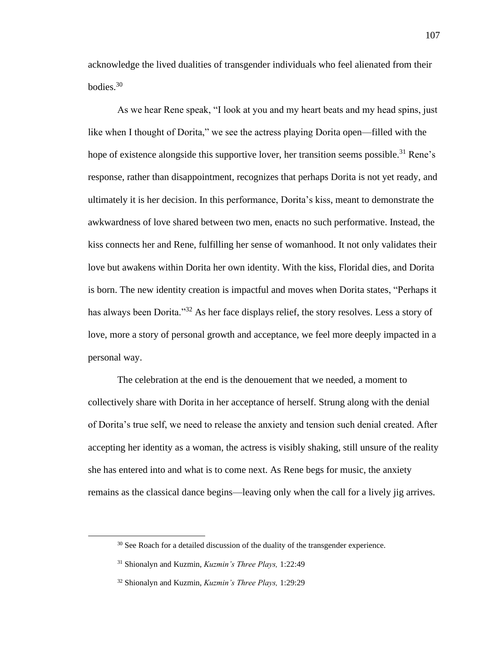acknowledge the lived dualities of transgender individuals who feel alienated from their bodies. 30

As we hear Rene speak, "I look at you and my heart beats and my head spins, just like when I thought of Dorita," we see the actress playing Dorita open—filled with the hope of existence alongside this supportive lover, her transition seems possible.<sup>31</sup> Rene's response, rather than disappointment, recognizes that perhaps Dorita is not yet ready, and ultimately it is her decision. In this performance, Dorita's kiss, meant to demonstrate the awkwardness of love shared between two men, enacts no such performative. Instead, the kiss connects her and Rene, fulfilling her sense of womanhood. It not only validates their love but awakens within Dorita her own identity. With the kiss, Floridal dies, and Dorita is born. The new identity creation is impactful and moves when Dorita states, "Perhaps it has always been Dorita."<sup>32</sup> As her face displays relief, the story resolves. Less a story of love, more a story of personal growth and acceptance, we feel more deeply impacted in a personal way.

The celebration at the end is the denouement that we needed, a moment to collectively share with Dorita in her acceptance of herself. Strung along with the denial of Dorita's true self, we need to release the anxiety and tension such denial created. After accepting her identity as a woman, the actress is visibly shaking, still unsure of the reality she has entered into and what is to come next. As Rene begs for music, the anxiety remains as the classical dance begins—leaving only when the call for a lively jig arrives.

<sup>&</sup>lt;sup>30</sup> See Roach for a detailed discussion of the duality of the transgender experience.

<sup>31</sup> Shionalyn and Kuzmin, *Kuzmin's Three Plays,* 1:22:49

<sup>32</sup> Shionalyn and Kuzmin, *Kuzmin's Three Plays,* 1:29:29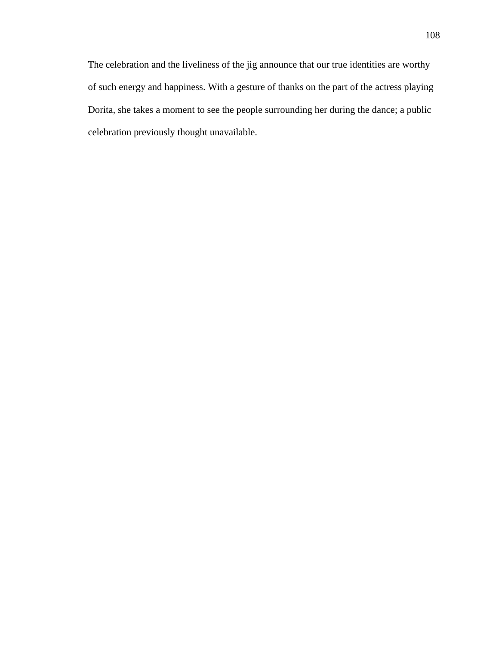The celebration and the liveliness of the jig announce that our true identities are worthy of such energy and happiness. With a gesture of thanks on the part of the actress playing Dorita, she takes a moment to see the people surrounding her during the dance; a public celebration previously thought unavailable.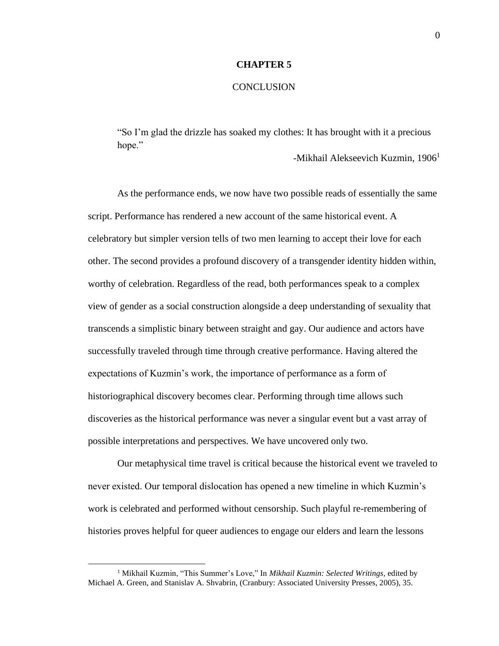#### **CHAPTER 5**

#### **CONCLUSION**

"So I'm glad the drizzle has soaked my clothes: It has brought with it a precious hope."

-Mikhail Alekseevich Kuzmin, 1906<sup>1</sup>

As the performance ends, we now have two possible reads of essentially the same script. Performance has rendered a new account of the same historical event. A celebratory but simpler version tells of two men learning to accept their love for each other. The second provides a profound discovery of a transgender identity hidden within, worthy of celebration. Regardless of the read, both performances speak to a complex view of gender as a social construction alongside a deep understanding of sexuality that transcends a simplistic binary between straight and gay. Our audience and actors have successfully traveled through time through creative performance. Having altered the expectations of Kuzmin's work, the importance of performance as a form of historiographical discovery becomes clear. Performing through time allows such discoveries as the historical performance was never a singular event but a vast array of possible interpretations and perspectives. We have uncovered only two.

Our metaphysical time travel is critical because the historical event we traveled to never existed. Our temporal dislocation has opened a new timeline in which Kuzmin's work is celebrated and performed without censorship. Such playful re-remembering of histories proves helpful for queer audiences to engage our elders and learn the lessons

<sup>1</sup> Mikhail Kuzmin, "This Summer's Love," In *Mikhail Kuzmin: Selected Writings,* edited by Michael A. Green, and Stanislav A. Shvabrin, (Cranbury: Associated University Presses, 2005), 35.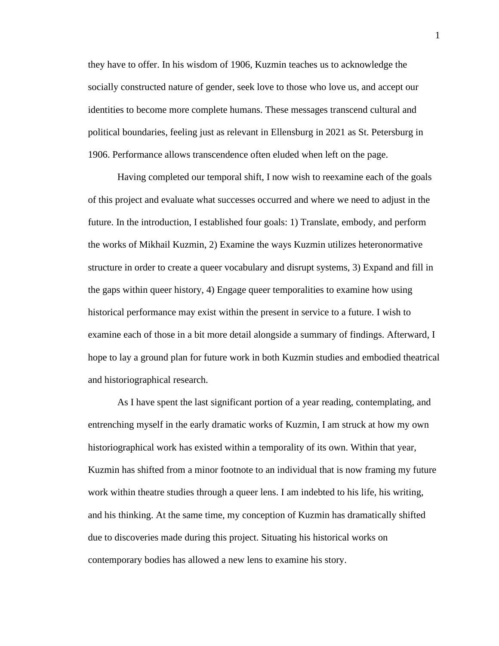they have to offer. In his wisdom of 1906, Kuzmin teaches us to acknowledge the socially constructed nature of gender, seek love to those who love us, and accept our identities to become more complete humans. These messages transcend cultural and political boundaries, feeling just as relevant in Ellensburg in 2021 as St. Petersburg in 1906. Performance allows transcendence often eluded when left on the page.

Having completed our temporal shift, I now wish to reexamine each of the goals of this project and evaluate what successes occurred and where we need to adjust in the future. In the introduction, I established four goals: 1) Translate, embody, and perform the works of Mikhail Kuzmin, 2) Examine the ways Kuzmin utilizes heteronormative structure in order to create a queer vocabulary and disrupt systems, 3) Expand and fill in the gaps within queer history, 4) Engage queer temporalities to examine how using historical performance may exist within the present in service to a future. I wish to examine each of those in a bit more detail alongside a summary of findings. Afterward, I hope to lay a ground plan for future work in both Kuzmin studies and embodied theatrical and historiographical research.

As I have spent the last significant portion of a year reading, contemplating, and entrenching myself in the early dramatic works of Kuzmin, I am struck at how my own historiographical work has existed within a temporality of its own. Within that year, Kuzmin has shifted from a minor footnote to an individual that is now framing my future work within theatre studies through a queer lens. I am indebted to his life, his writing, and his thinking. At the same time, my conception of Kuzmin has dramatically shifted due to discoveries made during this project. Situating his historical works on contemporary bodies has allowed a new lens to examine his story.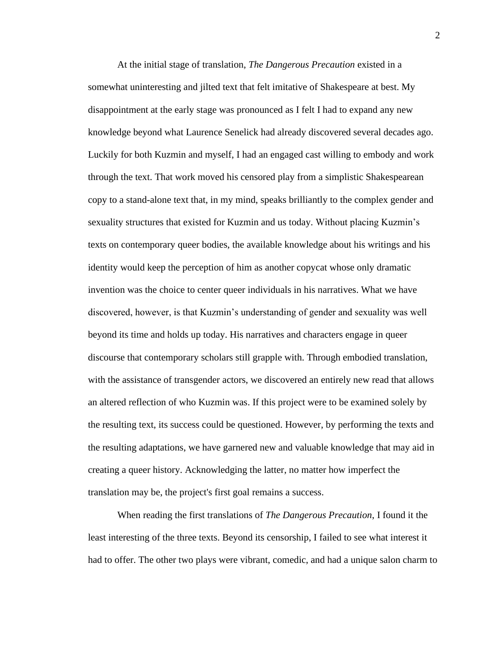At the initial stage of translation, *The Dangerous Precaution* existed in a somewhat uninteresting and jilted text that felt imitative of Shakespeare at best. My disappointment at the early stage was pronounced as I felt I had to expand any new knowledge beyond what Laurence Senelick had already discovered several decades ago. Luckily for both Kuzmin and myself, I had an engaged cast willing to embody and work through the text. That work moved his censored play from a simplistic Shakespearean copy to a stand-alone text that, in my mind, speaks brilliantly to the complex gender and sexuality structures that existed for Kuzmin and us today. Without placing Kuzmin's texts on contemporary queer bodies, the available knowledge about his writings and his identity would keep the perception of him as another copycat whose only dramatic invention was the choice to center queer individuals in his narratives. What we have discovered, however, is that Kuzmin's understanding of gender and sexuality was well beyond its time and holds up today. His narratives and characters engage in queer discourse that contemporary scholars still grapple with. Through embodied translation, with the assistance of transgender actors, we discovered an entirely new read that allows an altered reflection of who Kuzmin was. If this project were to be examined solely by the resulting text, its success could be questioned. However, by performing the texts and the resulting adaptations, we have garnered new and valuable knowledge that may aid in creating a queer history. Acknowledging the latter, no matter how imperfect the translation may be, the project's first goal remains a success.

When reading the first translations of *The Dangerous Precaution*, I found it the least interesting of the three texts. Beyond its censorship, I failed to see what interest it had to offer. The other two plays were vibrant, comedic, and had a unique salon charm to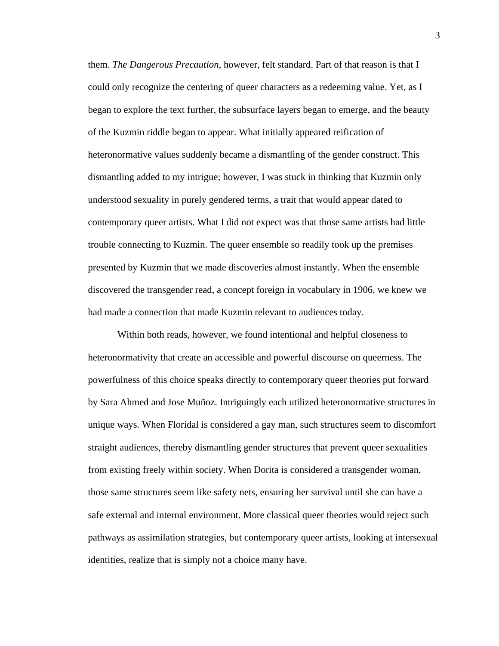them. *The Dangerous Precaution*, however, felt standard. Part of that reason is that I could only recognize the centering of queer characters as a redeeming value. Yet, as I began to explore the text further, the subsurface layers began to emerge, and the beauty of the Kuzmin riddle began to appear. What initially appeared reification of heteronormative values suddenly became a dismantling of the gender construct. This dismantling added to my intrigue; however, I was stuck in thinking that Kuzmin only understood sexuality in purely gendered terms, a trait that would appear dated to contemporary queer artists. What I did not expect was that those same artists had little trouble connecting to Kuzmin. The queer ensemble so readily took up the premises presented by Kuzmin that we made discoveries almost instantly. When the ensemble discovered the transgender read, a concept foreign in vocabulary in 1906, we knew we had made a connection that made Kuzmin relevant to audiences today.

Within both reads, however, we found intentional and helpful closeness to heteronormativity that create an accessible and powerful discourse on queerness. The powerfulness of this choice speaks directly to contemporary queer theories put forward by Sara Ahmed and Jose Muñoz. Intriguingly each utilized heteronormative structures in unique ways. When Floridal is considered a gay man, such structures seem to discomfort straight audiences, thereby dismantling gender structures that prevent queer sexualities from existing freely within society. When Dorita is considered a transgender woman, those same structures seem like safety nets, ensuring her survival until she can have a safe external and internal environment. More classical queer theories would reject such pathways as assimilation strategies, but contemporary queer artists, looking at intersexual identities, realize that is simply not a choice many have.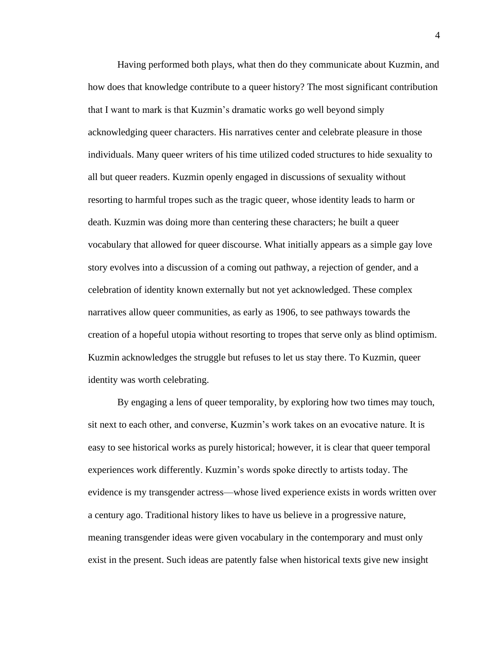Having performed both plays, what then do they communicate about Kuzmin, and how does that knowledge contribute to a queer history? The most significant contribution that I want to mark is that Kuzmin's dramatic works go well beyond simply acknowledging queer characters. His narratives center and celebrate pleasure in those individuals. Many queer writers of his time utilized coded structures to hide sexuality to all but queer readers. Kuzmin openly engaged in discussions of sexuality without resorting to harmful tropes such as the tragic queer, whose identity leads to harm or death. Kuzmin was doing more than centering these characters; he built a queer vocabulary that allowed for queer discourse. What initially appears as a simple gay love story evolves into a discussion of a coming out pathway, a rejection of gender, and a celebration of identity known externally but not yet acknowledged. These complex narratives allow queer communities, as early as 1906, to see pathways towards the creation of a hopeful utopia without resorting to tropes that serve only as blind optimism. Kuzmin acknowledges the struggle but refuses to let us stay there. To Kuzmin, queer identity was worth celebrating.

By engaging a lens of queer temporality, by exploring how two times may touch, sit next to each other, and converse, Kuzmin's work takes on an evocative nature. It is easy to see historical works as purely historical; however, it is clear that queer temporal experiences work differently. Kuzmin's words spoke directly to artists today. The evidence is my transgender actress—whose lived experience exists in words written over a century ago. Traditional history likes to have us believe in a progressive nature, meaning transgender ideas were given vocabulary in the contemporary and must only exist in the present. Such ideas are patently false when historical texts give new insight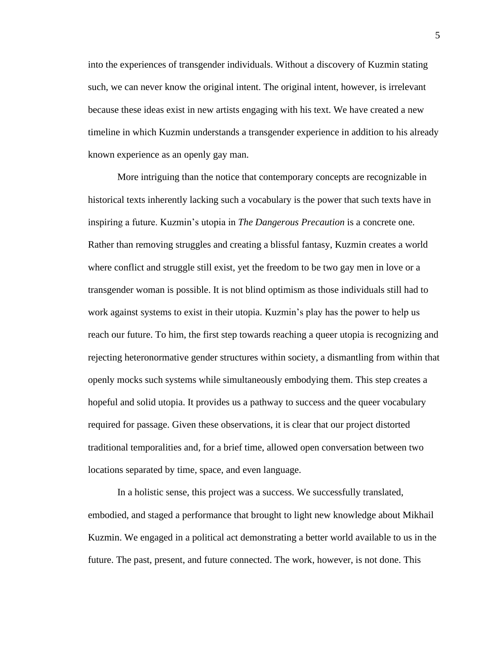into the experiences of transgender individuals. Without a discovery of Kuzmin stating such, we can never know the original intent. The original intent, however, is irrelevant because these ideas exist in new artists engaging with his text. We have created a new timeline in which Kuzmin understands a transgender experience in addition to his already known experience as an openly gay man.

More intriguing than the notice that contemporary concepts are recognizable in historical texts inherently lacking such a vocabulary is the power that such texts have in inspiring a future. Kuzmin's utopia in *The Dangerous Precaution* is a concrete one. Rather than removing struggles and creating a blissful fantasy, Kuzmin creates a world where conflict and struggle still exist, yet the freedom to be two gay men in love or a transgender woman is possible. It is not blind optimism as those individuals still had to work against systems to exist in their utopia. Kuzmin's play has the power to help us reach our future. To him, the first step towards reaching a queer utopia is recognizing and rejecting heteronormative gender structures within society, a dismantling from within that openly mocks such systems while simultaneously embodying them. This step creates a hopeful and solid utopia. It provides us a pathway to success and the queer vocabulary required for passage. Given these observations, it is clear that our project distorted traditional temporalities and, for a brief time, allowed open conversation between two locations separated by time, space, and even language.

In a holistic sense, this project was a success. We successfully translated, embodied, and staged a performance that brought to light new knowledge about Mikhail Kuzmin. We engaged in a political act demonstrating a better world available to us in the future. The past, present, and future connected. The work, however, is not done. This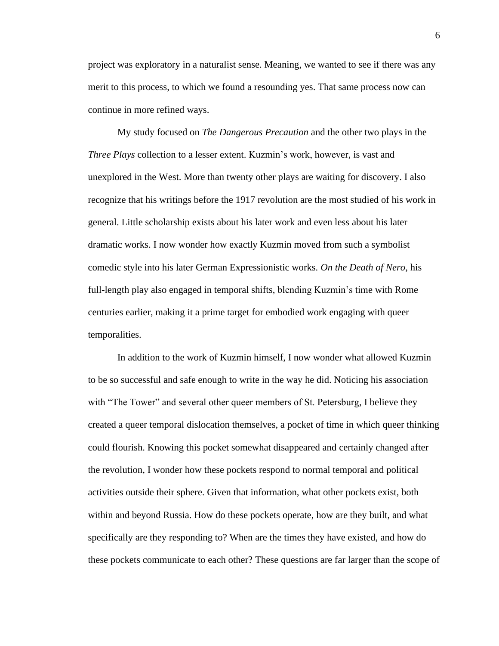project was exploratory in a naturalist sense. Meaning, we wanted to see if there was any merit to this process, to which we found a resounding yes. That same process now can continue in more refined ways.

My study focused on *The Dangerous Precaution* and the other two plays in the *Three Plays* collection to a lesser extent. Kuzmin's work, however, is vast and unexplored in the West. More than twenty other plays are waiting for discovery. I also recognize that his writings before the 1917 revolution are the most studied of his work in general. Little scholarship exists about his later work and even less about his later dramatic works. I now wonder how exactly Kuzmin moved from such a symbolist comedic style into his later German Expressionistic works. *On the Death of Nero*, his full-length play also engaged in temporal shifts, blending Kuzmin's time with Rome centuries earlier, making it a prime target for embodied work engaging with queer temporalities.

In addition to the work of Kuzmin himself, I now wonder what allowed Kuzmin to be so successful and safe enough to write in the way he did. Noticing his association with "The Tower" and several other queer members of St. Petersburg, I believe they created a queer temporal dislocation themselves, a pocket of time in which queer thinking could flourish. Knowing this pocket somewhat disappeared and certainly changed after the revolution, I wonder how these pockets respond to normal temporal and political activities outside their sphere. Given that information, what other pockets exist, both within and beyond Russia. How do these pockets operate, how are they built, and what specifically are they responding to? When are the times they have existed, and how do these pockets communicate to each other? These questions are far larger than the scope of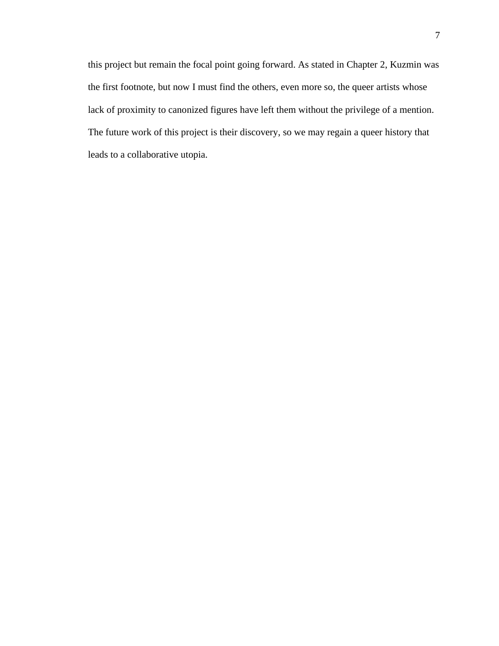this project but remain the focal point going forward. As stated in Chapter 2, Kuzmin was the first footnote, but now I must find the others, even more so, the queer artists whose lack of proximity to canonized figures have left them without the privilege of a mention. The future work of this project is their discovery, so we may regain a queer history that leads to a collaborative utopia.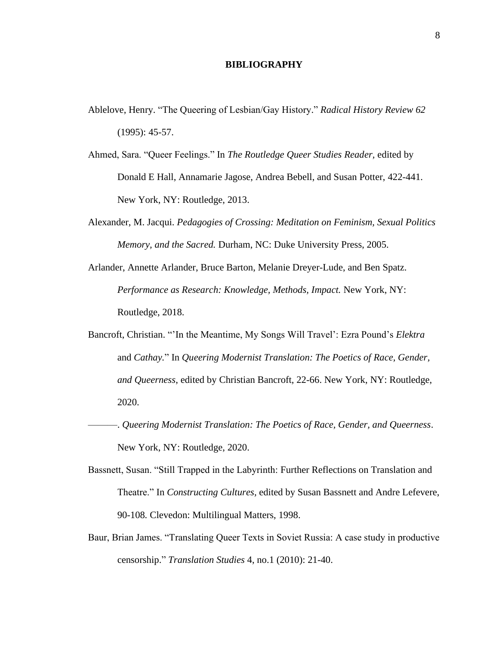### **BIBLIOGRAPHY**

- Ablelove, Henry. "The Queering of Lesbian/Gay History." *Radical History Review 62*  (1995): 45-57.
- Ahmed, Sara. "Queer Feelings." In *The Routledge Queer Studies Reader,* edited by Donald E Hall, Annamarie Jagose, Andrea Bebell, and Susan Potter, 422-441. New York, NY: Routledge, 2013.
- Alexander, M. Jacqui. *Pedagogies of Crossing: Meditation on Feminism, Sexual Politics Memory, and the Sacred.* Durham, NC: Duke University Press, 2005.
- Arlander, Annette Arlander, Bruce Barton, Melanie Dreyer-Lude, and Ben Spatz. *Performance as Research: Knowledge, Methods, Impact. New York, NY:* Routledge, 2018.
- Bancroft, Christian. "'In the Meantime, My Songs Will Travel': Ezra Pound's *Elektra* and *Cathay.*" In *Queering Modernist Translation: The Poetics of Race, Gender, and Queerness*, edited by Christian Bancroft, 22-66. New York, NY: Routledge, 2020.
- ———. *Queering Modernist Translation: The Poetics of Race, Gender, and Queerness*. New York, NY: Routledge, 2020.
- Bassnett, Susan. "Still Trapped in the Labyrinth: Further Reflections on Translation and Theatre." In *Constructing Cultures,* edited by Susan Bassnett and Andre Lefevere, 90-108*.* Clevedon: Multilingual Matters, 1998.
- Baur, Brian James. "Translating Queer Texts in Soviet Russia: A case study in productive censorship." *Translation Studies* 4, no.1 (2010): 21-40.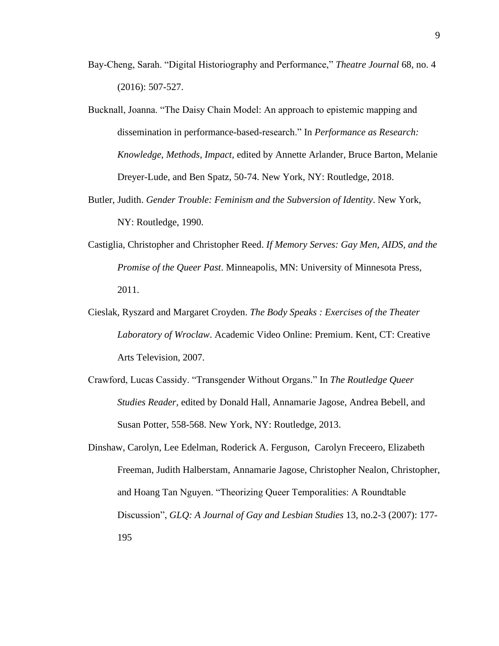- Bay-Cheng, Sarah. "Digital Historiography and Performance," *Theatre Journal* 68*,* no. 4 (2016): 507-527.
- Bucknall, Joanna. "The Daisy Chain Model: An approach to epistemic mapping and dissemination in performance-based-research." In *Performance as Research: Knowledge, Methods, Impact,* edited by Annette Arlander, Bruce Barton, Melanie Dreyer-Lude, and Ben Spatz, 50-74. New York, NY: Routledge, 2018.
- Butler, Judith. *Gender Trouble: Feminism and the Subversion of Identity*. New York, NY: Routledge, 1990.
- Castiglia, Christopher and Christopher Reed. *If Memory Serves: Gay Men, AIDS, and the Promise of the Queer Past*. Minneapolis, MN: University of Minnesota Press, 2011.
- Cieslak, Ryszard and Margaret Croyden. *The Body Speaks : Exercises of the Theater Laboratory of Wroclaw*. Academic Video Online: Premium. Kent, CT: Creative Arts Television, 2007.
- Crawford, Lucas Cassidy. "Transgender Without Organs." In *The Routledge Queer Studies Reader,* edited by Donald Hall, Annamarie Jagose, Andrea Bebell, and Susan Potter, 558-568. New York, NY: Routledge, 2013.
- Dinshaw, Carolyn, Lee Edelman, Roderick A. Ferguson, Carolyn Freceero, Elizabeth Freeman, Judith Halberstam, Annamarie Jagose, Christopher Nealon, Christopher, and Hoang Tan Nguyen. "Theorizing Queer Temporalities: A Roundtable Discussion", *GLQ: A Journal of Gay and Lesbian Studies* 13*,* no.2-3 (2007): 177- 195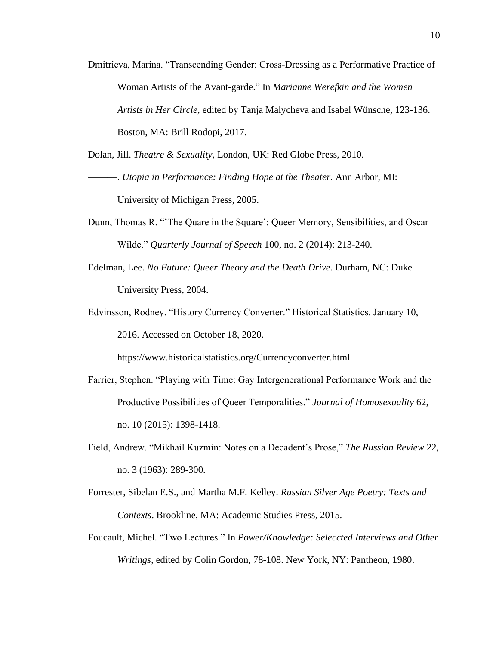Dmitrieva, Marina. "Transcending Gender: Cross-Dressing as a Performative Practice of Woman Artists of the Avant-garde." In *Marianne Werefkin and the Women Artists in Her Circle,* edited by Tanja Malycheva and Isabel Wünsche, 123-136. Boston, MA: Brill Rodopi, 2017.

Dolan, Jill. *Theatre & Sexuality*, London, UK: Red Globe Press, 2010.

- ———. *Utopia in Performance: Finding Hope at the Theater.* Ann Arbor, MI: University of Michigan Press, 2005.
- Dunn, Thomas R. "'The Quare in the Square': Queer Memory, Sensibilities, and Oscar Wilde." *Quarterly Journal of Speech* 100, no. 2 (2014): 213-240.
- Edelman, Lee. *No Future: Queer Theory and the Death Drive*. Durham, NC: Duke University Press, 2004.
- Edvinsson, Rodney. "History Currency Converter." Historical Statistics. January 10, 2016. Accessed on October 18, 2020.

https://www.historicalstatistics.org/Currencyconverter.html

- Farrier, Stephen. "Playing with Time: Gay Intergenerational Performance Work and the Productive Possibilities of Queer Temporalities." *Journal of Homosexuality* 62, no. 10 (2015): 1398-1418.
- Field, Andrew. "Mikhail Kuzmin: Notes on a Decadent's Prose," *The Russian Review* 22*,*  no. 3 (1963): 289-300.
- Forrester, Sibelan E.S., and Martha M.F. Kelley. *Russian Silver Age Poetry: Texts and Contexts*. Brookline, MA: Academic Studies Press, 2015.
- Foucault, Michel. "Two Lectures." In *Power/Knowledge: Seleccted Interviews and Other Writings,* edited by Colin Gordon, 78-108. New York, NY: Pantheon, 1980.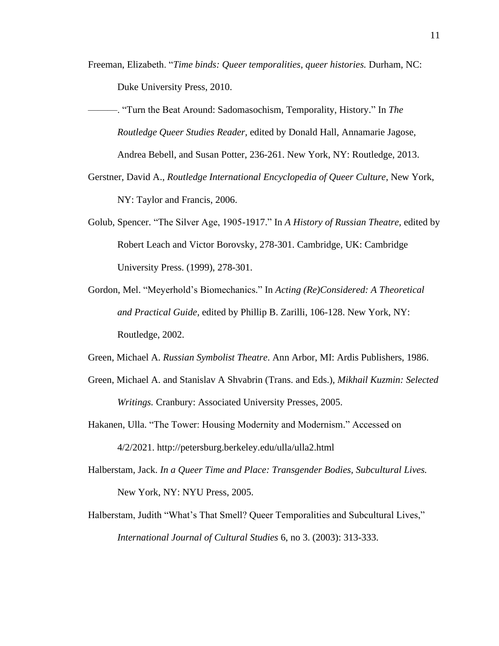- Freeman, Elizabeth. "*Time binds: Queer temporalities, queer histories.* Durham, NC: Duke University Press, 2010.
- ———. "Turn the Beat Around: Sadomasochism, Temporality, History." In *The Routledge Queer Studies Reader,* edited by Donald Hall, Annamarie Jagose, Andrea Bebell, and Susan Potter, 236-261. New York, NY: Routledge, 2013.
- Gerstner, David A., *Routledge International Encyclopedia of Queer Culture*, New York, NY: Taylor and Francis, 2006.
- Golub, Spencer. "The Silver Age, 1905-1917." In *A History of Russian Theatre,* edited by Robert Leach and Victor Borovsky, 278-301. Cambridge, UK: Cambridge University Press. (1999), 278-301.
- Gordon, Mel. "Meyerhold's Biomechanics." In *Acting (Re)Considered: A Theoretical and Practical Guide,* edited by Phillip B. Zarilli, 106-128. New York, NY: Routledge, 2002.
- Green, Michael A. *Russian Symbolist Theatre*. Ann Arbor, MI: Ardis Publishers, 1986.
- Green, Michael A. and Stanislav A Shvabrin (Trans. and Eds.), *Mikhail Kuzmin: Selected Writings.* Cranbury: Associated University Presses, 2005.
- Hakanen, Ulla. "The Tower: Housing Modernity and Modernism." Accessed on 4/2/2021. http://petersburg.berkeley.edu/ulla/ulla2.html
- Halberstam, Jack. *In a Queer Time and Place: Transgender Bodies, Subcultural Lives.*  New York, NY: NYU Press, 2005.
- Halberstam, Judith "What's That Smell? Queer Temporalities and Subcultural Lives," *International Journal of Cultural Studies* 6, no 3. (2003): 313-333.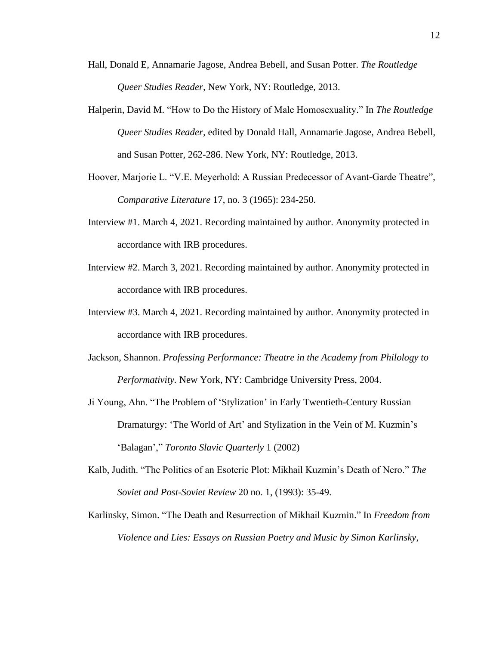- Hall, Donald E, Annamarie Jagose, Andrea Bebell, and Susan Potter. *The Routledge Queer Studies Reader,* New York, NY: Routledge, 2013.
- Halperin, David M. "How to Do the History of Male Homosexuality." In *The Routledge Queer Studies Reader,* edited by Donald Hall, Annamarie Jagose, Andrea Bebell, and Susan Potter*,* 262-286. New York, NY: Routledge, 2013.
- Hoover, Marjorie L. "V.E. Meyerhold: A Russian Predecessor of Avant-Garde Theatre", *Comparative Literature* 17, no. 3 (1965): 234-250.
- Interview #1. March 4, 2021. Recording maintained by author. Anonymity protected in accordance with IRB procedures.
- Interview #2. March 3, 2021. Recording maintained by author. Anonymity protected in accordance with IRB procedures.
- Interview #3. March 4, 2021. Recording maintained by author. Anonymity protected in accordance with IRB procedures.
- Jackson, Shannon. *Professing Performance: Theatre in the Academy from Philology to Performativity.* New York, NY: Cambridge University Press, 2004.
- Ji Young, Ahn. "The Problem of 'Stylization' in Early Twentieth-Century Russian Dramaturgy: 'The World of Art' and Stylization in the Vein of M. Kuzmin's 'Balagan'," *Toronto Slavic Quarterly* 1 (2002)
- Kalb, Judith. "The Politics of an Esoteric Plot: Mikhail Kuzmin's Death of Nero." *The Soviet and Post-Soviet Review* 20 no. 1, (1993): 35-49.
- Karlinsky, Simon. "The Death and Resurrection of Mikhail Kuzmin." In *Freedom from Violence and Lies: Essays on Russian Poetry and Music by Simon Karlinsky*,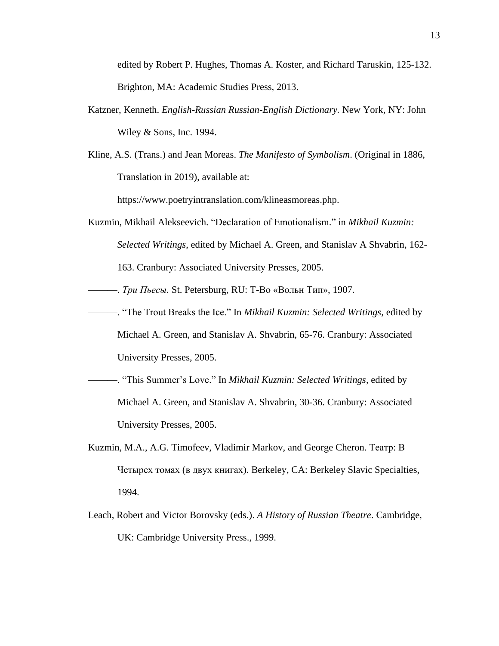edited by Robert P. Hughes, Thomas A. Koster, and Richard Taruskin, 125-132. Brighton, MA: Academic Studies Press, 2013.

- Katzner, Kenneth. *English-Russian Russian-English Dictionary.* New York, NY: John Wiley & Sons, Inc. 1994.
- Kline, A.S. (Trans.) and Jean Moreas. *The Manifesto of Symbolism*. (Original in 1886, Translation in 2019), available at:

https://www.poetryintranslation.com/klineasmoreas.php.

- Kuzmin, Mikhail Alekseevich. "Declaration of Emotionalism." in *Mikhail Kuzmin: Selected Writings*, edited by Michael A. Green, and Stanislav A Shvabrin, 162- 163. Cranbury: Associated University Presses, 2005.
- ———. *Три Пьесы.* St. Petersburg, RU: Т-Во «Вольн Тип», 1907.
- ———. "The Trout Breaks the Ice." In *Mikhail Kuzmin: Selected Writings,* edited by
	- Michael A. Green, and Stanislav A. Shvabrin, 65-76. Cranbury: Associated University Presses, 2005.
- ———. "This Summer's Love." In *Mikhail Kuzmin: Selected Writings,* edited by Michael A. Green, and Stanislav A. Shvabrin, 30-36. Cranbury: Associated University Presses, 2005.
- Kuzmin, M.A., A.G. Timofeev, Vladimir Markov, and George Cheron. Театр: В Четырех томах (в двух книгах). Berkeley, CA: Berkeley Slavic Specialties, 1994.
- Leach, Robert and Victor Borovsky (eds.). *A History of Russian Theatre*. Cambridge, UK: Cambridge University Press., 1999.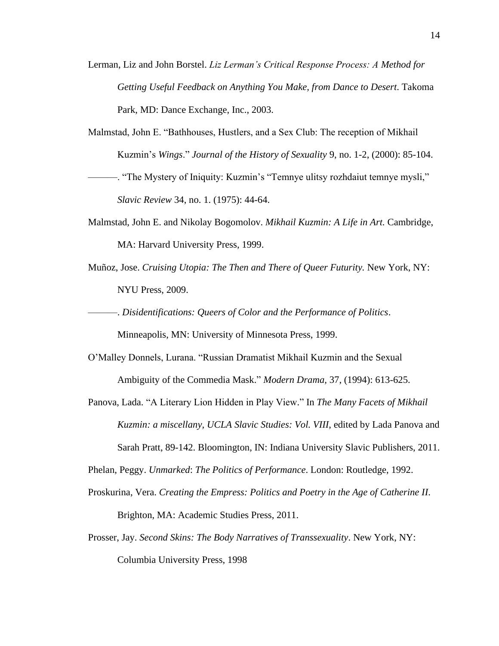- Lerman, Liz and John Borstel. *Liz Lerman's Critical Response Process: A Method for Getting Useful Feedback on Anything You Make, from Dance to Desert*. Takoma Park, MD: Dance Exchange, Inc., 2003.
- Malmstad, John E. "Bathhouses, Hustlers, and a Sex Club: The reception of Mikhail Kuzmin's *Wings*." *Journal of the History of Sexuality* 9, no. 1-2, (2000): 85-104.
- ———. "The Mystery of Iniquity: Kuzmin's "Temnye ulitsy rozhdaiut temnye mysli," *Slavic Review* 34, no. 1. (1975): 44-64.
- Malmstad, John E. and Nikolay Bogomolov. *Mikhail Kuzmin: A Life in Art.* Cambridge, MA: Harvard University Press, 1999.
- Muñoz, Jose. *Cruising Utopia: The Then and There of Queer Futurity.* New York, NY: NYU Press, 2009.

———. *Disidentifications: Queers of Color and the Performance of Politics*.

Minneapolis, MN: University of Minnesota Press, 1999.

- O'Malley Donnels, Lurana. "Russian Dramatist Mikhail Kuzmin and the Sexual Ambiguity of the Commedia Mask." *Modern Drama,* 37, (1994): 613-625.
- Panova, Lada. "A Literary Lion Hidden in Play View." In *The Many Facets of Mikhail Kuzmin: a miscellany, UCLA Slavic Studies: Vol. VIII*, edited by Lada Panova and Sarah Pratt, 89-142. Bloomington, IN: Indiana University Slavic Publishers, 2011.

Phelan, Peggy. *Unmarked*: *The Politics of Performance*. London: Routledge, 1992.

- Proskurina, Vera. *Creating the Empress: Politics and Poetry in the Age of Catherine II*. Brighton, MA: Academic Studies Press, 2011.
- Prosser, Jay. *Second Skins: The Body Narratives of Transsexuality*. New York, NY: Columbia University Press, 1998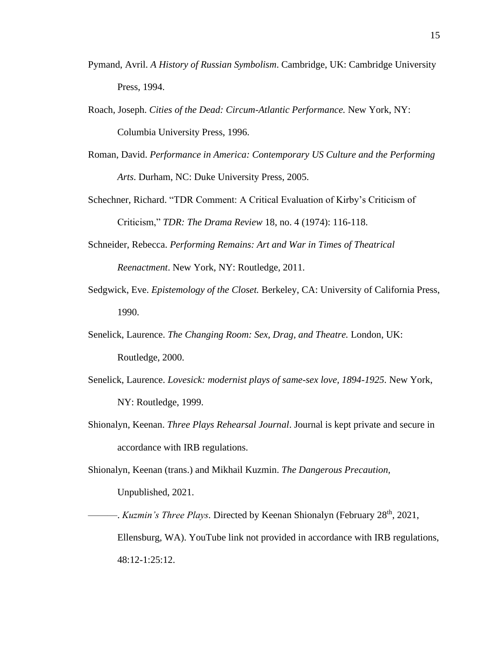- Pymand, Avril. *A History of Russian Symbolism*. Cambridge, UK: Cambridge University Press, 1994.
- Roach, Joseph. *Cities of the Dead: Circum-Atlantic Performance.* New York, NY: Columbia University Press, 1996.
- Roman, David. *Performance in America: Contemporary US Culture and the Performing Arts*. Durham, NC: Duke University Press, 2005.
- Schechner, Richard. "TDR Comment: A Critical Evaluation of Kirby's Criticism of Criticism," *TDR: The Drama Review* 18, no. 4 (1974): 116-118.
- Schneider, Rebecca. *Performing Remains: Art and War in Times of Theatrical Reenactment*. New York, NY: Routledge, 2011.
- Sedgwick, Eve. *Epistemology of the Closet.* Berkeley, CA: University of California Press, 1990.
- Senelick, Laurence. *The Changing Room: Sex, Drag, and Theatre.* London, UK: Routledge, 2000.
- Senelick, Laurence. *Lovesick: modernist plays of same-sex love, 1894-1925.* New York, NY: Routledge, 1999.
- Shionalyn, Keenan. *Three Plays Rehearsal Journal*. Journal is kept private and secure in accordance with IRB regulations.

Shionalyn, Keenan (trans.) and Mikhail Kuzmin. *The Dangerous Precaution,*  Unpublished, 2021.

———. *Kuzmin's Three Plays.* Directed by Keenan Shionalyn (February 28th, 2021, Ellensburg, WA). YouTube link not provided in accordance with IRB regulations, 48:12-1:25:12.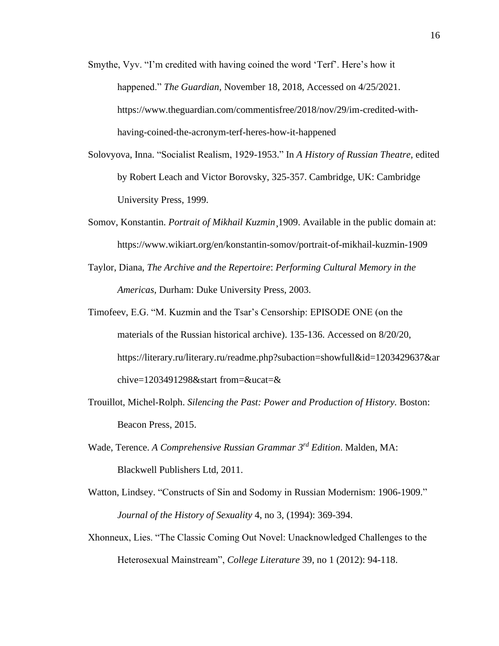- Smythe, Vyv. "I'm credited with having coined the word 'Terf'. Here's how it happened." *The Guardian*, November 18, 2018, Accessed on 4/25/2021. https://www.theguardian.com/commentisfree/2018/nov/29/im-credited-withhaving-coined-the-acronym-terf-heres-how-it-happened
- Solovyova, Inna. "Socialist Realism, 1929-1953." In *A History of Russian Theatre,* edited by Robert Leach and Victor Borovsky, 325-357. Cambridge, UK: Cambridge University Press, 1999.
- Somov, Konstantin. *Portrait of Mikhail Kuzmin*¸1909. Available in the public domain at: https://www.wikiart.org/en/konstantin-somov/portrait-of-mikhail-kuzmin-1909
- Taylor, Diana, *The Archive and the Repertoire*: *Performing Cultural Memory in the Americas*, Durham: Duke University Press, 2003.
- Timofeev, E.G. "M. Kuzmin and the Tsar's Censorship: EPISODE ONE (on the materials of the Russian historical archive). 135-136. Accessed on 8/20/20, https://literary.ru/literary.ru/readme.php?subaction=showfull&id=1203429637&ar chive=1203491298&start from=&ucat=&
- Trouillot, Michel-Rolph. *Silencing the Past: Power and Production of History.* Boston: Beacon Press, 2015.
- Wade, Terence. *A Comprehensive Russian Grammar 3 rd Edition*. Malden, MA: Blackwell Publishers Ltd, 2011.
- Watton, Lindsey. "Constructs of Sin and Sodomy in Russian Modernism: 1906-1909." *Journal of the History of Sexuality* 4, no 3, (1994): 369-394.
- Xhonneux, Lies. "The Classic Coming Out Novel: Unacknowledged Challenges to the Heterosexual Mainstream", *College Literature* 39, no 1 (2012): 94-118.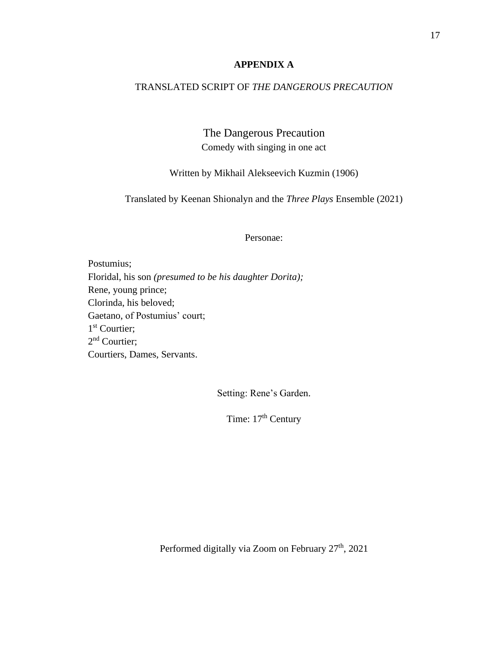## **APPENDIX A**

## TRANSLATED SCRIPT OF *THE DANGEROUS PRECAUTION*

The Dangerous Precaution Comedy with singing in one act

Written by Mikhail Alekseevich Kuzmin (1906)

Translated by Keenan Shionalyn and the *Three Plays* Ensemble (2021)

Personae:

Postumius; Floridal, his son *(presumed to be his daughter Dorita);* Rene, young prince; Clorinda, his beloved; Gaetano, of Postumius' court; 1<sup>st</sup> Courtier; 2<sup>nd</sup> Courtier; Courtiers, Dames, Servants.

Setting: Rene's Garden.

Time: 17<sup>th</sup> Century

Performed digitally via Zoom on February 27<sup>th</sup>, 2021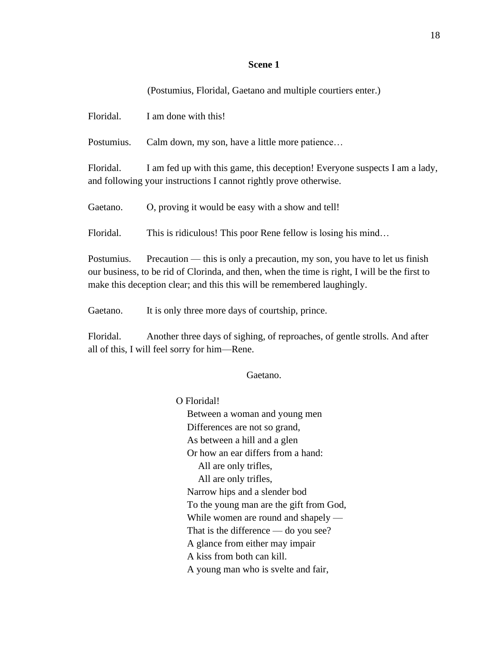#### **Scene 1**

# (Postumius, Floridal, Gaetano and multiple courtiers enter.)

Floridal. I am done with this!

Postumius. Calm down, my son, have a little more patience…

Floridal. I am fed up with this game, this deception! Everyone suspects I am a lady, and following your instructions I cannot rightly prove otherwise.

Gaetano. O, proving it would be easy with a show and tell!

Floridal. This is ridiculous! This poor Rene fellow is losing his mind...

Postumius. Precaution — this is only a precaution, my son, you have to let us finish our business, to be rid of Clorinda, and then, when the time is right, I will be the first to make this deception clear; and this this will be remembered laughingly.

Gaetano. It is only three more days of courtship, prince.

Floridal. Another three days of sighing, of reproaches, of gentle strolls. And after all of this, I will feel sorry for him—Rene.

## Gaetano.

О Floridal! Between a woman and young men Differences are not so grand, As between a hill and a glen Or how an ear differs from a hand: All are only trifles, All are only trifles, Narrow hips and a slender bod To the young man are the gift from God, While women are round and shapely — That is the difference — do you see? A glance from either may impair A kiss from both can kill. A young man who is svelte and fair,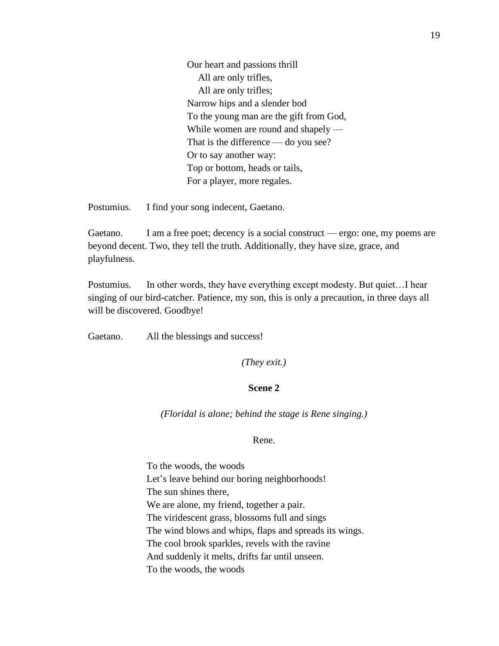Our heart and passions thrill All are only trifles, All are only trifles; Narrow hips and a slender bod To the young man are the gift from God, While women are round and shapely — That is the difference — do you see? Or to say another way: Top or bottom, heads or tails, For a player, more regales.

Postumius. I find your song indecent, Gaetano.

Gaetano. I am a free poet; decency is a social construct — ergo: one, my poems are beyond decent. Two, they tell the truth. Additionally, they have size, grace, and playfulness.

Postumius. In other words, they have everything except modesty. But quiet...I hear singing of our bird-catcher. Patience, my son, this is only a precaution, in three days all will be discovered. Goodbye!

Gaetano. All the blessings and success!

*(They exit.)*

## **Scene 2**

*(Floridal is alone; behind the stage is Rene singing.)*

#### Rene.

To the woods, the woods Let's leave behind our boring neighborhoods! The sun shines there, We are alone, my friend, together a pair. The viridescent grass, blossoms full and sings The wind blows and whips, flaps and spreads its wings. The cool brook sparkles, revels with the ravine And suddenly it melts, drifts far until unseen. To the woods, the woods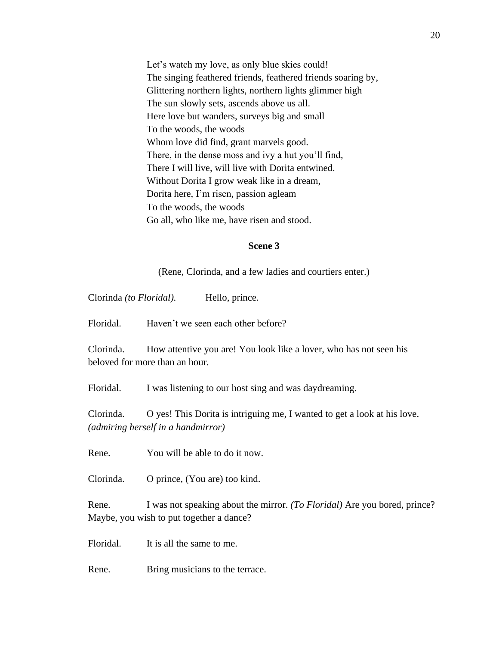Let's watch my love, as only blue skies could! The singing feathered friends, feathered friends soaring by, Glittering northern lights, northern lights glimmer high The sun slowly sets, ascends above us all. Here love but wanders, surveys big and small To the woods, the woods Whom love did find, grant marvels good. There, in the dense moss and ivy a hut you'll find, There I will live, will live with Dorita entwined. Without Dorita I grow weak like in a dream, Dorita here, I'm risen, passion agleam To the woods, the woods Go all, who like me, have risen and stood.

#### **Scene 3**

(Rene, Clorinda, and a few ladies and courtiers enter.)

Clorinda *(to Floridal).* Hello, prince.

Floridal. Haven't we seen each other before?

Clorinda. How attentive you are! You look like a lover, who has not seen his beloved for more than an hour.

Floridal. I was listening to our host sing and was daydreaming.

Clorinda. О yes! This Dorita is intriguing me, I wanted to get a look at his love. *(admiring herself in a handmirror)*

Rene. You will be able to do it now.

Clorinda. О prince, (You are) too kind.

Rene. I was not speaking about the mirror. *(To Floridal)* Are you bored, prince? Maybe, you wish to put together a dance?

Floridal. It is all the same to me.

Rene. Bring musicians to the terrace.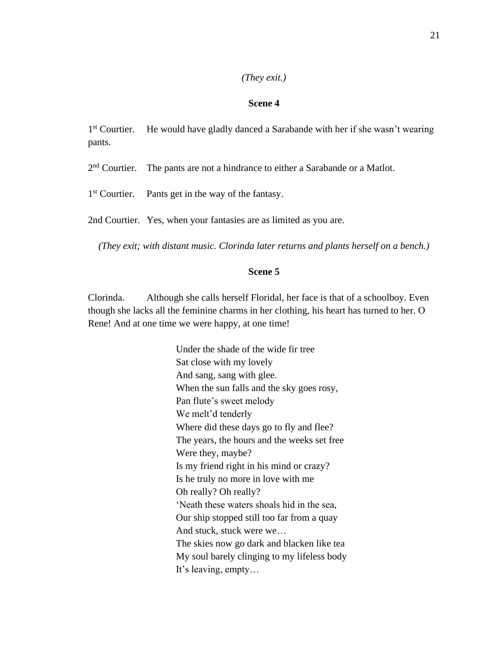#### *(They exit.)*

## **Scene 4**

 $1<sup>st</sup>$  Courtier. He would have gladly danced a Sarabande with her if she wasn't wearing pants.

 $2<sup>nd</sup>$  Courtier. The pants are not a hindrance to either a Sarabande or a Matlot.

 $1<sup>st</sup>$  Courtier. Pants get in the way of the fantasy.

2nd Courtier. Yes, when your fantasies are as limited as you are.

*(They exit; with distant music. Clorinda later returns and plants herself on a bench.)*

## **Scene 5**

Clorinda. Although she calls herself Floridal, her face is that of a schoolboy. Even though she lacks all the feminine charms in her clothing, his heart has turned to her. О Rene! And at one time we were happy, at one time!

> Under the shade of the wide fir tree Sat close with my lovely And sang, sang with glee. When the sun falls and the sky goes rosy, Pan flute's sweet melody We melt'd tenderly Where did these days go to fly and flee? The years, the hours and the weeks set free Were they, maybe? Is my friend right in his mind or crazy? Is he truly no more in love with me Oh really? Oh really? 'Neath these waters shoals hid in the sea, Our ship stopped still too far from a quay And stuck, stuck were we… The skies now go dark and blacken like tea My soul barely clinging to my lifeless body It's leaving, empty…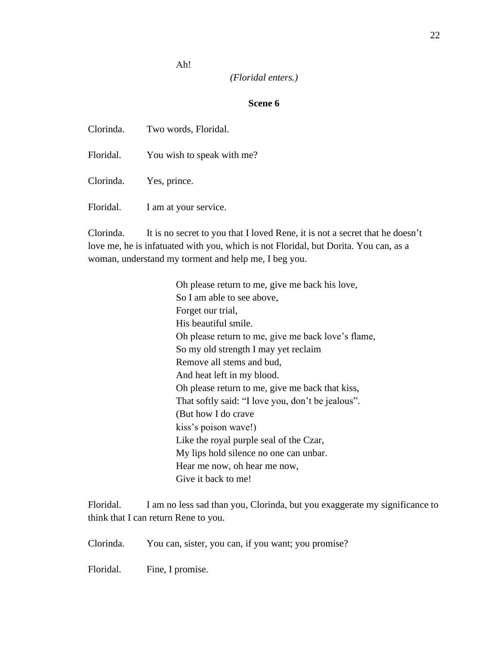Аh!

## *(Floridal enters.)*

## **Scene 6**

Clorinda. Two words, Floridal. Floridal. You wish to speak with me? Clorinda. Yes, prince. Floridal. I am at your service.

Clorinda. It is no secret to you that I loved Rene, it is not a secret that he doesn't love me, he is infatuated with you, which is not Floridal, but Dorita. You can, as a woman, understand my torment and help me, I beg you.

> Oh please return to me, give me back his love, So I am able to see above, Forget our trial, His beautiful smile. Oh please return to me, give me back love's flame, So my old strength I may yet reclaim Remove all stems and bud, And heat left in my blood. Oh please return to me, give me back that kiss, That softly said: "I love you, don't be jealous". (But how I do crave kiss's poison wave!) Like the royal purple seal of the Czar, My lips hold silence no one can unbar. Hear me now, oh hear me now, Give it back to me!

Floridal. I am no less sad than you, Clorinda, but you exaggerate my significance to think that I can return Rene to you.

Clorinda. You can, sister, you can, if you want; you promise?

Floridal. Fine, I promise.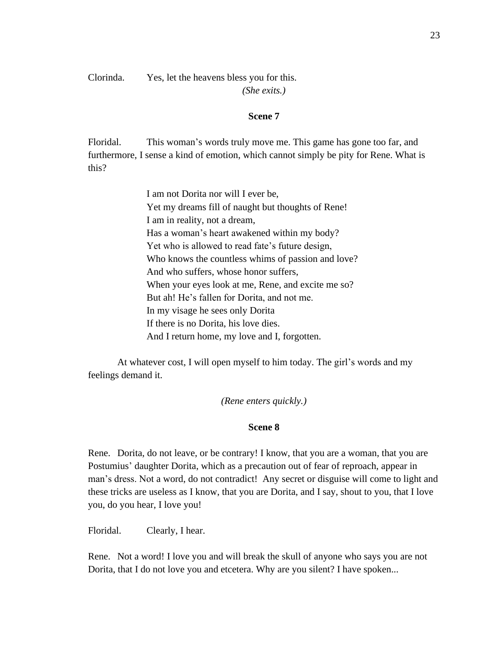Clorinda. Yes, let the heavens bless you for this.

*(She exits.)*

## **Scene 7**

Floridal. This woman's words truly move me. This game has gone too far, and furthermore, I sense a kind of emotion, which cannot simply be pity for Rene. What is this?

> I am not Dorita nor will I ever be, Yet my dreams fill of naught but thoughts of Rene! I am in reality, not a dream, Has a woman's heart awakened within my body? Yet who is allowed to read fate's future design, Who knows the countless whims of passion and love? And who suffers, whose honor suffers, When your eyes look at me, Rene, and excite me so? But ah! He's fallen for Dorita, and not me. In my visage he sees only Dorita If there is no Dorita, his love dies. And I return home, my love and I, forgotten.

At whatever cost, I will open myself to him today. The girl's words and my feelings demand it.

## *(Rene enters quickly.)*

#### **Scene 8**

Rene. Dorita, do not leave, or be contrary! I know, that you are a woman, that you are Postumius' daughter Dorita, which as a precaution out of fear of reproach, appear in man's dress. Not a word, do not contradict! Any secret or disguise will come to light and these tricks are useless as I know, that you are Dorita, and I say, shout to you, that I love you, do you hear, I love you!

Floridal. Clearly, I hear.

Rene. Not a word! I love you and will break the skull of anyone who says you are not Dorita, that I do not love you and etcetera. Why are you silent? I have spoken...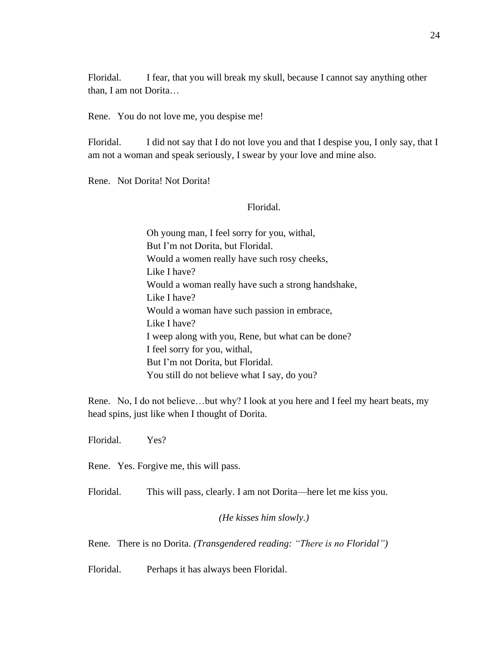Floridal. I fear, that you will break my skull, because I cannot say anything other than, I am not Dorita…

Rene. You do not love me, you despise me!

Floridal. I did not say that I do not love you and that I despise you, I only say, that I am not a woman and speak seriously, I swear by your love and mine also.

Rene. Not Dorita! Not Dorita!

## Floridal.

Оh young man, I feel sorry for you, withal, But I'm not Dorita, but Floridal. Would a women really have such rosy cheeks, Like I have? Would a woman really have such a strong handshake, Like I have? Would a woman have such passion in embrace, Like I have? I weep along with you, Rene, but what can be done? I feel sorry for you, withal, But I'm not Dorita, but Floridal. You still do not believe what I say, do you?

Rene. No, I do not believe…but why? I look at you here and I feel my heart beats, my head spins, just like when I thought of Dorita.

Floridal. Yes?

Rene. Yes. Forgive me, this will pass.

Floridal. This will pass, clearly. I am not Dorita—here let me kiss you.

## *(He kisses him slowly.)*

Rene. There is no Dorita. *(Transgendered reading: "There is no Floridal")*

Floridal. Perhaps it has always been Floridal.